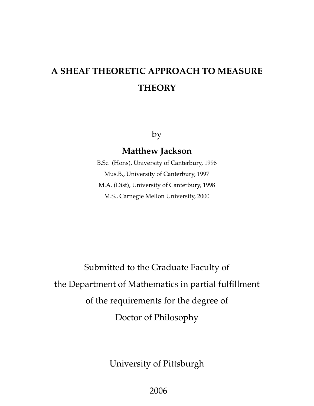# **A SHEAF THEORETIC APPROACH TO MEASURE THEORY**

by

## **Matthew Jackson**

B.Sc. (Hons), University of Canterbury, 1996 Mus.B., University of Canterbury, 1997 M.A. (Dist), University of Canterbury, 1998 M.S., Carnegie Mellon University, 2000

Submitted to the Graduate Faculty of the Department of Mathematics in partial fulfillment of the requirements for the degree of Doctor of Philosophy

University of Pittsburgh

2006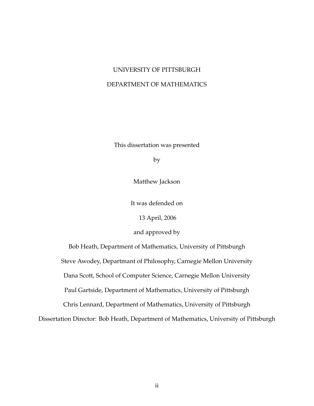## UNIVERSITY OF PITTSBURGH DEPARTMENT OF MATHEMATICS

This dissertation was presented

by

Matthew Jackson

It was defended on

13 April, 2006

and approved by

Bob Heath, Department of Mathematics, University of Pittsburgh

Steve Awodey, Departmant of Philosophy, Carnegie Mellon University

Dana Scott, School of Computer Science, Carnegie Mellon University

Paul Gartside, Department of Mathematics, University of Pittsburgh

Chris Lennard, Department of Mathematics, University of Pittsburgh

Dissertation Director: Bob Heath, Department of Mathematics, University of Pittsburgh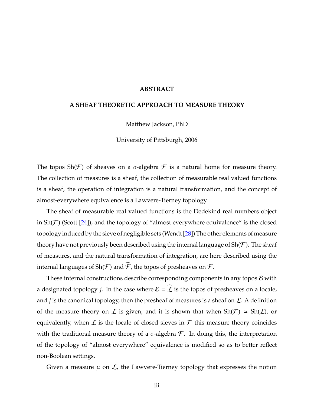#### **ABSTRACT**

#### **A SHEAF THEORETIC APPROACH TO MEASURE THEORY**

Matthew Jackson, PhD

University of Pittsburgh, 2006

The topos  $\text{Sh}(\mathcal{F})$  of sheaves on a  $\sigma$ -algebra  $\mathcal F$  is a natural home for measure theory. The collection of measures is a sheaf, the collection of measurable real valued functions is a sheaf, the operation of integration is a natural transformation, and the concept of almost-everywhere equivalence is a Lawvere-Tierney topology.

The sheaf of measurable real valued functions is the Dedekind real numbers object in  $\text{Sh}(\mathcal{F})$  (Scott [\[24\]](#page-125-0)), and the topology of "almost everywhere equivalence" is the closed topology induced by the sieve of negligible sets (Wendt [\[28\]](#page-125-1)) The other elements of measure theory have not previously been described using the internal language of  $\text{Sh}(\mathcal{F})$ . The sheaf of measures, and the natural transformation of integration, are here described using the internal languages of Sh( $\mathcal F$ ) and  $\widehat{\mathcal F}$ , the topos of presheaves on  $\mathcal F$ .

These internal constructions describe corresponding components in any topos  $\mathcal E$  with a designated topology *j*. In the case where  $\mathcal{E} = \mathcal{L}$  is the topos of presheaves on a locale, and  $j$  is the canonical topology, then the presheaf of measures is a sheaf on  $\mathcal{L}$ . A definition of the measure theory on L is given, and it is shown that when  $\text{Sh}(\mathcal{F}) \simeq \text{Sh}(\mathcal{L})$ , or equivalently, when  $\mathcal L$  is the locale of closed sieves in  $\mathcal F$  this measure theory coincides with the traditional measure theory of a  $\sigma$ -algebra  $\mathcal F$ . In doing this, the interpretation of the topology of "almost everywhere" equivalence is modified so as to better reflect non-Boolean settings.

Given a measure  $\mu$  on  $\mathcal{L}$ , the Lawvere-Tierney topology that expresses the notion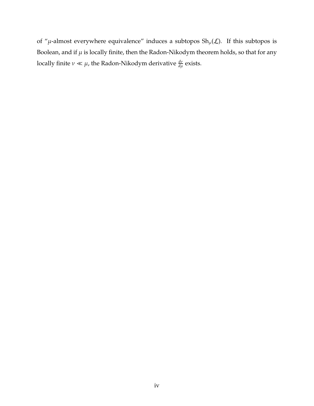of " $\mu$ -almost everywhere equivalence" induces a subtopos  $Sh_{\mu}(\mathcal{L})$ . If this subtopos is Boolean, and if  $\mu$  is locally finite, then the Radon-Nikodym theorem holds, so that for any locally finite  $\nu \ll \mu$ , the Radon-Nikodym derivative  $\frac{d\nu}{d\mu}$  exists.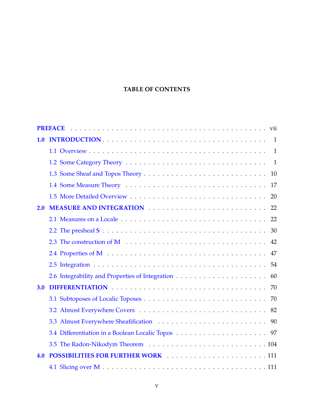### **TABLE OF CONTENTS**

| 1.0 | $\overline{1}$                             |
|-----|--------------------------------------------|
|     | $\overline{1}$                             |
|     |                                            |
|     | 10                                         |
|     | 17                                         |
|     | 20                                         |
| 2.0 | 22                                         |
|     | 22                                         |
|     | 30                                         |
|     | 42                                         |
|     | 47                                         |
|     |                                            |
|     |                                            |
| 3.0 | 70                                         |
|     | 70                                         |
|     |                                            |
|     |                                            |
|     |                                            |
|     |                                            |
| 4.0 | <b>POSSIBILITIES FOR FURTHER WORK </b> 111 |
|     |                                            |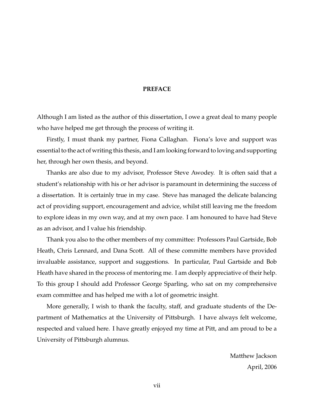#### **PREFACE**

<span id="page-6-0"></span>Although I am listed as the author of this dissertation, I owe a great deal to many people who have helped me get through the process of writing it.

Firstly, I must thank my partner, Fiona Callaghan. Fiona's love and support was essential to the act of writing this thesis, and I am looking forward to loving and supporting her, through her own thesis, and beyond.

Thanks are also due to my advisor, Professor Steve Awodey. It is often said that a student's relationship with his or her advisor is paramount in determining the success of a dissertation. It is certainly true in my case. Steve has managed the delicate balancing act of providing support, encouragement and advice, whilst still leaving me the freedom to explore ideas in my own way, and at my own pace. I am honoured to have had Steve as an advisor, and I value his friendship.

Thank you also to the other members of my committee: Professors Paul Gartside, Bob Heath, Chris Lennard, and Dana Scott. All of these committe members have provided invaluable assistance, support and suggestions. In particular, Paul Gartside and Bob Heath have shared in the process of mentoring me. I am deeply appreciative of their help. To this group I should add Professor George Sparling, who sat on my comprehensive exam committee and has helped me with a lot of geometric insight.

More generally, I wish to thank the faculty, staff, and graduate students of the Department of Mathematics at the University of Pittsburgh. I have always felt welcome, respected and valued here. I have greatly enjoyed my time at Pitt, and am proud to be a University of Pittsburgh alumnus.

> Matthew Jackson April, 2006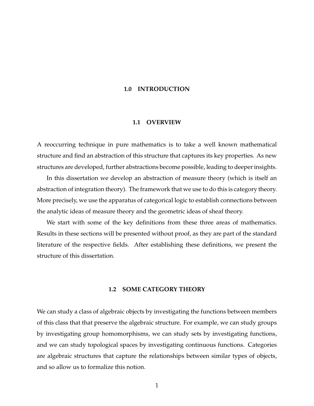#### <span id="page-7-0"></span>**1.0 INTRODUCTION**

#### **1.1 OVERVIEW**

<span id="page-7-1"></span>A reoccurring technique in pure mathematics is to take a well known mathematical structure and find an abstraction of this structure that captures its key properties. As new structures are developed, further abstractions become possible, leading to deeper insights.

In this dissertation we develop an abstraction of measure theory (which is itself an abstraction of integration theory). The framework that we use to do this is category theory. More precisely, we use the apparatus of categorical logic to establish connections between the analytic ideas of measure theory and the geometric ideas of sheaf theory.

We start with some of the key definitions from these three areas of mathematics. Results in these sections will be presented without proof, as they are part of the standard literature of the respective fields. After establishing these definitions, we present the structure of this dissertation.

#### **1.2 SOME CATEGORY THEORY**

<span id="page-7-2"></span>We can study a class of algebraic objects by investigating the functions between members of this class that that preserve the algebraic structure. For example, we can study groups by investigating group homomorphisms, we can study sets by investigating functions, and we can study topological spaces by investigating continuous functions. Categories are algebraic structures that capture the relationships between similar types of objects, and so allow us to formalize this notion.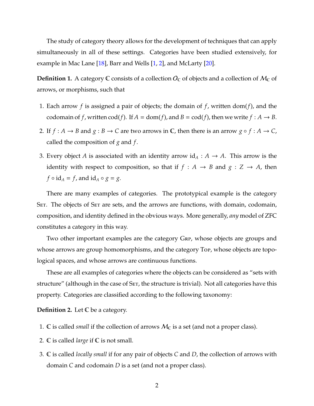The study of category theory allows for the development of techniques that can apply simultaneously in all of these settings. Categories have been studied extensively, for example in Mac Lane [\[18\]](#page-124-0), Barr and Wells [\[1,](#page-123-0) [2\]](#page-123-1), and McLarty [\[20\]](#page-124-1).

**Definition 1.** A category C consists of a collection  $O_{\mathbb{C}}$  of objects and a collection of  $M_{\mathbb{C}}$  of arrows, or morphisms, such that

- 1. Each arrow *f* is assigned a pair of objects; the domain of *f*, written dom(*f*), and the codomain of *f*, written cod(*f*). If  $A = \text{dom}(f)$ , and  $B = \text{cod}(f)$ , then we write  $f : A \rightarrow B$ .
- 2. If  $f : A \rightarrow B$  and  $g : B \rightarrow C$  are two arrows in  $\mathbb{C}$ , then there is an arrow  $g \circ f : A \rightarrow C$ , called the composition of *g* and *f*.
- 3. Every object *A* is associated with an identity arrow id<sub>*A*</sub> :  $A \rightarrow A$ . This arrow is the identity with respect to composition, so that if  $f : A \rightarrow B$  and  $g : Z \rightarrow A$ , then  $f \circ id_A = f$ , and  $id_A \circ g = g$ .

There are many examples of categories. The prototypical example is the category SET. The objects of SET are sets, and the arrows are functions, with domain, codomain, composition, and identity defined in the obvious ways. More generally, *any* model of ZFC constitutes a category in this way.

Two other important examples are the category GRP, whose objects are groups and whose arrows are group homomorphisms, and the category Top, whose objects are topological spaces, and whose arrows are continuous functions.

These are all examples of categories where the objects can be considered as "sets with structure" (although in the case of SET, the structure is trivial). Not all categories have this property. Categories are classified according to the following taxonomy:

<span id="page-8-0"></span>**Definition 2.** Let C be a category.

- 1.  $\mathbb C$  is called *small* if the collection of arrows  $M_{\mathbb C}$  is a set (and not a proper class).
- 2. C is called *large* if C is not small.
- 3. C is called *locally small* if for any pair of objects *C* and *D*, the collection of arrows with domain *C* and codomain *D* is a set (and not a proper class).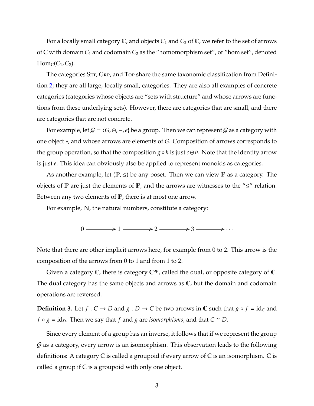For a locally small category  $\mathbb C$ , and objects  $C_1$  and  $C_2$  of  $\mathbb C$ , we refer to the set of arrows of  $\mathbb C$  with domain  $C_1$  and codomain  $C_2$  as the "homomorphism set", or "hom set", denoted  $Hom_{\mathbb{C}}(\mathcal{C}_1, \mathcal{C}_2)$ .

The categories SET, GRP, and Top share the same taxonomic classification from Definition [2;](#page-8-0) they are all large, locally small, categories. They are also all examples of concrete categories (categories whose objects are "sets with structure" and whose arrows are functions from these underlying sets). However, there are categories that are small, and there are categories that are not concrete.

For example, let  $G = \langle G, \oplus, -, e \rangle$  be a group. Then we can represent G as a category with one object ∗, and whose arrows are elements of *G*. Composition of arrows corresponds to the group operation, so that the composition  $g \circ h$  is just  $c \oplus h$ . Note that the identity arrow is just *e*. This idea can obviously also be applied to represent monoids as categories.

As another example, let ( $\mathbb{P}, \leq$ ) be any poset. Then we can view  $\mathbb{P}$  as a category. The objects of  $\mathbb P$  are just the elements of  $\mathbb P$ , and the arrows are witnesses to the " $\leq$ " relation. Between any two elements of P, there is at most one arrow.

For example, N, the natural numbers, constitute a category:

$$
0 \longrightarrow 1 \longrightarrow 2 \longrightarrow 3 \longrightarrow \cdots
$$

Note that there are other implicit arrows here, for example from 0 to 2. This arrow is the composition of the arrows from 0 to 1 and from 1 to 2.

Given a category  $\mathbb C$ , there is category  $\mathbb C^{\mathrm{op}}$ , called the dual, or opposite category of  $\mathbb C$ . The dual category has the same objects and arrows as C, but the domain and codomain operations are reversed.

**Definition 3.** Let  $f : C \to D$  and  $g : D \to C$  be two arrows in  $\mathbb C$  such that  $g \circ f = id_C$  and  $f \circ g = id_D$ . Then we say that *f* and *g* are *isomorphisms*, and that  $C \cong D$ .

Since every element of a group has an inverse, it follows that if we represent the group  $G$  as a category, every arrow is an isomorphism. This observation leads to the following definitions: A category  $\mathbb C$  is called a groupoid if every arrow of  $\mathbb C$  is an isomorphism.  $\mathbb C$  is called a group if  $\mathbb C$  is a groupoid with only one object.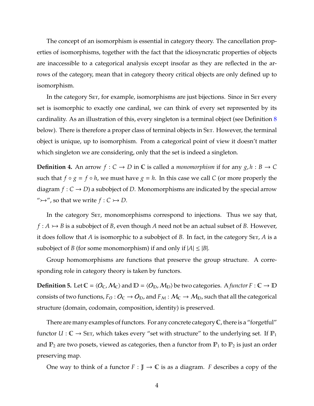The concept of an isomorphism is essential in category theory. The cancellation properties of isomorphisms, together with the fact that the idiosyncratic properties of objects are inaccessible to a categorical analysis except insofar as they are reflected in the arrows of the category, mean that in category theory critical objects are only defined up to isomorphism.

In the category SET, for example, isomorphisms are just bijections. Since in SET every set is isomorphic to exactly one cardinal, we can think of every set represented by its cardinality. As an illustration of this, every singleton is a terminal object (see Definition [8](#page-12-0) below). There is therefore a proper class of terminal objects in SET. However, the terminal object is unique, up to isomorphism. From a categorical point of view it doesn't matter which singleton we are considering, only that the set is indeed a singleton.

**Definition 4.** An arrow  $f: C \to D$  in C is called a *monomorphism* if for any  $g, h: B \to C$ such that  $f \circ g = f \circ h$ , we must have  $g = h$ . In this case we call *C* (or more properly the diagram  $f : C \to D$ ) a subobject of *D*. Monomorphisms are indicated by the special arrow " $\rightarrow$ ", so that we write  $f: C \rightarrow D$ .

In the category SET, monomorphisms correspond to injections. Thus we say that,  $f : A \rightarrow B$  is a subobject of *B*, even though *A* need not be an actual subset of *B*. However, it does follow that *A* is isomorphic to a subobject of *B*. In fact, in the category SET, *A* is a subobject of *B* (for some monomorphism) if and only if  $|A| \leq |B|$ .

Group homomorphisms are functions that preserve the group structure. A corresponding role in category theory is taken by functors.

**Definition 5.** Let  $\mathbb{C} = \langle O_{\mathbb{C}}, M_{\mathbb{C}} \rangle$  and  $\mathbb{D} = \langle O_{\mathbb{D}}, M_{\mathbb{D}} \rangle$  be two categories. A *functor F* :  $\mathbb{C} \to \mathbb{D}$ consists of two functions,  $F_O: O_C \to O_D$ , and  $F_M: \mathcal{M}_C \to \mathcal{M}_D$ , such that all the categorical structure (domain, codomain, composition, identity) is preserved.

There are many examples of functors. For any concrete category  $\mathbb C$ , there is a "forgetful" functor  $U : \mathbb{C} \to S_{ET}$ , which takes every "set with structure" to the underlying set. If  $\mathbb{P}_1$ and  $\mathbb{P}_2$  are two posets, viewed as categories, then a functor from  $\mathbb{P}_1$  to  $\mathbb{P}_2$  is just an order preserving map.

One way to think of a functor  $F : \mathbb{J} \to \mathbb{C}$  is as a diagram. *F* describes a copy of the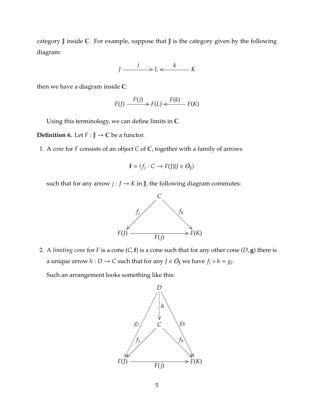category J inside C. For example, suppose that J is the category given by the following diagram:

> *J j*  $> L <$ *k K*

then we have a diagram inside C:

$$
F(J) \xrightarrow{F(j)} F(L) \xleftarrow{F(k)} F(K)
$$

Using this terminology, we can define limits in C.

**Definition 6.** Let  $F : \mathbb{J} \to \mathbb{C}$  be a functor.

1. A *cone* for *F* consists of an object *C* of C, together with a family of arrows

$$
\mathbf{f} = \langle f_J : C \to F(J) | J \in O_J \rangle
$$

such that for any arrow  $j: J \to K$  in  $\mathbb{J}$  , the following diagram commutes:



2. A *limiting cone* for *F* is a cone (*C*,**f**) is a cone such that for any other cone (*D*, **g**) there is a unique arrow  $h: D \to C$  such that for any  $J \in O_J$  we have  $f_J \circ h = g_J$ .

Such an arrangement looks something like this:

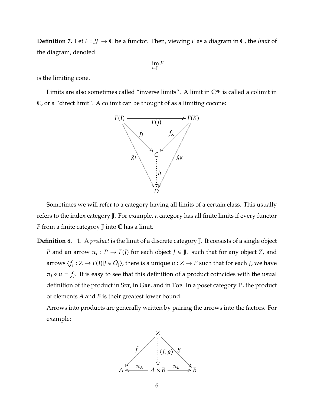**Definition 7.** Let  $F: \mathcal{J} \to \mathbb{C}$  be a functor. Then, viewing *F* as a diagram in  $\mathbb{C}$ , the *limit* of the diagram, denoted

$$
\lim_{\leftarrow \mathbb{I}} F
$$

is the limiting cone.

Limits are also sometimes called "inverse limits". A limit in  $\mathbb{C}^{\text{op}}$  is called a colimit in C, or a "direct limit". A colimit can be thought of as a limiting cocone:



Sometimes we will refer to a category having all limits of a certain class. This usually refers to the index category J. For example, a category has all finite limits if every functor *F* from a finite category  $\mathbb{J}$  into  $\mathbb{C}$  has a limit.

<span id="page-12-0"></span>**Definition 8.** 1. A *product* is the limit of a discrete category J. It consists of a single object *P* and an arrow  $\pi_J$  :  $P \to F(J)$  for each object  $J \in J$ . such that for any object *Z*, and arrows  $\langle f_J : Z \to F(J) | J \in O_J \rangle$ , there is a unique  $u : Z \to P$  such that for each *J*, we have  $\pi$ <sup>*j*</sup>  $\circ$  *u* = *f*<sub>*J*</sub>. It is easy to see that this definition of a product coincides with the usual definition of the product in SET, in GRP, and in Top. In a poset category  $\mathbb{P}$ , the product of elements *A* and *B* is their greatest lower bound.

Arrows into products are generally written by pairing the arrows into the factors. For example:

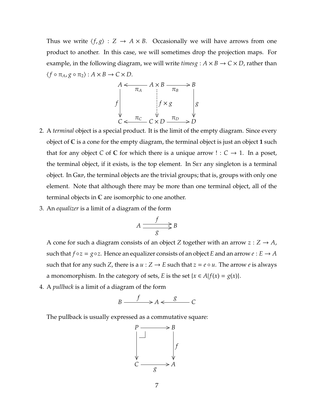Thus we write  $\langle f, g \rangle : Z \to A \times B$ . Occasionally we will have arrows from one product to another. In this case, we will sometimes drop the projection maps. For example, in the following diagram, we will write *timesg* :  $A \times B \rightarrow C \times D$ , rather than  $\langle f\circ \pi_A, g\circ \pi_2\rangle: A\times B\to C\times D.$ 



- 2. A *terminal* object is a special product. It is the limit of the empty diagram. Since every object of C is a cone for the empty diagram, the terminal object is just an object **1** such that for any object *C* of **C** for which there is a unique arrow ! :  $C \rightarrow 1$ . In a poset, the terminal object, if it exists, is the top element. In SET any singleton is a terminal object. In GRP, the terminal objects are the trivial groups; that is, groups with only one element. Note that although there may be more than one terminal object, all of the terminal objects in  $\mathbb C$  are isomorphic to one another.
- 3. An *equalizer* is a limit of a diagram of the form

$$
A \xrightarrow{f} B
$$

A cone for such a diagram consists of an object *Z* together with an arrow  $z : Z \to A$ , such that  $f \circ z = g \circ z$ . Hence an equalizer consists of an object *E* and an arrow  $e : E \to A$ such that for any such *Z*, there is a  $u : Z \rightarrow E$  such that  $z = e \circ u$ . The arrow *e* is always a monomorphism. In the category of sets, *E* is the set  $\{x \in A | f(x) = g(x)\}.$ 

4. A *pullback* is a limit of a diagram of the form

$$
B \xrightarrow{f} A \xleftarrow{g} C
$$

The pullback is usually expressed as a commutative square:

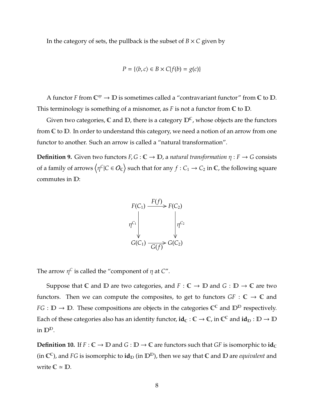In the category of sets, the pullback is the subset of  $B \times C$  given by

$$
P = \{ \langle b, c \rangle \in B \times C | f(b) = g(c) \}
$$

A functor *F* from  $\mathbb{C}^{op} \to \mathbb{D}$  is sometimes called a "contravariant functor" from  $\mathbb C$  to  $\mathbb D$ . This terminology is something of a misnomer, as *F* is not a functor from C to D.

Given two categories,  $\mathbb C$  and  $\mathbb D,$  there is a category  $\mathbb D^{\mathbb C}$ , whose objects are the functors from C to D. In order to understand this category, we need a notion of an arrow from one functor to another. Such an arrow is called a "natural transformation".

**Definition 9.** Given two functors  $F, G : \mathbb{C} \to \mathbb{D}$ , a *natural transformation*  $\eta : F \to G$  consists of a family of arrows  $\left\langle \eta^C | C \in O_\mathbb{C} \right\rangle$  such that for any  $f: C_1 \to C_2$  in  $\mathbb{C}$ , the following square commutes in D:



The arrow  $\eta^C$  is called the "component of  $\eta$  at *C*".

Suppose that  $\mathbb C$  and  $\mathbb D$  are two categories, and  $F : \mathbb C \to \mathbb D$  and  $G : \mathbb D \to \mathbb C$  are two functors. Then we can compute the composites, to get to functors  $GF : \mathbb{C} \to \mathbb{C}$  and  $FG : \mathbb{D} \to \mathbb{D}$ . These compositions are objects in the categories  $\mathbb{C}^{\mathbb{C}}$  and  $\mathbb{D}^{\mathbb{D}}$  respectively. Each of these categories also has an identity functor,  $id_\mathbb{C} : \mathbb{C} \to \mathbb{C}$ , in  $\mathbb{C}^\mathbb{C}$  and  $id_\mathbb{D} : \mathbb{D} \to \mathbb{D}$ in  $\mathbb{D}^{\mathbb{D}}$ .

**Definition 10.** If  $F: \mathbb{C} \to \mathbb{D}$  and  $G: \mathbb{D} \to \mathbb{C}$  are functors such that *GF* is isomorphic to **id**<sub>*C*</sub> (in  $\mathbb{C}^{\mathbb{C}}$ ), and FG is isomorphic to  $id_{\mathbb{D}}$  (in  $\mathbb{D}^{\mathbb{D}}$ ), then we say that  $\mathbb C$  and  $\mathbb D$  are *equivalent* and write  $\mathbb{C} \simeq \mathbb{D}$ .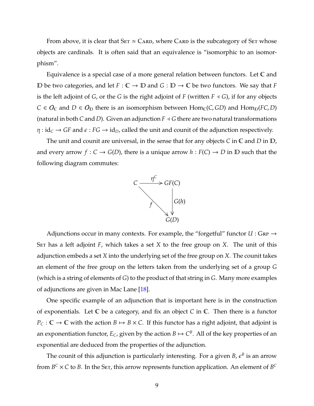From above, it is clear that  $S_{ET} \simeq$  CARD, where CARD is the subcategory of SET whose objects are cardinals. It is often said that an equivalence is "isomorphic to an isomorphism".

Equivalence is a special case of a more general relation between functors. Let C and D be two categories, and let *F* :  $\mathbb{C}$  →  $\mathbb{D}$  and *G* :  $\mathbb{D}$  →  $\mathbb{C}$  be two functors. We say that *F* is the left adjoint of *G*, or the *G* is the right adjoint of *F* (written  $F \dashv G$ ), if for any objects *C* ∈  $O_c$  and *D* ∈  $O_D$  there is an isomorphism between Hom<sub>*C</sub>*(*C*, *GD*) and Hom<sub>*D*</sub>(*FC*, *D*)</sub> (natural in both *C* and *D*). Given an adjunction  $F \dashv G$  there are two natural transformations  $\eta$  : id<sub>C</sub>  $\rightarrow$  *GF* and  $\epsilon$  : *FG*  $\rightarrow$  id<sub>*D*</sub>, called the unit and counit of the adjunction respectively.

The unit and counit are universal, in the sense that for any objects *C* in C and *D* in D, and every arrow  $f : C \to G(D)$ , there is a unique arrow  $h : F(C) \to D$  in  $D$  such that the following diagram commutes:



Adjunctions occur in many contexts. For example, the "forgetful" functor  $U : G_{RP} \rightarrow$ SET has a left adjoint  $F$ , which takes a set  $X$  to the free group on  $X$ . The unit of this adjunction embeds a set *X* into the underlying set of the free group on *X*. The counit takes an element of the free group on the letters taken from the underlying set of a group *G* (which is a string of elements of *G*) to the product of that string in *G*. Many more examples of adjunctions are given in Mac Lane [\[18\]](#page-124-0).

One specific example of an adjunction that is important here is in the construction of exponentials. Let C be a category, and fix an object *C* in C. Then there is a functor  $P_C : \mathbb{C} \to \mathbb{C}$  with the action  $B \mapsto B \times C$ . If this functor has a right adjoint, that adjoint is an exponentiation functor,  $E_C$ , given by the action  $B \mapsto C^B$ . All of the key properties of an exponential are deduced from the properties of the adjunction.

The counit of this adjunction is particularly interesting. For a given *B*,  $\epsilon^B$  is an arrow from  $B^C$   $\times$  *C* to *B*. In the SET, this arrow represents function application. An element of  $B^C$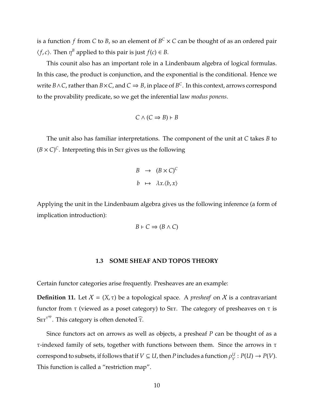is a function  $f$  from  $C$  to  $B$ , so an element of  $B^C \times C$  can be thought of as an ordered pair  $\langle f, c \rangle$ . Then  $\eta^B$  applied to this pair is just  $f(c) \in B$ .

This counit also has an important role in a Lindenbaum algebra of logical formulas. In this case, the product is conjunction, and the exponential is the conditional. Hence we write *B*∧*C*, rather than *B*×*C*, and *C*  $\Rightarrow$  *B*, in place of *B<sup>C</sup>*. In this context, arrows correspond to the provability predicate, so we get the inferential law *modus ponens*.

$$
C \land (C \Rightarrow B) \vdash B
$$

The unit also has familiar interpretations. The component of the unit at *C* takes *B* to  $(B \times C)^C$ . Interpreting this in SET gives us the following

$$
B \rightarrow (B \times C)^{C}
$$
  

$$
b \mapsto \lambda x. \langle b, x \rangle
$$

Applying the unit in the Lindenbaum algebra gives us the following inference (a form of implication introduction):

$$
B \vdash C \Rightarrow (B \land C)
$$

#### **1.3 SOME SHEAF AND TOPOS THEORY**

<span id="page-16-0"></span>Certain functor categories arise frequently. Presheaves are an example:

**Definition 11.** Let  $X = (X, \tau)$  be a topological space. A *presheaf* on X is a contravariant functor from  $\tau$  (viewed as a poset category) to SET. The category of presheaves on  $\tau$  is  $\text{Str}^{\tau^{\text{op}}}$ . This category is often denoted  $\widehat{\tau}$ .

Since functors act on arrows as well as objects, a presheaf *P* can be thought of as a  $τ$ -indexed family of sets, together with functions between them. Since the arrows in  $τ$ correspond to subsets, if follows that if  $V\subseteq U$ , then  $P$  includes a function  $\rho^U_V$  $V^U$  :  $P(U) \rightarrow P(V)$ . This function is called a "restriction map".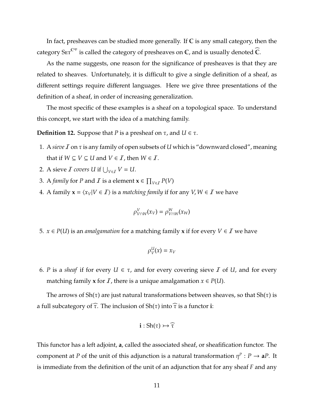In fact, presheaves can be studied more generally. If  $\mathbb C$  is any small category, then the category  $\text{Str}^{\mathbb{C}^\text{op}}$  is called the category of presheaves on  $\mathbb{C}$ , and is usually denoted  $\widehat{\mathbb{C}}$ .

As the name suggests, one reason for the significance of presheaves is that they are related to sheaves. Unfortunately, it is difficult to give a single definition of a sheaf, as different settings require different languages. Here we give three presentations of the definition of a sheaf, in order of increasing generalization.

The most specific of these examples is a sheaf on a topological space. To understand this concept, we start with the idea of a matching family.

**Definition 12.** Suppose that *P* is a presheaf on  $\tau$ , and  $U \in \tau$ .

- 1. A *sieve* I on τ is any family of open subsets of *U* which is "downward closed", meaning that if  $W \subseteq V \subseteq U$  and  $V \in \mathcal{I}$ , then  $W \in \mathcal{I}$ .
- 2. A sieve *I* covers *U* if  $\bigcup_{V \in I} V = U$ .
- 3. A *family* for *P* and *I* is a element  $\mathbf{x} \in \prod_{V \in I} P(V)$
- 4. A family  $\mathbf{x} = \langle x_V | V \in I \rangle$  is a *matching family* if for any *V*,  $W \in I$  we have

$$
\rho^V_{V\cap W}(x_V)=\rho^W_{V\cap W}(x_W)
$$

5. *x* ∈ *P*(*U*) is an *amalgamation* for a matching family **x** if for every *V* ∈ *I* we have

$$
\rho_V^U(x)=x_V
$$

6. *P* is a *sheaf* if for every  $U \in \tau$ , and for every covering sieve *I* of *U*, and for every matching family **x** for  $I$ , there is a unique amalgamation  $x \in P(U)$ .

The arrows of  $\text{Sh}(\tau)$  are just natural transformations between sheaves, so that  $\text{Sh}(\tau)$  is a full subcategory of  $\widehat{\tau}$ . The inclusion of  $\text{Sh}(\tau)$  into  $\widehat{\tau}$  is a functor **i**:

$$
\mathbf{i}:Sh(\tau)\rightarrowtail \widehat{\tau}
$$

This functor has a left adjoint, **a**, called the associated sheaf, or sheafification functor. The component at *P* of the unit of this adjunction is a natural transformation  $\eta^P$  :  $P \to aP$ . It is immediate from the definition of the unit of an adjunction that for any sheaf *F* and any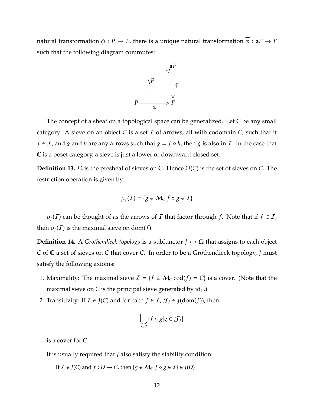natural transformation  $\phi : P \to F$ , there is a unique natural transformation  $\overline{\phi} : \mathbf{a}P \to F$ such that the following diagram commutes:



The concept of a sheaf on a topological space can be generalized. Let  $\mathbb C$  be any small category. A sieve on an object  $C$  is a set  $I$  of arrows, all with codomain  $C$ , such that if *f* ∈ *I*, and *g* and *h* are any arrows such that  $g = f \circ h$ , then *g* is also in *I*. In the case that C is a poset category, a sieve is just a lower or downward closed set.

**Definition 13.**  $\Omega$  is the presheaf of sieves on **C**. Hence  $\Omega(C)$  is the set of sieves on *C*. The restriction operation is given by

$$
\rho_f(\mathcal{I}) = \{ g \in \mathcal{M}_\mathbb{C} | f \circ g \in \mathcal{I} \}
$$

 $\rho_f(I)$  can be thought of as the arrows of I that factor through f. Note that if  $f \in I$ , then  $\rho_f(I)$  is the maximal sieve on dom(*f*).

**Definition 14.** A *Grothendieck topology* is a subfunctor  $J \rightarrow \Omega$  that assigns to each object *C* of C a set of sieves on *C* that cover *C*. In order to be a Grothendieck topology, *J* must satisfy the following axioms:

- 1. Maximality: The maximal sieve  $I = \{f \in M_{\mathbb{C}} | \text{cod}(f) = C\}$  is a cover. (Note that the maximal sieve on *C* is the principal sieve generated by id*C*.)
- 2. Transitivity: If  $\mathcal{I} \in J(C)$  and for each  $f \in \mathcal{I}$ ,  $\mathcal{J}_f \in J(\text{dom}(f))$ , then

$$
\bigcup_{f\in\mathcal{I}}\{f\circ g|g\in\mathcal{J}_f\}
$$

is a cover for *C*.

It is usually required that *J* also satisfy the stability condition:

If  $\mathcal{I} \in J(C)$  and  $f: D \to C$ , then  $\{g \in \mathcal{M}_C | f \circ g \in \mathcal{I}\} \in J(D)$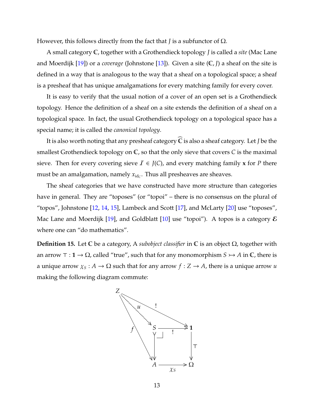However, this follows directly from the fact that *J* is a subfunctor of Ω.

A small category C, together with a Grothendieck topology *J* is called a *site* (Mac Lane and Moerdijk [\[19\]](#page-124-2)) or a *coverage* (Johnstone [\[13\]](#page-124-3)). Given a site (C, *J*) a sheaf on the site is defined in a way that is analogous to the way that a sheaf on a topological space; a sheaf is a presheaf that has unique amalgamations for every matching family for every cover.

It is easy to verify that the usual notion of a cover of an open set is a Grothendieck topology. Hence the definition of a sheaf on a site extends the definition of a sheaf on a topological space. In fact, the usual Grothendieck topology on a topological space has a special name; it is called the *canonical topology*.

It is also worth noting that any presheaf category  $\overline{C}$  is also a sheaf category. Let *J* be the smallest Grothendieck topology on C, so that the only sieve that covers *C* is the maximal sieve. Then for every covering sieve  $\mathcal{I} \in J(C)$ , and every matching family **x** for *P* there must be an amalgamation, namely  $x_{\rm id_C}.$  Thus all presheaves are sheaves.

The sheaf categories that we have constructed have more structure than categories have in general. They are "toposes" (or "topoi" – there is no consensus on the plural of "topos", Johnstone  $[12, 14, 15]$  $[12, 14, 15]$  $[12, 14, 15]$  $[12, 14, 15]$  $[12, 14, 15]$ , Lambeck and Scott  $[17]$ , and McLarty  $[20]$  use "toposes", Mac Lane and Moerdijk [\[19\]](#page-124-2), and Goldblatt [\[10\]](#page-124-8) use "topoi"). A topos is a category  $\mathcal E$ where one can "do mathematics".

**Definition 15.** Let C be a category, A *subobject classifier* in C is an object Ω, together with an arrow  $\top : \mathbf{1} \to \Omega$ , called "true", such that for any monomorphism  $S \rightarrowtail A$  in  $\mathbb{C}$ , there is a unique arrow  $\chi_S : A \to \Omega$  such that for any arrow  $f : Z \to A$ , there is a unique arrow  $u$ making the following diagram commute:

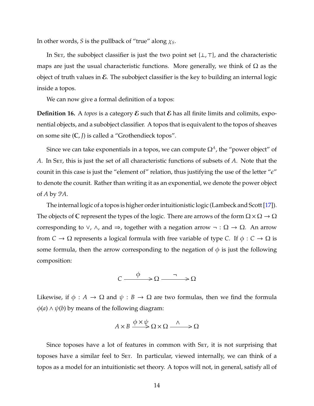In other words, *S* is the pullback of "true" along  $\chi_S$ .

In SET, the subobject classifier is just the two point set  $\{\perp, \top\}$ , and the characteristic maps are just the usual characteristic functions. More generally, we think of  $\Omega$  as the object of truth values in  $\mathcal E$ . The subobject classifier is the key to building an internal logic inside a topos.

We can now give a formal definition of a topos:

**Definition 16.** A *topos* is a category  $\mathcal E$  such that  $\mathcal E$  has all finite limits and colimits, exponential objects, and a subobject classifier. A topos that is equivalent to the topos of sheaves on some site (C, *J*) is called a "Grothendieck topos".

Since we can take exponentials in a topos*,* we can compute  $\Omega^A$ , the "power object" of A. In S<sub>ET</sub>, this is just the set of all characteristic functions of subsets of A. Note that the counit in this case is just the "element of" relation, thus justifying the use of the letter " $e$ " to denote the counit. Rather than writing it as an exponential, we denote the power object of *A* by P*A*.

The internal logic of a topos is higher order intuitionistic logic (Lambeck and Scott [\[17\]](#page-124-7)). The objects of C represent the types of the logic. There are arrows of the form  $\Omega \times \Omega \to \Omega$ corresponding to  $\vee$ ,  $\wedge$ , and  $\Rightarrow$ , together with a negation arrow  $\neg$  : Ω  $\rightarrow$  Ω. An arrow from  $C \to \Omega$  represents a logical formula with free variable of type *C*. If  $\phi : C \to \Omega$  is some formula, then the arrow corresponding to the negation of  $\phi$  is just the following composition:

*C* φ  $\Rightarrow \Omega$ ¬  $\Rightarrow \Omega$ 

Likewise, if  $\phi : A \to \Omega$  and  $\psi : B \to \Omega$  are two formulas, then we find the formula  $\phi$ (*a*)  $\land$   $\psi$ (*b*) by means of the following diagram:

$$
A \times B \xrightarrow{\phi \times \psi} \Omega \times \Omega \xrightarrow{\wedge} \Omega
$$

Since toposes have a lot of features in common with S<sub>ET</sub>, it is not surprising that toposes have a similar feel to SET. In particular, viewed internally, we can think of a topos as a model for an intuitionistic set theory. A topos will not, in general, satisfy all of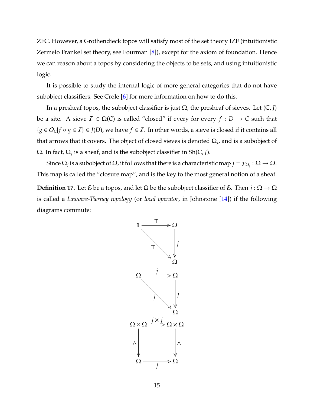ZFC. However, a Grothendieck topos will satisfy most of the set theory IZF (intuitionistic Zermelo Frankel set theory, see Fourman  $[8]$ ), except for the axiom of foundation. Hence we can reason about a topos by considering the objects to be sets, and using intuitionistic logic.

It is possible to study the internal logic of more general categories that do not have subobject classifiers. See Crole [\[6\]](#page-123-3) for more information on how to do this.

In a presheaf topos, the subobject classifier is just  $\Omega$ , the presheaf of sieves. Let  $(\mathbb{C}, J)$ be a site. A sieve  $I \in \Omega(C)$  is called "closed" if every for every  $f : D \to C$  such that  ${g \in O_{\mathbb{C}} | f \circ g \in I}$  ∈ *J*(*D*), we have *f* ∈ *I*. In other words, a sieve is closed if it contains all that arrows that it covers. The object of closed sieves is denoted  $\Omega_j$ , and is a subobject of  $\Omega$ . In fact,  $\Omega_j$  is a sheaf, and is the subobject classifier in Sh(C, *J*).

Since  $\Omega_j$  is a subobject of  $\Omega$ , it follows that there is a characteristic map  $j = \chi_{\Omega_j} : \Omega \to \Omega$ . This map is called the "closure map", and is the key to the most general notion of a sheaf.

**Definition 17.** Let *ε* be a topos, and let Ω be the subobject classifier of *ε*. Then *j* : Ω → Ω is called a *Lawvere-Tierney topology* (or *local operator*, in Johnstone [\[14\]](#page-124-5)) if the following diagrams commute:

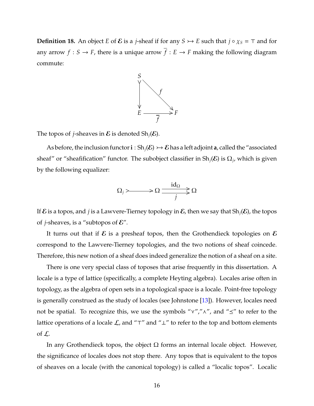**Definition 18.** An object *E* of *E* is a *j*-sheaf if for any  $S \rightarrow E$  such that  $j \circ \chi_S = \top$  and for any arrow  $f : S \to F$ , there is a unique arrow  $\overline{f} : E \to F$  making the following diagram commute:



The topos of *j*-sheaves in  $\mathcal E$  is denoted  $\text{Sh}_i(\mathcal E)$ .

As before, the inclusion functor  $\mathbf{i} : Sh_i(\mathcal{E}) \rightarrow \mathcal{E}$  has a left adjoint **a**, called the "associated sheaf" or "sheafification" functor. The subobject classifier in  $\text{Sh}_j(\mathcal{E})$  is  $\Omega_j$ , which is given by the following equalizer:

$$
\Omega_j \rightarrow \text{and } \frac{\mathrm{id}_{\Omega}}{j} \rightarrow \Omega
$$

If  $\mathcal E$  is a topos, and *j* is a Lawvere-Tierney topology in  $\mathcal E$ , then we say that  $\text{Sh}_i(\mathcal E)$ , the topos of *j*-sheaves, is a "subtopos of  $\mathcal{E}$ ".

It turns out that if  $\mathcal E$  is a presheaf topos, then the Grothendieck topologies on  $\mathcal E$ correspond to the Lawvere-Tierney topologies, and the two notions of sheaf coincede. Therefore, this new notion of a sheaf does indeed generalize the notion of a sheaf on a site.

There is one very special class of toposes that arise frequently in this dissertation. A locale is a type of lattice (specifically, a complete Heyting algebra). Locales arise often in topology, as the algebra of open sets in a topological space is a locale. Point-free topology is generally construed as the study of locales (see Johnstone [\[13\]](#page-124-3)). However, locales need not be spatial. To recognize this, we use the symbols " $V''$ ," $\wedge$ ", and " $\leq$ " to refer to the lattice operations of a locale  $\mathcal{L}$ , and " $\top$ " and " $\bot$ " to refer to the top and bottom elements of L.

In any Grothendieck topos, the object  $\Omega$  forms an internal locale object. However, the significance of locales does not stop there. Any topos that is equivalent to the topos of sheaves on a locale (with the canonical topology) is called a "localic topos". Localic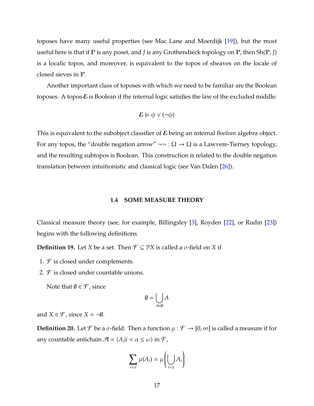toposes have many useful properties (see Mac Lane and Moerdijk [\[19\]](#page-124-2)), but the most useful here is that if P is any poset, and *J* is any Grothendieck topology on P, then Sh(P, *J*) is a localic topos, and moreover, is equivalent to the topos of sheaves on the locale of closed sieves in P.

Another important class of toposes with which we need to be familiar are the Boolean toposes. A topos  $\mathcal E$  is Boolean if the internal logic satisfies the law of the excluded middle:

$$
\mathcal{E} \models \phi \lor (\neg \phi)
$$

This is equivalent to the subobject classifier of E being an internal *Boolean* algebra object. For any topos, the "double negation arrow"  $\neg$  :  $\Omega \to \Omega$  is a Lawvere-Tierney topology, and the resulting subtopos is Boolean. This construction is related to the double negation translation between intuitionistic and classical logic (see Van Dalen [\[26\]](#page-125-2)).

#### **1.4 SOME MEASURE THEORY**

<span id="page-23-0"></span>Classical measure theory (see, for example, Billingsley [\[3\]](#page-123-4), Royden [\[22\]](#page-124-9), or Rudin [\[23\]](#page-124-10)) begins with the following definitions.

**Definition 19.** Let *X* be a set. Then  $\mathcal{F} \subseteq \mathcal{P}X$  is called a  $\sigma$ -field on *X* if

- 1.  $\mathcal F$  is closed under complements.
- 2.  $\mathcal F$  is closed under countable unions.

Note that  $\emptyset \in \mathcal{F}$ , since

$$
\emptyset = \bigcup_{A \in \emptyset} A
$$

<span id="page-23-1"></span>and  $X \in \mathcal{F}$ , since  $X = \neg \emptyset$ .

**Definition 20.** Let  $\mathcal F$  be a  $\sigma$ -field. Then a function  $\mu : \mathcal F \to [0, \infty]$  is called a measure if for any countable antichain  $\mathcal{A} = \langle A_i | i < \alpha \leq \omega \rangle$  in  $\mathcal{F}$  ,

$$
\sum_{i<\alpha}\mu(A_i)=\mu\bigg(\bigcup_{i<\alpha}A_i\bigg)
$$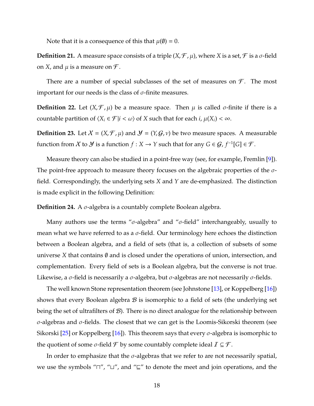Note that it is a consequence of this that  $\mu(\emptyset) = 0$ .

**Definition 21.** A measure space consists of a triple  $(X, \mathcal{F}, \mu)$ , where *X* is a set,  $\mathcal{F}$  is a  $\sigma$ -field on *X*, and  $\mu$  is a measure on  $\mathcal{F}$ .

There are a number of special subclasses of the set of measures on  $\mathcal{F}$ . The most important for our needs is the class of  $\sigma$ -finite measures.

**Definition 22.** Let  $(X, \mathcal{F}, \mu)$  be a measure space. Then  $\mu$  is called  $\sigma$ -finite if there is a countable partition of  $\langle X_i \in \mathcal{F} | i \langle \omega \rangle$  of *X* such that for each *i*,  $\mu(X_i) \langle \infty \rangle$ .

**Definition 23.** Let  $X = (X, \mathcal{F}, \mu)$  and  $\mathcal{Y} = (Y, \mathcal{G}, \nu)$  be two measure spaces. A measurable function from  $X$  to  $Y$  is a function  $f: X \to Y$  such that for any  $G \in \mathcal{G}$ ,  $f^{-1}[G] \in \mathcal{F}$ .

Measure theory can also be studied in a point-free way (see, for example, Fremlin [\[9\]](#page-123-5)). The point-free approach to measure theory focuses on the algebraic properties of the  $\sigma$ field. Correspondingly, the underlying sets *X* and *Y* are de-emphasized. The distinction is made explicit in the following Definition:

**Definition 24.** A σ-algebra is a countably complete Boolean algebra.

Many authors use the terms " $\sigma$ -algebra" and " $\sigma$ -field" interchangeably, usually to mean what we have referred to as a  $\sigma$ -field. Our terminology here echoes the distinction between a Boolean algebra, and a field of sets (that is, a collection of subsets of some universe *X* that contains ∅ and is closed under the operations of union, intersection, and complementation. Every field of sets is a Boolean algebra, but the converse is not true. Likewise, a σ-field is necessarily a σ-algebra, but σ-algebras are not necessarily σ-fields.

The well known Stone representation theorem (see Johnstone [\[13\]](#page-124-3), or Koppelberg [\[16\]](#page-124-11)) shows that every Boolean algebra  $\mathcal B$  is isomorphic to a field of sets (the underlying set being the set of ultrafilters of  $\mathcal{B}$ ). There is no direct analogue for the relationship between  $σ$ -algebras and  $σ$ -fields. The closest that we can get is the Loomis-Sikorski theorem (see Sikorski [\[25\]](#page-125-3) or Koppelberg [\[16\]](#page-124-11)). This theorem says that every  $\sigma$ -algebra is isomorphic to the quotient of some  $\sigma$ -field  $\mathcal F$  by some countably complete ideal  $I \subseteq \mathcal F$ .

In order to emphasize that the  $\sigma$ -algebras that we refer to are not necessarily spatial, we use the symbols " $\sqcap$ ", " $\sqcup$ ", and " $\sqsubseteq$ " to denote the meet and join operations, and the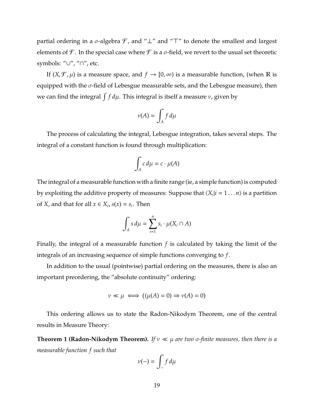partial ordering in a  $\sigma$ -algebra  $\mathcal F$ , and " $\perp$ " and " $\top$ " to denote the smallest and largest elements of  $\mathcal F$ . In the special case where  $\mathcal F$  is a  $\sigma$ -field, we revert to the usual set theoretic symbols: "∪", "∩", etc.

If  $(X, \mathcal{F}, \mu)$  is a measure space, and  $f \to [0, \infty)$  is a measurable function, (when R is equipped with the  $\sigma$ -field of Lebesgue measurable sets, and the Lebesgue measure), then we can find the integral  $\int f d\mu$ . This integral is itself a measure  $\nu$ , given by

$$
\nu(A) = \int_A f \, d\mu
$$

The process of calculating the integral, Lebesgue integration, takes several steps. The integral of a constant function is found through multiplication:

$$
\int_A c\,d\mu = c \cdot \mu(A)
$$

The integral of a measurable function with a finite range (ie, a simple function) is computed by exploiting the additive property of measures: Suppose that  $\langle X_i | i = 1 \dots n \rangle$  is a partition of *X*, and that for all  $x \in X_i$ ,  $s(x) = s_i$ . Then

$$
\int_A s d\mu = \sum_{i=1}^n s_i \cdot \mu(X_i \cap A)
$$

Finally, the integral of a measurable function *f* is calculated by taking the limit of the integrals of an increasing sequence of simple functions converging to *f*.

In addition to the usual (pointwise) partial ordering on the measures, there is also an important preordering, the "absolute continuity" ordering:

$$
\nu \ll \mu \iff ((\mu(A) = 0) \Rightarrow \nu(A) = 0)
$$

This ordering allows us to state the Radon-Nikodym Theorem, one of the central results in Measure Theory:

**Theorem 1 (Radon-Nikodym Theorem).** *If*  $v \ll \mu$  *are two σ-finite measures, then there is a measurable function f such that*

$$
v(-) = \int_{-}^{} f d\mu
$$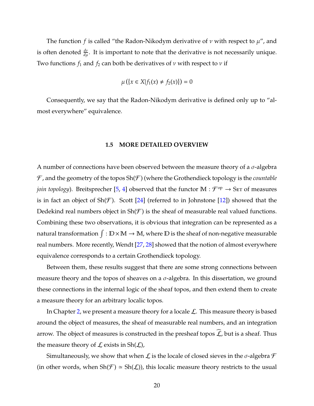The function *f* is called "the Radon-Nikodym derivative of  $\nu$  with respect to  $\mu$ ", and is often denoted  $\frac{dv}{d\mu}$ . It is important to note that the derivative is not necessarily unique. Two functions  $f_1$  and  $f_2$  can both be derivatives of  $\nu$  with respect to  $\nu$  if

$$
\mu\left(\{x \in X | f_1(x) \neq f_2(x)\}\right) = 0
$$

Consequently, we say that the Radon-Nikodym derivative is defined only up to "almost everywhere" equivalence.

#### **1.5 MORE DETAILED OVERVIEW**

<span id="page-26-0"></span>A number of connections have been observed between the measure theory of a  $\sigma$ -algebra  $\mathcal F$ , and the geometry of the topos  $\text{Sh}(\mathcal F)$  (where the Grothendieck topology is the *countable join topology*). Breitsprecher [\[5,](#page-123-6) [4\]](#page-123-7) observed that the functor  $M : \mathcal{F}^{op} \to S_{ET}$  of measures is in fact an object of Sh( $\mathcal{F}$ ). Scott [\[24\]](#page-125-0) (referred to in Johnstone [\[12\]](#page-124-4)) showed that the Dedekind real numbers object in  $\text{Sh}(\mathcal{F})$  is the sheaf of measurable real valued functions. Combining these two observations, it is obvious that integration can be represented as a natural transformation  $\int : \mathbb{D} \times \mathbb{M} \to \mathbb{M}$ , where  $\mathbb D$  is the sheaf of non-negative measurable real numbers. More recently, Wendt  $[27, 28]$  $[27, 28]$  $[27, 28]$  showed that the notion of almost everywhere equivalence corresponds to a certain Grothendieck topology.

Between them, these results suggest that there are some strong connections between measure theory and the topos of sheaves on a  $\sigma$ -algebra. In this dissertation, we ground these connections in the internal logic of the sheaf topos, and then extend them to create a measure theory for an arbitrary localic topos.

In Chapter [2,](#page-28-0) we present a measure theory for a locale  $\mathcal{L}$ . This measure theory is based around the object of measures, the sheaf of measurable real numbers, and an integration arrow. The object of measures is constructed in the presheaf topos  $\widehat{\mathcal{L}}$ , but is a sheaf. Thus the measure theory of  $\mathcal L$  exists in Sh $(\mathcal L)$ ,

Simultaneously, we show that when  $\mathcal L$  is the locale of closed sieves in the  $\sigma$ -algebra  $\mathcal F$ (in other words, when  $\text{Sh}(\mathcal{F}) \simeq \text{Sh}(\mathcal{L})$ ), this localic measure theory restricts to the usual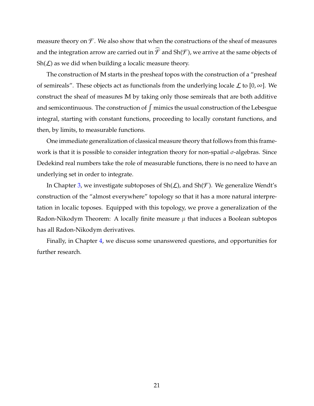measure theory on  $\mathcal F$ . We also show that when the constructions of the sheaf of measures and the integration arrow are carried out in  $\widehat{\mathcal{F}}$  and Sh( $\mathcal{F}$ ), we arrive at the same objects of  $\text{Sh}(\mathcal{L})$  as we did when building a localic measure theory.

The construction of M starts in the presheaf topos with the construction of a "presheaf of semireals". These objects act as functionals from the underlying locale  $\mathcal L$  to  $[0, \infty]$ . We construct the sheaf of measures M by taking only those semireals that are both additive and semicontinuous. The construction of  $\int$  mimics the usual construction of the Lebesgue integral, starting with constant functions, proceeding to locally constant functions, and then, by limits, to measurable functions.

One immediate generalization of classical measure theory that follows from this framework is that it is possible to consider integration theory for non-spatial  $\sigma$ -algebras. Since Dedekind real numbers take the role of measurable functions, there is no need to have an underlying set in order to integrate.

In Chapter [3,](#page-76-0) we investigate subtoposes of  $\text{Sh}(\mathcal{L})$ , and  $\text{Sh}(\mathcal{F})$ . We generalize Wendt's construction of the "almost everywhere" topology so that it has a more natural interpretation in localic toposes. Equipped with this topology, we prove a generalization of the Radon-Nikodym Theorem: A locally finite measure  $\mu$  that induces a Boolean subtopos has all Radon-Nikodym derivatives.

Finally, in Chapter [4,](#page-117-0) we discuss some unanswered questions, and opportunities for further research.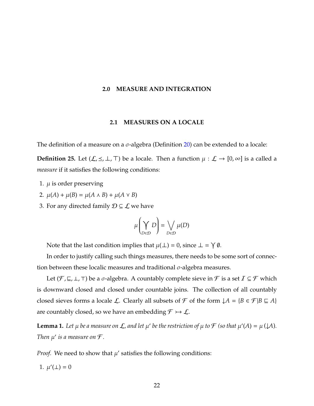#### <span id="page-28-0"></span>**2.0 MEASURE AND INTEGRATION**

#### **2.1 MEASURES ON A LOCALE**

<span id="page-28-1"></span>The definition of a measure on a  $\sigma$ -algebra (Definition [20\)](#page-23-1) can be extended to a locale:

**Definition 25.** Let  $(L, \leq, \perp, \top)$  be a locale. Then a function  $\mu : L \to [0, \infty]$  is a called a *measure* if it satisfies the following conditions:

- 1.  $\mu$  is order preserving
- 2.  $\mu(A) + \mu(B) = \mu(A \wedge B) + \mu(A \vee B)$
- 3. For any directed family  $\mathcal{D} \subseteq \mathcal{L}$  we have

$$
\mu\left(\bigvee_{D\in\mathcal{D}}D\right)=\bigvee_{D\in\mathcal{D}}\mu(D)
$$

Note that the last condition implies that  $\mu(\perp) = 0$ , since  $\perp = \gamma \emptyset$ .

In order to justify calling such things measures, there needs to be some sort of connection between these localic measures and traditional σ-algebra measures.

Let ( $\mathcal{F}, \subseteq, \perp, \top$ ) be a  $\sigma$ -algebra. A countably complete sieve in  $\mathcal{F}$  is a set  $I \subseteq \mathcal{F}$  which is downward closed and closed under countable joins. The collection of all countably closed sieves forms a locale  $\mathcal{L}$ . Clearly all subsets of  $\mathcal{F}$  of the form  $\downarrow A = \{B \in \mathcal{F} | B \sqsubseteq A\}$ are countably closed, so we have an embedding  $\mathcal{F} \rightarrow \mathcal{L}$ .

<span id="page-28-2"></span>**Lemma 1.** Let  $\mu$  be a measure on  $\mathcal{L}$ , and let  $\mu'$  be the restriction of  $\mu$  to  $\mathcal{F}$  (so that  $\mu'(A) = \mu(\downarrow A)$ . *Then*  $\mu'$  *is a measure on*  $\mathcal{F}$  *.* 

*Proof.* We need to show that  $\mu'$  satisfies the following conditions:

1.  $\mu'(\perp) = 0$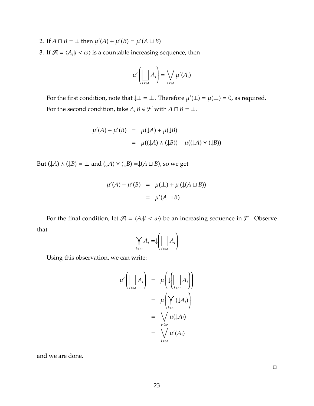- 2. If  $A \sqcap B = \bot$  then  $\mu'(A) + \mu'(B) = \mu'(A \sqcup B)$
- 3. If  $\mathcal{A} = \langle A_i | i \langle \omega \rangle$  is a countable increasing sequence, then

$$
\mu'\left(\bigsqcup_{i<\omega}A_i\right)=\bigvee_{i<\omega}\mu'(A_i)
$$

For the first condition, note that  $\downarrow \perp = \perp$ . Therefore  $\mu'(\perp) = \mu(\perp) = 0$ , as required. For the second condition, take  $A, B \in \mathcal{F}$  with  $A \cap B = \bot$ .

$$
\mu'(A) + \mu'(B) = \mu(\downarrow A) + \mu(\downarrow B)
$$
  
= 
$$
\mu((\downarrow A) \land (\downarrow B)) + \mu((\downarrow A) \lor (\downarrow B))
$$

But  $(\downarrow A) \wedge (\downarrow B) = \perp$  and  $(\downarrow A) \vee (\downarrow B) = \downarrow (A \sqcup B)$ , so we get

$$
\mu'(A) + \mu'(B) = \mu(\bot) + \mu(\downarrow (A \sqcup B))
$$

$$
= \mu'(A \sqcup B)
$$

For the final condition, let  $\mathcal{A} = \langle A_i | i \langle \omega \rangle$  be an increasing sequence in  $\mathcal{F}$ . Observe that

$$
\bigvee_{i<\omega}A_i=\downarrow\left(\bigsqcup_{i<\omega}A_i\right)
$$

Using this observation, we can write:

$$
\mu'\left(\bigsqcup_{i<\omega}A_i\right) = \mu\left(\downarrow\left(\bigsqcup_{i<\omega}A_i\right)\right)
$$

$$
= \mu\left(\bigvee_{i<\omega}(\downarrow A_i)\right)
$$

$$
= \bigvee_{i<\omega} \mu(\downarrow A_i)
$$

$$
= \bigvee_{i<\omega} \mu'(A_i)
$$

<span id="page-29-0"></span>and we are done.

 $\Box$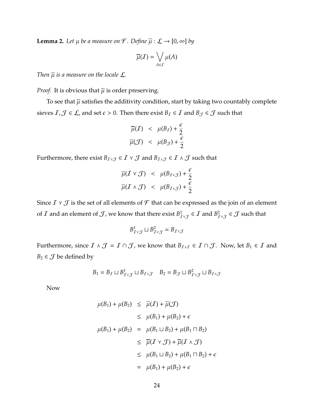**Lemma 2.** Let  $\mu$  be a measure on  $\mathcal{F}$ . Define  $\overline{\mu}: \mathcal{L} \to [0, \infty]$  by

$$
\overline{\mu}(\mathcal{I}) = \bigvee_{A \in \mathcal{I}} \mu(A)
$$

*Then*  $\overline{\mu}$  *is a measure on the locale*  $\mathcal{L}$ *.* 

*Proof.* It is obvious that  $\overline{\mu}$  is order preserving.

To see that  $\overline{\mu}$  satisfies the additivity condition, start by taking two countably complete sieves  $\mathcal{I}, \mathcal{J} \in \mathcal{L}$ , and set  $\epsilon > 0$ . Then there exist  $B_{\mathcal{I}} \in \mathcal{I}$  and  $B_{\mathcal{J}} \in \mathcal{J}$  such that

$$
\overline{\mu}(I) < \mu(B_I) + \frac{\epsilon}{2} \n\overline{\mu}(\mathcal{J}) < \mu(B_{\mathcal{J}}) + \frac{\epsilon}{2}
$$

Furthermore, there exist  $B_{I \vee J} \in I \vee J$  and  $B_{I \wedge J} \in I \wedge J$  such that

$$
\overline{\mu}(\mathcal{I} \vee \mathcal{J}) < \mu(B_{\mathcal{I} \vee \mathcal{J}}) + \frac{\epsilon}{2} \\
\overline{\mu}(\mathcal{I} \wedge \mathcal{J}) < \mu(B_{\mathcal{I} \wedge \mathcal{J}}) + \frac{\epsilon}{2}
$$

Since  $I \vee J$  is the set of all elements of  $\mathcal F$  that can be expressed as the join of an element of  $I$  and an element of  $J$ , we know that there exist  $B^1_{I \vee I} \in I$  and  $B^2_{I \vee I} \in J$  such that

$$
B^1_{I \vee J} \sqcup B^2_{I \vee J} = B_{I \vee J}
$$

Furthermore, since  $\mathcal{I} \wedge \mathcal{J} = \mathcal{I} \cap \mathcal{J}$ , we know that  $B_{\mathcal{I} \wedge \mathcal{I}} \in \mathcal{I} \cap \mathcal{J}$ . Now, let  $B_1 \in \mathcal{I}$  and  $B_2 \in \mathcal{J}$  be defined by

$$
B_1 = B_{\mathcal{I}} \sqcup B^1_{\mathcal{I} \vee \mathcal{J}} \sqcup B_{\mathcal{I} \wedge \mathcal{J}} \quad B_2 = B_{\mathcal{J}} \sqcup B^2_{\mathcal{I} \vee \mathcal{J}} \sqcup B_{\mathcal{I} \wedge \mathcal{J}}
$$

Now

$$
\mu(B_1) + \mu(B_2) \leq \overline{\mu}(I) + \overline{\mu}(J)
$$
  
\n
$$
\leq \mu(B_1) + \mu(B_2) + \epsilon
$$
  
\n
$$
\mu(B_1) + \mu(B_2) = \mu(B_1 \sqcup B_2) + \mu(B_1 \sqcap B_2)
$$
  
\n
$$
\leq \overline{\mu}(I \vee J) + \overline{\mu}(I \wedge J)
$$
  
\n
$$
\leq \mu(B_1 \sqcup B_2) + \mu(B_1 \sqcap B_2) + \epsilon
$$
  
\n
$$
= \mu(B_1) + \mu(B_2) + \epsilon
$$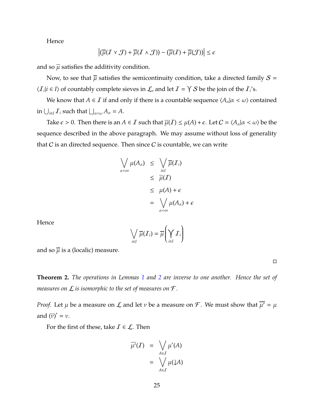Hence

$$
\left| (\overline{\mu}(I \vee \mathcal{J}) + \overline{\mu}(I \wedge \mathcal{J})) - (\overline{\mu}(I) + \overline{\mu}(\mathcal{J})) \right| \leq \epsilon
$$

and so  $\overline{\mu}$  satisfies the additivity condition.

Now, to see that  $\overline{\mu}$  satisfies the semicontinuity condition, take a directed family  $S =$  $\langle I_i | i \in I \rangle$  of countably complete sieves in  $\mathcal{L}$ , and let  $I = \gamma S$  be the join of the  $I_i$ 's.

We know that *A*  $\in$  *I* if and only if there is a countable sequence  $\langle A_\alpha | \alpha \langle \omega \rangle$  contained in  $\bigcup_{i \in I} I_i$  such that  $\bigsqcup_{\alpha < \omega} A_\alpha = A$ .

Take  $\epsilon > 0$ . Then there is an  $A \in \mathcal{I}$  such that  $\overline{\mu}(\mathcal{I}) \leq \mu(A) + \epsilon$ . Let  $C = \langle A_\alpha | \alpha < \omega \rangle$  be the sequence described in the above paragraph. We may assume without loss of generality that  $C$  is an directed sequence. Then since  $C$  is countable, we can write

$$
\bigvee_{\alpha < \infty} \mu(A_{\alpha}) \leq \bigvee_{i \in I} \overline{\mu}(I_{i})
$$
\n
$$
\leq \overline{\mu}(I)
$$
\n
$$
\leq \mu(A) + \epsilon
$$
\n
$$
= \bigvee_{\alpha < \infty} \mu(A_{\alpha}) + \epsilon
$$

Hence

$$
\bigvee_{i\in I}\overline{\mu}(\mathcal{I}_i)=\overline{\mu}\bigg(\bigvee_{i\in I}\mathcal{I}_i\bigg)
$$

and so  $\overline{\mu}$  is a (localic) measure.

 $\Box$ 

<span id="page-31-0"></span>**Theorem 2.** *The operations in Lemmas [1](#page-28-2) and [2](#page-29-0) are inverse to one another. Hence the set of measures on* L *is isomorphic to the set of measures on* F *.*

*Proof.* Let  $\mu$  be a measure on  $\mathcal L$  and let  $\nu$  be a measure on  $\mathcal F$ . We must show that  $\overline{\mu'} = \mu$ and  $(\overline{\nu})' = \nu$ .

For the first of these, take  $\mathcal{I} \in \mathcal{L}$ . Then

$$
\overline{\mu'}(I) = \bigvee_{A \in I} \mu'(A)
$$

$$
= \bigvee_{A \in I} \mu(\downarrow A)
$$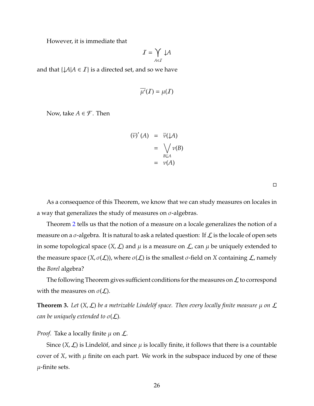However, it is immediate that

$$
I = \bigvee_{A \in I} \downarrow A
$$

and that  $\{\downarrow A | A \in I\}$  is a directed set, and so we have

$$
\overline{\mu'}(I) = \mu(I)
$$

Now, take  $A \in \mathcal{F}$ . Then

$$
(\overline{\nu})'(A) = \overline{\nu}(\downarrow A)
$$
  
=  $\bigvee_{B \subseteq A} \nu(B)$   
=  $\nu(A)$ 

As a consequence of this Theorem, we know that we can study measures on locales in a way that generalizes the study of measures on  $\sigma$ -algebras.

Theorem [2](#page-31-0) tells us that the notion of a measure on a locale generalizes the notion of a measure on a  $\sigma$ -algebra. It is natural to ask a related question: If  $\mathcal L$  is the locale of open sets in some topological space  $(X, \mathcal{L})$  and  $\mu$  is a measure on  $\mathcal{L}$ , can  $\mu$  be uniquely extended to the measure space  $(X, \sigma(\mathcal{L}))$ , where  $\sigma(\mathcal{L})$  is the smallest  $\sigma$ -field on *X* containing  $\mathcal{L}$ , namely the *Borel* algebra?

The following Theorem gives sufficient conditions for the measures on  $\mathcal L$  to correspond with the measures on  $\sigma(\mathcal{L})$ .

**Theorem 3.** Let  $(X, \mathcal{L})$  be a metrizable Lindelöf space. Then every locally finite measure  $\mu$  on  $\mathcal{L}$ *can be uniquely extended to*  $\sigma(\mathcal{L})$ *.* 

*Proof.* Take a locally finite  $\mu$  on  $\mathcal{L}$ .

Since  $(X, \mathcal{L})$  is Lindelöf, and since  $\mu$  is locally finite, it follows that there is a countable cover of *X*, with  $\mu$  finite on each part. We work in the subspace induced by one of these  $\mu$ -finite sets.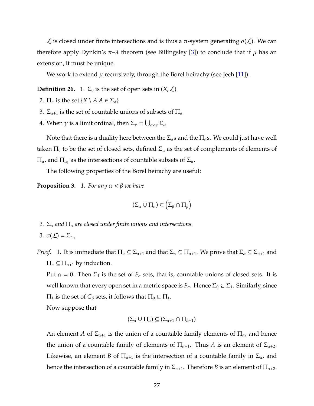L is closed under finite intersections and is thus a π-system generating  $σ(L)$ . We can therefore apply Dynkin's  $\pi-\lambda$  theorem (see Billingsley [\[3\]](#page-123-4)) to conclude that if  $\mu$  has an extension, it must be unique.

We work to extend  $\mu$  recursively, through the Borel heirachy (see Jech [\[11\]](#page-124-12)).

**Definition 26.** 1.  $\Sigma_0$  is the set of open sets in  $(X, \mathcal{L})$ 

- 2.  $\Pi_{\alpha}$  is the set  $\{X \setminus A | A \in \Sigma_{\alpha}\}\$
- 3.  $\Sigma_{\alpha+1}$  is the set of countable unions of subsets of  $\Pi_{\alpha}$
- 4. When  $\gamma$  is a limit ordinal, then  $\Sigma_{\gamma} = \bigcup_{\alpha < \gamma} \Sigma_{\alpha}$

Note that there is a duality here between the  $\Sigma_{\alpha}$ s and the  $\Pi_{\alpha}$ s. We could just have well taken  $\Pi_0$  to be the set of closed sets, defined  $\Sigma_\alpha$  as the set of complements of elements of  $\Pi_{\alpha}$ , and  $\Pi_{\alpha_1}$  as the intersections of countable subsets of  $\Sigma_{\alpha}$ .

The following properties of the Borel heirachy are useful:

**Proposition 3.** *1. For any*  $\alpha < \beta$  *we have* 

$$
(\Sigma_{\alpha} \cup \Pi_{\alpha}) \subseteq (\Sigma_{\beta} \cap \Pi_{\beta})
$$

*2.*  $\Sigma_{\alpha}$  *and*  $\Pi_{\alpha}$  *are closed under finite unions and intersections. 3.*  $σ(L) = Σ<sub>ω<sub>1</sub>}</sub>$ 

*Proof.* 1. It is immediate that  $\Pi_\alpha \subseteq \Sigma_{\alpha+1}$  and that  $\Sigma_\alpha \subseteq \Pi_{\alpha+1}$ . We prove that  $\Sigma_\alpha \subseteq \Sigma_{\alpha+1}$  and  $\Pi_{\alpha} \subseteq \Pi_{\alpha+1}$  by induction.

Put  $\alpha = 0$ . Then  $\Sigma_1$  is the set of  $F_\sigma$  sets, that is, countable unions of closed sets. It is well known that every open set in a metric space is  $F_{\sigma}$ . Hence  $\Sigma_0 \subseteq \Sigma_1$ . Similarly, since  $\Pi$ <sup>1</sup> is the set of *G*<sup>δ</sup> sets, it follows that  $\Pi$ <sup>0</sup> ⊆  $\Pi$ <sup>1</sup>.

Now suppose that

$$
(\Sigma_\alpha\cup\Pi_\alpha)\subseteq(\Sigma_{\alpha+1}\cap\Pi_{\alpha+1})
$$

An element *A* of  $\Sigma_{\alpha+1}$  is the union of a countable family elements of  $\Pi_{\alpha}$ , and hence the union of a countable family of elements of  $\Pi_{\alpha+1}$ . Thus *A* is an element of  $\Sigma_{\alpha+2}$ . Likewise, an element *B* of  $\Pi_{\alpha+1}$  is the intersection of a countable family in  $\Sigma_{\alpha}$ , and hence the intersection of a countable family in  $\Sigma_{\alpha+1}$ . Therefore *B* is an element of  $\Pi_{\alpha+2}$ .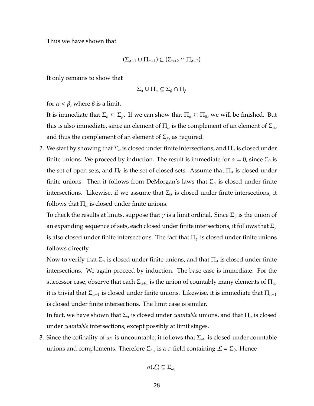Thus we have shown that

$$
(\Sigma_{\alpha+1}\cup\Pi_{\alpha+1})\subseteq(\Sigma_{\alpha+2}\cap\Pi_{\alpha+2})
$$

It only remains to show that

$$
\Sigma_{\alpha} \cup \Pi_{\alpha} \subseteq \Sigma_{\beta} \cap \Pi_{\beta}
$$

for  $\alpha < \beta$ , where  $\beta$  is a limit.

It is immediate that  $\Sigma_\alpha \subseteq \Sigma_\beta$ . If we can show that  $\Pi_\alpha \subseteq \Pi_\beta$ , we will be finished. But this is also immediate, since an element of  $\Pi_{\alpha}$  is the complement of an element of  $\Sigma_{\alpha}$ , and thus the complement of an element of  $\Sigma_{\beta}$ , as required.

2. We start by showing that  $\Sigma_\alpha$  is closed under finite intersections, and  $\Pi_\alpha$  is closed under finite unions. We proceed by induction. The result is immediate for  $\alpha = 0$ , since  $\Sigma_0$  is the set of open sets, and  $\Pi_0$  is the set of closed sets. Assume that  $\Pi_\alpha$  is closed under finite unions. Then it follows from DeMorgan's laws that  $\Sigma_{\alpha}$  is closed under finite intersections. Likewise, if we assume that  $\Sigma_{\alpha}$  is closed under finite intersections, it follows that  $\Pi_{\alpha}$  is closed under finite unions.

To check the results at limits, suppose that  $\gamma$  is a limit ordinal. Since  $\Sigma_{\gamma}$  is the union of an expanding sequence of sets, each closed under finite intersections, it follows that  $\Sigma_{\gamma}$ is also closed under finite intersections. The fact that  $\Pi_{\gamma}$  is closed under finite unions follows directly.

Now to verify that  $\Sigma_{\alpha}$  is closed under finite unions, and that  $\Pi_{\alpha}$  is closed under finite intersections. We again proceed by induction. The base case is immediate. For the successor case, observe that each  $\Sigma_{\alpha+1}$  is the union of countably many elements of  $\Pi_{\alpha}$ , it is trivial that  $\Sigma_{\alpha+1}$  is closed under finite unions. Likewise, it is immediate that  $\Pi_{\alpha+1}$ is closed under finite intersections. The limit case is similar.

In fact, we have shown that  $\Sigma_{\alpha}$  is closed under *countable* unions, and that  $\Pi_{\alpha}$  is closed under *countable* intersections, except possibly at limit stages.

3. Since the cofinality of  $\omega_1$  is uncountable, it follows that  $\Sigma_{\omega_1}$  is closed under countable unions and complements. Therefore  $\Sigma_{\omega_1}$  is a  $\sigma$ -field containing  $\mathcal{L} = \Sigma_0$ . Hence

$$
\sigma(\mathcal{L}) \subseteq \Sigma_{\omega_1}
$$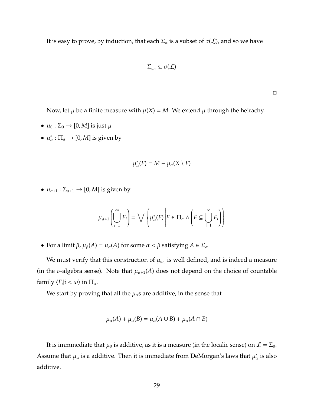It is easy to prove, by induction, that each  $\Sigma_{\alpha}$  is a subset of  $\sigma(\mathcal{L})$ , and so we have

$$
\Sigma_{\omega_1} \subseteq \sigma(\mathcal{L})
$$

 $\Box$ 

Now, let  $\mu$  be a finite measure with  $\mu(X) = M$ . We extend  $\mu$  through the heirachy.

- $\mu_0 : \Sigma_0 \to [0, M]$  is just  $\mu$
- $\mu_a^*$  $C_{\alpha}^* : \Pi_{\alpha} \to [0, M]$  is given by

$$
\mu_{\alpha}^*(F)=M-\mu_{\alpha}(X\setminus F)
$$

•  $\mu_{\alpha+1} : \Sigma_{\alpha+1} \to [0,M]$  is given by

$$
\mu_{\alpha+1}\left(\bigcup_{i=1}^{\infty} F_i\right) = \bigvee \left\{\mu_{\alpha}^*(F)\middle| F \in \Pi_{\alpha} \wedge \left(F \subseteq \bigcup_{i=1}^{\infty} F_i\right)\right\}
$$

• For a limit  $\beta$ ,  $\mu_{\beta}(A) = \mu_{\alpha}(A)$  for some  $\alpha < \beta$  satisfying  $A \in \Sigma_{\alpha}$ 

We must verify that this construction of  $\mu_{\omega_1}$  is well defined, and is indeed a measure (in the  $\sigma$ -algebra sense). Note that  $\mu_{\alpha+1}(A)$  does not depend on the choice of countable family  $\langle F_i | i < \omega \rangle$  in  $\Pi_\alpha$ .

We start by proving that all the  $\mu_{\alpha}$ s are additive, in the sense that

$$
\mu_{\alpha}(A) + \mu_{\alpha}(B) = \mu_{\alpha}(A \cup B) + \mu_{\alpha}(A \cap B)
$$

It is immmediate that  $\mu_0$  is additive, as it is a measure (in the localic sense) on  $\mathcal{L} = \Sigma_0$ . Assume that  $\mu_{\alpha}$  is a additive. Then it is immediate from DeMorgan's laws that  $\mu_{\alpha}^*$  $_{\alpha}^*$  is also additive.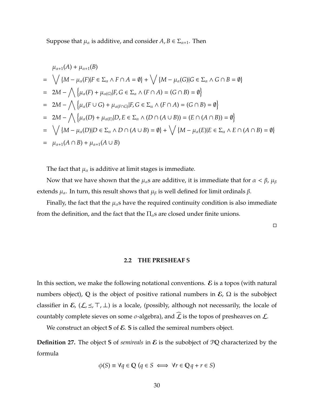Suppose that  $\mu_{\alpha}$  is additive, and consider  $A, B \in \Sigma_{\alpha+1}$ . Then

$$
\mu_{\alpha+1}(A) + \mu_{\alpha+1}(B)
$$
\n
$$
= \sqrt{\{M - \mu_{\alpha}(F)|F \in \Sigma_{\alpha} \land F \cap A = \emptyset\}} + \sqrt{\{M - \mu_{\alpha}(G)|G \in \Sigma_{\alpha} \land G \cap B = \emptyset\}}
$$
\n
$$
= 2M - \sqrt{\{\mu_{\alpha}(F) + \mu_{\alpha(G)}|F, G \in \Sigma_{\alpha} \land (F \cap A) = (G \cap B) = \emptyset\}}
$$
\n
$$
= 2M - \sqrt{\{\mu_{\alpha}(F \cup G) + \mu_{\alpha(F \cap G)}|F, G \in \Sigma_{\alpha} \land (F \cap A) = (G \cap B) = \emptyset\}}
$$
\n
$$
= 2M - \sqrt{\{\mu_{\alpha}(D) + \mu_{\alpha(E)}|D, E \in \Sigma_{\alpha} \land (D \cap (A \cup B)) = (E \cap (A \cap B)) = \emptyset\}}
$$
\n
$$
= \sqrt{\{M - \mu_{\alpha}(D)|D \in \Sigma_{\alpha} \land D \cap (A \cup B) = \emptyset\}} + \sqrt{\{M - \mu_{\alpha}(E)|E \in \Sigma_{\alpha} \land E \cap (A \cap B) = \emptyset\}}
$$
\n
$$
= \mu_{\alpha+1}(A \cap B) + \mu_{\alpha+1}(A \cup B)
$$

The fact that  $\mu_{\alpha}$  is additive at limit stages is immediate.

Now that we have shown that the  $\mu_{\alpha}$ s are additive, it is immediate that for  $\alpha < \beta$ ,  $\mu_{\beta}$ extends  $\mu_{\alpha}$ . In turn, this result shows that  $\mu_{\beta}$  is well defined for limit ordinals  $\beta$ .

Finally, the fact that the  $\mu_{\alpha}$ s have the required continuity condition is also immediate from the definition, and the fact that the  $\Pi_{\alpha}$ s are closed under finite unions.

 $\Box$ 

## **2.2 THE PRESHEAF** S

In this section, we make the following notational conventions.  $\mathcal E$  is a topos (with natural numbers object), Q is the object of positive rational numbers in  $\mathcal{E}$ ,  $\Omega$  is the subobject classifier in  $\mathcal{E}$ ,  $(\mathcal{L}, \leq, \top, \bot)$  is a locale, (possibly, although not necessarily, the locale of countably complete sieves on some  $\sigma$ -algebra), and  $\widehat{\mathcal{L}}$  is the topos of presheaves on  $\mathcal{L}$ .

We construct an object  $S$  of  $\mathcal E$ .  $S$  is called the semireal numbers object.

**Definition 27.** The object S of *semireals* in  $\mathcal{E}$  is the subobject of PQ characterized by the formula

$$
\phi(S) \equiv \forall q \in \mathbb{Q} \ (q \in S \iff \forall r \in \mathbb{Q} \ q + r \in S)
$$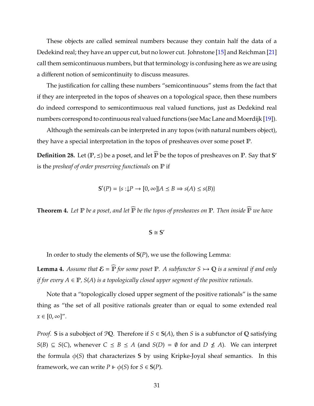These objects are called semireal numbers because they contain half the data of a Dedekind real; they have an upper cut, but no lower cut. Johnstone [\[15\]](#page-124-0) and Reichman [\[21\]](#page-124-1) call them semicontinuous numbers, but that terminology is confusing here as we are using a different notion of semicontinuity to discuss measures.

The justification for calling these numbers "semicontinuous" stems from the fact that if they are interpreted in the topos of sheaves on a topological space, then these numbers do indeed correspond to semicontimuous real valued functions, just as Dedekind real numbers correspond to continuous real valued functions (see Mac Lane and Moerdijk [\[19\]](#page-124-2)).

Although the semireals can be interpreted in any topos (with natural numbers object), they have a special interpretation in the topos of presheaves over some poset P.

**Definition 28.** Let  $(\mathbb{P}, \leq)$  be a poset, and let  $\widehat{\mathbb{P}}$  be the topos of presheaves on  $\mathbb{P}$ . Say that  $\mathbb{S}'$ is the *presheaf of order preserving functionals* on P if

$$
\mathbb{S}'(P) = \{ s : \downarrow\!\!P \to [0, \infty] | A \leq B \Rightarrow s(A) \leq s(B) \}
$$

<span id="page-37-0"></span>**Theorem 4.** Let  $\mathbb P$  be a poset, and let  $\widehat{\mathbb P}$  be the topos of presheaves on  $\mathbb P$ . Then inside  $\widehat{\mathbb P}$  we have

 $S \cong S'$ 

In order to study the elements of S(*P*), we use the following Lemma:

<span id="page-37-1"></span>**Lemma 4.** *Assume that*  $\mathcal{E} = \widehat{\mathbb{P}}$  *for some poset*  $\mathbb{P}$ *. A subfunctor*  $S \rightarrow \mathbb{Q}$  *is a semireal if and only if for every*  $A \in \mathbb{P}$ ,  $S(A)$  *is a topologically closed upper segment of the positive rationals.* 

Note that a "topologically closed upper segment of the positive rationals" is the same thing as "the set of all positive rationals greater than or equal to some extended real  $x \in [0, \infty]$ ".

*Proof.* S is a subobject of PQ. Therefore if  $S \in S(A)$ , then *S* is a subfunctor of Q satisfying *S*(*B*) ⊆ *S*(*C*), whenever *C*  $\leq$  *B*  $\leq$  *A* (and *S*(*D*) = ∅ for and *D*  $\nleq$  *A*). We can interpret the formula  $\phi(S)$  that characterizes S by using Kripke-Joyal sheaf semantics. In this framework, we can write  $P \vDash \phi(S)$  for  $S \in \mathbb{S}(P)$ .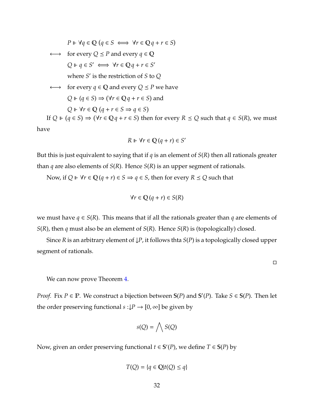$$
P \Vdash \forall q \in \mathbb{Q} \ (q \in S \iff \forall r \in \mathbb{Q} \ q + r \in S)
$$
\n
$$
\iff \text{ for every } Q \le P \text{ and every } q \in \mathbb{Q}
$$
\n
$$
Q \Vdash q \in S' \iff \forall r \in \mathbb{Q} \ q + r \in S'
$$
\n
$$
\text{where } S' \text{ is the restriction of } S \text{ to } Q
$$
\n
$$
\iff \text{ for every } q \in \mathbb{Q} \text{ and every } Q \le P \text{ we have}
$$
\n
$$
Q \Vdash (q \in S) \Rightarrow (\forall r \in \mathbb{Q} \ q + r \in S) \text{ and}
$$
\n
$$
Q \Vdash \forall r \in \mathbb{Q} \ (q + r \in S \Rightarrow q \in S)
$$
\n
$$
\text{If } Q \Vdash (q \in S) \Rightarrow (\forall r \in \mathbb{Q} \ q + r \in S) \text{ then for every } R \le Q \text{ such that } q \in S(R), \text{ we must have}
$$

$$
R \Vdash \forall r \in \mathbb{Q} \left( q + r \right) \in S'
$$

But this is just equivalent to saying that if  $q$  is an element of  $S(R)$  then all rationals greater than *q* are also elements of *S*(*R*). Hence *S*(*R*) is an upper segment of rationals.

Now, if *Q* ⊩  $\forall r \in Q$  (*q* + *r*)  $\in S$   $\Rightarrow$  *q*  $\in S$ , then for every *R*  $\le$  *Q* such that

$$
\forall r \in \mathbb{Q} \left( q + r \right) \in S(R)
$$

we must have  $q \in S(R)$ . This means that if all the rationals greater than *q* are elements of *S*(*R*), then *q* must also be an element of *S*(*R*). Hence *S*(*R*) is (topologically) closed.

Since *R* is an arbitrary element of  $\downarrow P$ , it follows thta *S*(*P*) is a topologically closed upper segment of rationals.

 $\Box$ 

We can now prove Theorem [4.](#page-37-0)

*Proof.* Fix  $P \in \mathbb{P}$ . We construct a bijection between  $\mathbb{S}(P)$  and  $\mathbb{S}'(P)$ . Take  $S \in \mathbb{S}(P)$ . Then let the order preserving functional  $s : \downarrow P \rightarrow [0, \infty]$  be given by

$$
s(Q) = \bigwedge S(Q)
$$

Now, given an order preserving functional  $t \in S'(P)$ , we define  $T \in S(P)$  by

$$
T(Q) = \{q \in \mathbb{Q} | t(Q) \le q\}
$$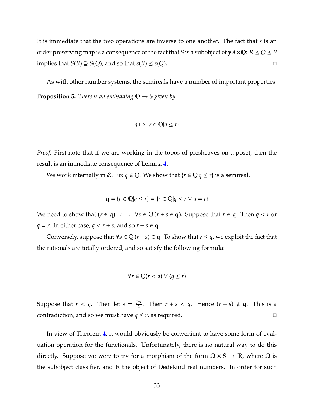It is immediate that the two operations are inverse to one another. The fact that *s* is an order preserving map is a consequence of the fact that *S* is a subobject of  $yA \times Q$ :  $R \le Q \le P$ implies that *S*(*R*) ⊇ *S*(*Q*), and so that *s*(*R*) ≤ *s*(*Q*).  $\Box$ 

As with other number systems, the semireals have a number of important properties. **Proposition 5.** *There is an embedding*  $Q \rightarrow S$  *given by* 

$$
q \mapsto \{ r \in \mathbb{Q} | q \le r \}
$$

*Proof.* First note that if we are working in the topos of presheaves on a poset, then the result is an immediate consequence of Lemma [4.](#page-37-1)

We work internally in E. Fix  $q \in \mathbb{Q}$ . We show that  $\{r \in \mathbb{Q} | q \le r\}$  is a semireal.

$$
\mathbf{q} = \{r \in \mathbb{Q} | q \le r\} = \{r \in \mathbb{Q} | q < r \lor q = r\}
$$

We need to show that  $(r \in \mathbf{q}) \iff \forall s \in \mathbb{Q} (r + s \in \mathbf{q})$ . Suppose that  $r \in \mathbf{q}$ . Then  $q < r$  or *q* = *r*. In either case, *q* < *r* + *s*, and so *r* + *s*  $\in$  **q**.

Conversely, suppose that  $\forall s \in \mathbb{Q}$  ( $r + s$ )  $\in \mathsf{q}$ . To show that  $r \leq q$ , we exploit the fact that the rationals are totally ordered, and so satisfy the following formula:

$$
\forall r \in \mathbb{Q}(r < q) \lor (q \leq r)
$$

Suppose that *r* < *q*. Then let  $s = \frac{q-r}{2}$  $\frac{r}{2}$ . Then  $r + s < q$ . Hence  $(r + s) \notin q$ . This is a contradiction, and so we must have  $q \le r$ , as required.

In view of Theorem [4,](#page-37-0) it would obviously be convenient to have some form of evaluation operation for the functionals. Unfortunately, there is no natural way to do this directly. Suppose we were to try for a morphism of the form  $\Omega \times S \to \mathbb{R}$ , where  $\Omega$  is the subobject classifier, and R the object of Dedekind real numbers. In order for such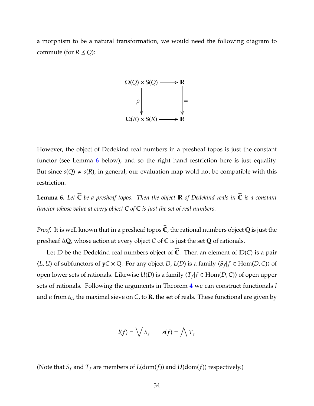a morphism to be a natural transformation, we would need the following diagram to commute (for  $R \leq Q$ ):



However, the object of Dedekind real numbers in a presheaf topos is just the constant functor (see Lemma [6](#page-40-0) below), and so the right hand restriction here is just equality. But since  $s(Q) \neq s(R)$ , in general, our evaluation map wold not be compatible with this restriction.

<span id="page-40-0"></span>**Lemma 6.** Let  $\widehat{\mathbb{C}}$  be a presheaf topos. Then the object  $\mathbb{R}$  of Dedekind reals in  $\widehat{\mathbb{C}}$  is a constant *functor whose value at every object C of* C *is just the set of real numbers.*

*Proof.* It is well known that in a presheaf topos  $\widehat{\mathbb{C}}$ , the rational numbers object Q is just the presheaf ∆**Q**, whose action at every object *C* of C is just the set **Q** of rationals.

Let  $\mathbb D$  be the Dedekind real numbers object of  $\widehat{\mathbb C}$ . Then an element of  $\mathbb D(C)$  is a pair  $\langle L, U \rangle$  of subfunctors of **y***C* × **Q**. For any object *D*, *L*(*D*) is a family  $\langle S_f | f \in Hom(D, C) \rangle$  of open lower sets of rationals. Likewise  $U(D)$  is a family  $\langle T_f | f \in Hom(D, C) \rangle$  of open upper sets of rationals. Following the arguments in Theorem [4](#page-37-0) we can construct functionals *l* and *u* from *tC*, the maximal sieve on *C*, to **R**, the set of reals. These functional are given by

$$
l(f) = \bigvee S_f \qquad s(f) = \bigwedge T_f
$$

(Note that  $S_f$  and  $T_f$  are members of  $L(\text{dom}(f))$  and  $U(\text{dom}(f))$  respectively.)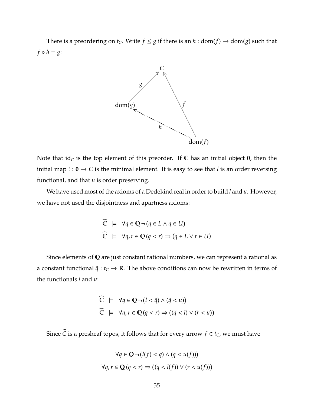There is a preordering on  $t_c$ . Write  $f \le g$  if there is an  $h : dom(f) \to dom(g)$  such that  $f \circ h = g$ :



Note that  $id_{\mathcal{C}}$  is the top element of this preorder. If  $\mathbb{C}$  has an initial object  $\mathbf{0}$ , then the initial map  $\mathsf{I}: \mathbf{0} \to \mathbb{C}$  is the minimal element. It is easy to see that *l* is an order reversing functional, and that *u* is order preserving.

We have used most of the axioms of a Dedekind real in order to build *l* and *u*. However, we have not used the disjointness and apartness axioms:

$$
\widehat{\mathbb{C}} \models \forall q \in \mathbb{Q} \neg (q \in L \land q \in U)
$$
  

$$
\widehat{\mathbb{C}} \models \forall q, r \in \mathbb{Q} (q < r) \Rightarrow (q \in L \lor r \in U)
$$

Since elements of Q are just constant rational numbers, we can represent a rational as a constant functional  $\tilde{q}$  :  $t_C \rightarrow \mathbf{R}$ . The above conditions can now be rewritten in terms of the functionals *l* and *u*:

$$
\begin{aligned}\n\widehat{\mathbb{C}} & \models \forall q \in \mathbb{Q} \neg (l < \tilde{q}) \land (\tilde{q} < u) \\
\widehat{\mathbb{C}} & \models \forall q, r \in \mathbb{Q} \, (q < r) \Rightarrow ((\tilde{q} < l) \lor (\tilde{r} < u))\n\end{aligned}
$$

Since  $\widehat{C}$  is a presheaf topos, it follows that for every arrow  $f \in t_C$ , we must have

$$
\forall q \in \mathbf{Q} \neg (l(f) < q) \land (q < u(f)))
$$
\n
$$
\forall q, r \in \mathbf{Q} \ (q < r) \Rightarrow ((q < l(f)) \lor (r < u(f)))
$$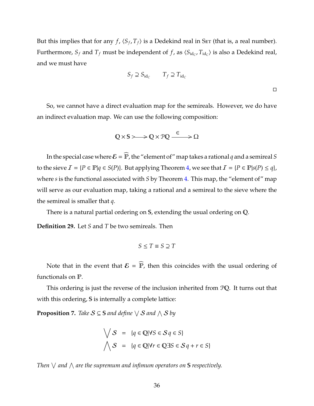But this implies that for any  $f$ ,  $\langle S_f, T_f \rangle$  is a Dedekind real in S<sub>ET</sub> (that is, a real number). Furthermore,  $S_f$  and  $T_f$  must be independent of  $f$ , as  $\langle S_{\text{id}_C}, T_{\text{id}_C} \rangle$  is also a Dedekind real, and we must have

$$
S_f \supseteq S_{\text{id}_C} \qquad T_f \supseteq T_{\text{id}_C}
$$

So, we cannot have a direct evaluation map for the semireals. However, we do have an indirect evaluation map. We can use the following composition:

$$
\mathbb{Q} \times \mathbb{S} \rightarrow \mathbb{Q} \times \mathbb{P} \mathbb{Q} \xrightarrow{\in} \Omega
$$

In the special case where  $\mathcal{E} = \widehat{\mathbb{P}}$ , the "element of" map takes a rational *q* and a semireal *S* to the sieve  $\mathcal{I} = \{P \in \mathbb{P} | q \in S(P)\}$ . But applying Theorem [4,](#page-37-0) we see that  $\mathcal{I} = \{P \in \mathbb{P} | s(P) \le q\}$ , where *s* is the functional associated with *S* by Theorem [4.](#page-37-0) This map, the "element of" map will serve as our evaluation map, taking a rational and a semireal to the sieve where the the semireal is smaller that *q*.

There is a natural partial ordering on S, extending the usual ordering on Q.

<span id="page-42-0"></span>**Definition 29.** Let *S* and *T* be two semireals. Then

$$
S \le T \equiv S \supseteq T
$$

Note that in the event that  $\mathcal{E} = \widehat{\mathbb{P}}$ , then this coincides with the usual ordering of functionals on P.

This ordering is just the reverse of the inclusion inherited from PQ. It turns out that with this ordering, S is internally a complete lattice:

<span id="page-42-1"></span>**Proposition 7.** Take  $S \subseteq S$  and define  $\setminus S$  and  $\land S$  by

$$
\begin{aligned}\n\bigvee \mathcal{S} &= \{q \in \mathbb{Q} | \forall S \in \mathcal{S} \, q \in S\} \\
\bigwedge \mathcal{S} &= \{q \in \mathbb{Q} | \forall r \in \mathbb{Q} \exists S \in \mathcal{S} \, q + r \in S\}\n\end{aligned}
$$

Then  $\vee$  and  $\wedge$  are the supremum and infimum operators on **S** respectively.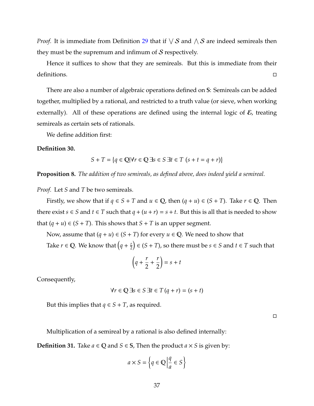*Proof.* It is immediate from Definition [29](#page-42-0) that if  $\sqrt{S}$  and  $\sqrt{S}$  are indeed semireals then they must be the supremum and infimum of  $S$  respectively.

Hence it suffices to show that they are semireals. But this is immediate from their definitions.

There are also a number of algebraic operations defined on S: Semireals can be added together, multiplied by a rational, and restricted to a truth value (or sieve, when working externally). All of these operations are defined using the internal logic of  $\mathcal{E}$ , treating semireals as certain sets of rationals.

We define addition first:

## **Definition 30.**

$$
S + T = \{ q \in \mathbb{Q} | \forall r \in \mathbb{Q} \, \exists s \in S \, \exists t \in T \, (s + t = q + r) \}
$$

**Proposition 8.** *The addition of two semireals, as defined above, does indeed yield a semireal.*

*Proof.* Let *S* and *T* be two semireals.

Firstly, we show that if  $q \in S + T$  and  $u \in \mathbb{Q}$ , then  $(q + u) \in (S + T)$ . Take  $r \in \mathbb{Q}$ . Then there exist *s*  $\in$  *S* and *t*  $\in$  *T* such that *q* + (*u* + *r*) = *s* + *t*. But this is all that is needed to show that  $(q + u) \in (S + T)$ . This shows that  $S + T$  is an upper segment.

Now, assume that  $(q + u) \in (S + T)$  for every  $u \in \mathbb{Q}$ . We need to show that Take *r*  $\in$  Q. We know that  $\left(q + \frac{r}{2}\right)$  $\left(\frac{r}{2}\right) \in (S + T)$ , so there must be  $s \in S$  and  $t \in T$  such that

$$
\left(q + \frac{r}{2} + \frac{r}{2}\right) = s + t
$$

Consequently,

$$
\forall r \in \mathbb{Q} \, \exists s \in S \, \exists t \in T \, (q+r) = (s+t)
$$

But this implies that *q*  $\in$  *S* + *T*, as required.

 $\Box$ 

Multiplication of a semireal by a rational is also defined internally:

**Definition 31.** Take *a* ∈  $\mathbb Q$  and *S* ∈ *S*, Then the product *a* × *S* is given by:

$$
a \times S = \left\{q \in \mathbb{Q} \left| \frac{q}{a} \in S \right.\right\}
$$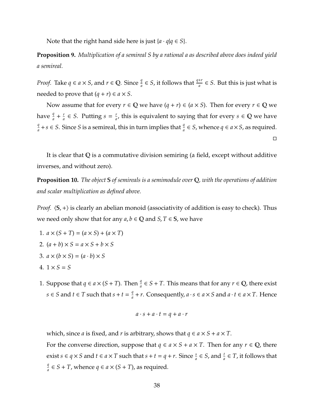Note that the right hand side here is just  $\{a \cdot q | q \in S\}$ .

**Proposition 9.** *Multiplication of a semireal S by a rational a as described above does indeed yield a semireal.*

*Proof.* Take  $q \in a \times S$ , and  $r \in \mathbb{Q}$ . Since  $\frac{q}{a} \in S$ , it follows that  $\frac{q+r}{a} \in S$ . But this is just what is needed to prove that  $(q + r) \in a \times S$ .

Now assume that for every  $r \in \mathbb{Q}$  we have  $(q + r) \in (a \times S)$ . Then for every  $r \in \mathbb{Q}$  we have  $\frac{q}{a} + \frac{r}{a}$  $\frac{r}{a} \in S$ . Putting  $s = \frac{r}{a}$  $\frac{a}{a}$ , this is equivalent to saying that for every *s*  $\in \mathbb{Q}$  we have *q a*<sup>*q</sup>* + *s* ∈ *S*. Since *S* is a semireal, this in turn implies that  $\frac{q}{a}$  ∈ *S*, whence *q* ∈ *a*×*S*, as required.</sup>  $\Box$ 

It is clear that  $Q$  is a commutative division semiring (a field, except without additive inverses, and without zero).

**Proposition 10.** *The object* S *of semireals is a semimodule over* Q*, with the operations of addition and scalar multiplication as defined above.*

*Proof.*  $\langle \mathbb{S},+\rangle$  is clearly an abelian monoid (associativity of addition is easy to check). Thus we need only show that for any  $a, b \in \mathbb{Q}$  and  $S, T \in \mathbb{S}$ , we have

- 1.  $a \times (S + T) = (a \times S) + (a \times T)$
- 2.  $(a + b) \times S = a \times S + b \times S$
- 3.  $a \times (b \times S) = (a \cdot b) \times S$
- 4.  $1 \times S = S$
- 1. Suppose that  $q \in a \times (S + T)$ . Then  $\frac{q}{q} \in S + T$ . This means that for any  $r \in \mathbb{Q}$ , there exist *s* ∈ *S* and *t* ∈ *T* such that *s* + *t* =  $\frac{q}{q}$  $\frac{q}{a} + r$ . Consequently,  $a \cdot s \in a \times S$  and  $a \cdot t \in a \times T$ . Hence

$$
a \cdot s + a \cdot t = q + a \cdot r
$$

which, since *a* is fixed, and *r* is arbitrary, shows that  $q \in a \times S + a \times T$ .

For the converse direction, suppose that  $q \in a \times S + a \times T$ . Then for any  $r \in \mathbb{Q}$ , there exist *s* ∈ *q* × *S* and *t* ∈ *a* × *T* such that *s* + *t* = *q* + *r*. Since  $\frac{s}{a}$  ∈ *S*, and  $\frac{t}{a}$  ∈ *T*, it follows that *q*  $\frac{q}{a} \in S + T$ , whence  $q \in a \times (S + T)$ , as required.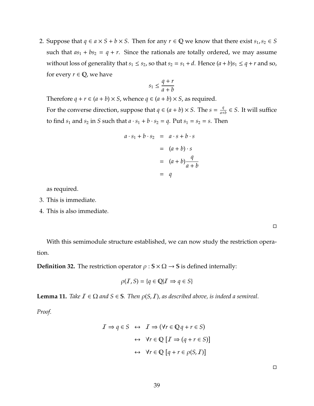2. Suppose that  $q \in a \times S + b \times S$ . Then for any  $r \in \mathbb{Q}$  we know that there exist  $s_1, s_2 \in S$ such that  $as_1 + bs_2 = q + r$ . Since the rationals are totally ordered, we may assume without loss of generality that  $s_1 \leq s_2$ , so that  $s_2 = s_1 + d$ . Hence  $(a + b)s_1 \leq q + r$  and so, for every  $r \in \mathbb{Q}$ , we have

$$
s_1 \le \frac{q+r}{a+b}
$$

Therefore  $q + r \in (a + b) \times S$ , whence  $q \in (a + b) \times S$ , as required.

For the converse direction, suppose that  $q \in (a + b) \times S$ . The  $s = \frac{q}{q+1}$  $\frac{q}{a+b}$  ∈ *S*. It will suffice to find  $s_1$  and  $s_2$  in *S* such that  $a \cdot s_1 + b \cdot s_2 = q$ . Put  $s_1 = s_2 = s$ . Then

$$
a \cdot s_1 + b \cdot s_2 = a \cdot s + b \cdot s
$$
  
=  $(a + b) \cdot s$   
=  $(a + b) \frac{q}{a + b}$   
=  $q$ 

as required.

- 3. This is immediate.
- 4. This is also immediate.

 $\Box$ 

With this semimodule structure established, we can now study the restriction operation.

**Definition 32.** The restriction operator  $\rho : \mathbb{S} \times \Omega \to \mathbb{S}$  is defined internally:

$$
\rho(\mathcal{I}, S) = \{q \in \mathbb{Q} | \mathcal{I} \Rightarrow q \in S\}
$$

**Lemma 11.** *Take*  $I \in \Omega$  *and*  $S \in \mathbb{S}$ *. Then*  $\rho(S, I)$ *, as described above, is indeed a semireal.* 

*Proof.*

$$
I \Rightarrow q \in S \leftrightarrow I \Rightarrow (\forall r \in \mathbb{Q} q + r \in S)
$$
  

$$
\leftrightarrow \forall r \in \mathbb{Q} [I \Rightarrow (q + r \in S)]
$$
  

$$
\leftrightarrow \forall r \in \mathbb{Q} [q + r \in \rho(S, I)]
$$

 $\Box$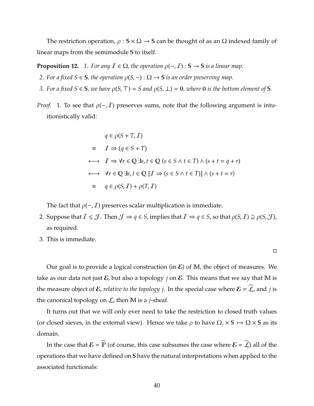The restriction operation,  $\rho : \mathbb{S} \times \Omega \to \mathbb{S}$  can be thought of as an  $\Omega$  indexed family of linear maps from the semimodule S to itself.

**Proposition 12.** *1. For any*  $\mathcal{I} \in \Omega$ , the operation  $\rho(-, \mathcal{I}) : \mathbb{S} \to \mathbb{S}$  is a linear map.

- *2. For a fixed S* ∈ **S***, the operation*  $\rho(S, -)$  :  $\Omega \rightarrow$  **S** *is an order preserving map.*
- *3.* For a fixed  $S \in \mathbb{S}$ , we have  $\rho(S, \top) = S$  and  $\rho(S, \bot) = 0$ , where 0 is the bottom element of S.
- *Proof.* 1. To see that  $\rho(-,I)$  preserves sums, note that the following argument is intuitionistically valid:

$$
q \in \rho(S + T, I)
$$
  
\n
$$
\equiv I \Rightarrow (q \in S + T)
$$
  
\n
$$
\longleftrightarrow I \Rightarrow \forall r \in Q \exists s, t \in Q \ (s \in S \land t \in T) \land (s + t = q + r)
$$
  
\n
$$
\longleftrightarrow \forall r \in Q \exists s, t \in Q \ [I \Rightarrow (s \in S \land t \in T)] \land (s + t = r)
$$
  
\n
$$
\equiv q \in \rho(S, I) + \rho(T, I)
$$

The fact that  $\rho(-,I)$  preserves scalar multiplication is immediate.

- 2. Suppose that  $I \leq J$ . Then  $J \Rightarrow q \in S$ , implies that  $I \Rightarrow q \in S$ , so that  $\rho(S, I) \supseteq \rho(S, J)$ , as required.
- 3. This is immediate.

 $\Box$ 

Our goal is to provide a logical construction (in  $\mathcal{E}$ ) of M, the object of measures. We take as our data not just  $\mathcal E$ , but also a topology *j* on  $\mathcal E$ . This means that we say that M is the measure object of  $\mathcal E$ , *relative to the topology j*. In the special case where  $\mathcal E = \mathcal L$ , and *j* is the canonical topology on  $\mathcal{L}$ , then M is a *j*-sheaf.

It turns out that we will only ever need to take the restriction to closed truth values (or closed sieves, in the external view). Hence we take  $\rho$  to have  $\Omega_i \times S \rightarrow \Omega \times S$  as its domain.

<span id="page-46-0"></span>In the case that  $\mathcal{E} = \widehat{\mathbb{P}}$  (of course, this case subsumes the case where  $\mathcal{E} = \widehat{\mathcal{L}}$ ) all of the operations that we have defined on S have the natural interpretations when applied to the associated functionals: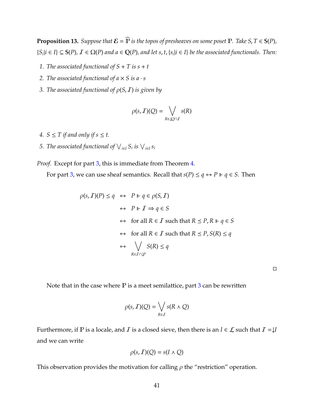**Proposition 13.** *Suppose that*  $\mathcal{E} = \widehat{\mathbb{P}}$  *is the topos of presheaves on some poset*  $\mathbb{P}$ *. Take*  $S, T \in \mathbb{S}(P)$ *,*  ${S_i | i \in I} \subseteq S(P)$ ,  $I \in \Omega(P)$  and  $a \in Q(P)$ , and let  $s, t, {s_i | i \in I}$  be the associated functionals. Then:

- *1. The associated functional of*  $S + T$  *is*  $s + t$
- *2. The associated functional of*  $a \times S$  *is*  $a \cdot s$
- <span id="page-47-0"></span>*3. The associated functional of* ρ(*S*,I) *is given by*

$$
\rho(s,\mathcal{I})(Q)=\bigvee_{R\in\mathcal{Q}\cap\mathcal{I}}s(R)
$$

- *4.*  $S \leq T$  *if and only if*  $s \leq t$ *.*
- *5. The associated functional of*  $\bigvee_{i \in I} S_i$  *<i>is*  $\bigvee_{i \in I} s_i$

*Proof.* Except for part [3,](#page-47-0) this is immediate from Theorem [4.](#page-37-0)

For part [3,](#page-47-0) we can use sheaf semantics. Recall that  $s(P) \le q \leftrightarrow P \Vdash q \in S$ . Then

$$
\rho(s, \mathcal{I})(P) \le q \leftrightarrow P \Vdash q \in \rho(S, \mathcal{I})
$$
  
\n
$$
\leftrightarrow P \Vdash \mathcal{I} \Rightarrow q \in S
$$
  
\n
$$
\leftrightarrow \text{ for all } R \in \mathcal{I} \text{ such that } R \le P, R \Vdash q \in S
$$
  
\n
$$
\leftrightarrow \text{ for all } R \in \mathcal{I} \text{ such that } R \le P, S(R) \le q
$$
  
\n
$$
\leftrightarrow \bigvee_{R \in \mathcal{I} \cap \mathcal{P}} S(R) \le q
$$

Note that in the case where  $\mathbb P$  is a meet semilattice, part [3](#page-47-0) can be rewritten

$$
\rho(s,\mathcal{I})(Q) = \bigvee_{R \in \mathcal{I}} s(R \wedge Q)
$$

Furthermore, if  $\mathbb P$  is a locale, and  $\mathcal I$  is a closed sieve, then there is an  $I \in \mathcal L$  such that  $\mathcal I = \mathcal J$ and we can write

$$
\rho(s,\mathcal{I})(Q) = s(I \wedge Q)
$$

This observation provides the motivation for calling  $\rho$  the "restriction" operation.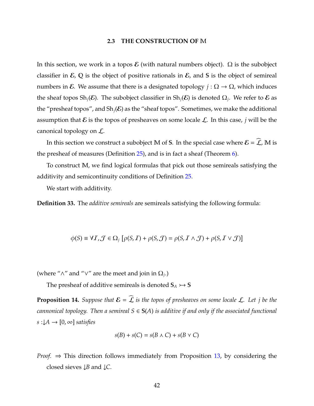## **2.3 THE CONSTRUCTION OF** M

In this section, we work in a topos  $\mathcal E$  (with natural numbers object).  $\Omega$  is the subobject classifier in  $\mathcal{E}$ , Q is the object of positive rationals in  $\mathcal{E}$ , and S is the object of semireal numbers in *E*. We assume that there is a designated topology *j* : Ω → Ω, which induces the sheaf topos Sh<sub>j</sub>(E). The subobject classifier in Sh<sub>j</sub>(E) is denoted  $\Omega_j$ . We refer to E as the "presheaf topos", and  $\text{Sh}_i(\mathcal{E})$  as the "sheaf topos". Sometimes, we make the additional assumption that  $\mathcal E$  is the topos of presheaves on some locale  $\mathcal L$ . In this case, *j* will be the canonical topology on  $\mathcal{L}$ .

In this section we construct a subobject M of S. In the special case where  $\mathcal{E} = \widehat{\mathcal{L}}$ , M is the presheaf of measures (Definition [25\)](#page-28-0), and is in fact a sheaf (Theorem [6\)](#page-50-0).

To construct M, we find logical formulas that pick out those semireals satisfying the additivity and semicontinuity conditions of Definition [25.](#page-28-0)

We start with additivity.

**Definition 33.** The *additive semireals* are semireals satisfying the following formula:

$$
\phi(S) \equiv \forall I, \mathcal{J} \in \Omega_j \left[ \rho(S, I) + \rho(S, \mathcal{J}) \right] = \rho(S, I \wedge \mathcal{J}) + \rho(S, I \vee \mathcal{J})
$$

(where " $\wedge$ " and " $\vee$ " are the meet and join in  $\Omega_j$ .)

The presheaf of additive semireals is denoted  $S_A \rightarrow S$ 

**Proposition 14.** *Suppose that*  $\mathcal{E} = \hat{\mathcal{L}}$  *is the topos of presheaves on some locale*  $\mathcal{L}$ *. Let j be the cannonical topology. Then a semireal*  $S \in S(A)$  *is additive if and only if the associated functional*  $s : A \rightarrow [0, \infty]$  *satisfies* 

$$
s(B) + s(C) = s(B \wedge C) + s(B \vee C)
$$

*Proof.*  $\Rightarrow$  This direction follows immediately from Proposition [13,](#page-46-0) by considering the closed sieves ↓*B* and ↓*C*.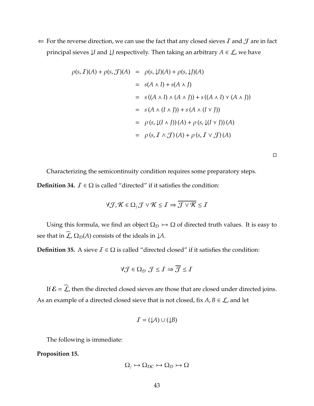$\Leftarrow$  For the reverse direction, we can use the fact that any closed sieves *I* and *J* are in fact principal sieves  $\downarrow$ *I* and  $\downarrow$ *J* respectively. Then taking an arbitrary  $A \in \mathcal{L}$ , we have

$$
\rho(s, \mathcal{I})(A) + \rho(s, \mathcal{J})(A) = \rho(s, \downarrow I)(A) + \rho(s, \downarrow J)(A)
$$
  
\n
$$
= s(A \land I) + s(A \land J)
$$
  
\n
$$
= s((A \land I) \land (A \land J)) + s((A \land I) \lor (A \land J))
$$
  
\n
$$
= s(A \land (I \land J)) + s(A \land (I \lor J))
$$
  
\n
$$
= \rho(s, \downarrow (I \land J))(A) + \rho(s, \downarrow (I \lor J))(A)
$$
  
\n
$$
= \rho(s, \mathcal{I} \land \mathcal{J})(A) + \rho(s, \mathcal{I} \lor \mathcal{J})(A)
$$

Characterizing the semicontinuity condition requires some preparatory steps.

**Definition 34.**  $\mathcal{I} \in \Omega$  is called "directed" if it satisfies the condition:

$$
\forall \mathcal{J}, \mathcal{K} \in \Omega_j \mathcal{J} \lor \mathcal{K} \leq \mathcal{I} \Rightarrow \overline{\mathcal{J} \lor \mathcal{K}} \leq \mathcal{I}
$$

Using this formula, we find an object  $\Omega_{\mathcal{D}} \rightarrow \Omega$  of directed truth values. It is easy to see that in  $\widehat{\mathcal{L}}$ ,  $\Omega_{\mathcal{D}}(A)$  consists of the ideals in  $\downarrow$ *A*.

**Definition 35.** A sieve  $I \in \Omega$  is called "directed closed" if it satisfies the condition:

$$
\forall \mathcal{J} \in \Omega_{\mathcal{D}} \ \mathcal{J} \leq I \Rightarrow \overline{\mathcal{J}} \leq I
$$

If  $\mathcal{E} = \widehat{\mathcal{L}}$ , then the directed closed sieves are those that are closed under directed joins. As an example of a directed closed sieve that is not closed, fix  $A, B \in \mathcal{L}$ , and let

$$
\mathcal{I}=(\downarrow \hspace{-0.15cm}\downarrow A)\cup(\downarrow \hspace{-0.15cm}\downarrow B)
$$

The following is immediate:

**Proposition 15.**

$$
\Omega_j \rightarrowtail \Omega_{DC} \rightarrowtail \Omega_{D} \rightarrowtail \Omega
$$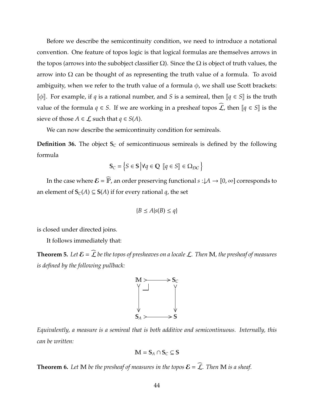Before we describe the semicontinuity condition, we need to introduce a notational convention. One feature of topos logic is that logical formulas are themselves arrows in the topos (arrows into the subobject classifier  $\Omega$ ). Since the  $\Omega$  is object of truth values, the arrow into  $Ω$  can be thought of as representing the truth value of a formula. To avoid ambiguity, when we refer to the truth value of a formula  $\phi$ , we shall use Scott brackets:  $\llbracket \phi \rrbracket$ . For example, if *q* is a rational number, and *S* is a semireal, then  $\llbracket q \in S \rrbracket$  is the truth value of the formula *q* ∈ *S*. If we are working in a presheaf topos  $\widehat{\mathcal{L}}$ , then  $\lbrack \lbrack q \in S \rbrack$  is the sieve of those  $A \in \mathcal{L}$  such that  $q \in S(A)$ .

We can now describe the semicontinuity condition for semireals.

**Definition 36.** The object  $S_C$  of semicontinuous semireals is defined by the following formula

$$
\mathbb{S}_C = \left\{ S \in \mathbb{S} \middle| \forall q \in \mathbb{Q} \left[ q \in S \right] \in \Omega_{\mathcal{DC}} \right\}
$$

In the case where  $\mathcal{E} = \widehat{\mathbb{P}}$ , an order preserving functional  $s : \downarrow A \rightarrow [0, \infty]$  corresponds to an element of  $\mathbb{S}_C(A) \subseteq \mathbb{S}(A)$  if for every rational *q*, the set

$$
\{B \le A | s(B) \le q\}
$$

is closed under directed joins.

It follows immediately that:

**Theorem 5.** Let  $\mathcal{E} = \widehat{\mathcal{L}}$  be the topos of presheaves on a locale  $\mathcal{L}$ . Then M, the presheaf of measures *is defined by the following pullback:*



*Equivalently, a measure is a semireal that is both additive and semicontinuous. Internally, this can be written:*

$$
\mathbb{M} = \mathbb{S}_A \cap \mathbb{S}_C \subseteq \mathbb{S}
$$

<span id="page-50-0"></span>**Theorem 6.** Let **M** *be the presheaf of measures in the topos*  $\mathcal{E} = \widehat{\mathcal{L}}$ *. Then* **M** *is a sheaf.*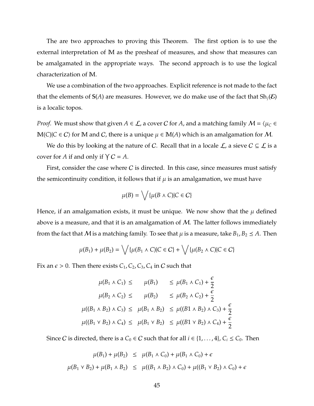The are two approaches to proving this Theorem. The first option is to use the external interpretation of M as the presheaf of measures, and show that measures can be amalgamated in the appropriate ways. The second approach is to use the logical characterization of M.

We use a combination of the two approaches. Explicit reference is not made to the fact that the elements of  $\mathbb{S}(A)$  are measures. However, we do make use of the fact that  $\text{Sh}_i(\mathcal{E})$ is a localic topos.

*Proof.* We must show that given  $A \in \mathcal{L}$ , a cover C for *A*, and a matching family  $M = \langle \mu_C \in \mathcal{L} \rangle$  $M(C)|C ∈ C\rangle$  for M and C, there is a unique  $\mu ∈ M(A)$  which is an amalgamation for M.

We do this by looking at the nature of C. Recall that in a locale  $\mathcal{L}$ , a sieve  $C \subseteq \mathcal{L}$  is a cover for *A* if and only if  $\gamma C = A$ .

First, consider the case where  $C$  is directed. In this case, since measures must satisfy the semicontinuity condition, it follows that if  $\mu$  is an amalgamation, we must have

$$
\mu(B) = \bigvee \{ \mu(B \wedge C) | C \in C \}
$$

Hence, if an amalgamation exists, it must be unique. We now show that the  $\mu$  defined above is a measure, and that it is an amalgamation of  $M$ . The latter follows immediately from the fact that M is a matching family. To see that  $\mu$  is a measure, take  $B_1, B_2 \leq A$ . Then

$$
\mu(B_1) + \mu(B_2) = \bigvee \{ \mu(B_1 \wedge C) | C \in C \} + \bigvee \{ \mu(B_2 \wedge C) | C \in C \}
$$

Fix an  $\epsilon > 0$ . Then there exists  $C_1$ ,  $C_2$ ,  $C_3$ ,  $C_4$  in C such that

$$
\mu(B_1 \wedge C_1) \leq \mu(B_1) \leq \mu(B_1 \wedge C_1) + \frac{\epsilon}{2}
$$
  
\n
$$
\mu(B_2 \wedge C_2) \leq \mu(B_2) \leq \mu(B_2 \wedge C_2) + \frac{\epsilon}{2}
$$
  
\n
$$
\mu((B_1 \wedge B_2) \wedge C_3) \leq \mu(B_1 \wedge B_2) \leq \mu((B_1 \wedge B_2) \wedge C_3) + \frac{\epsilon}{2}
$$
  
\n
$$
\mu((B_1 \vee B_2) \wedge C_4) \leq \mu(B_1 \vee B_2) \leq \mu((B_1 \vee B_2) \wedge C_4) + \frac{\epsilon}{2}
$$

Since *C* is directed, there is a  $C_0 \in C$  such that for all  $i \in \{1, \ldots, 4\}$ ,  $C_i \le C_0$ . Then

$$
\mu(B_1) + \mu(B_2) \le \mu(B_1 \wedge C_0) + \mu(B_1 \wedge C_0) + \epsilon
$$
  

$$
\mu(B_1 \vee B_2) + \mu(B_1 \wedge B_2) \le \mu((B_1 \wedge B_2) \wedge C_0) + \mu((B_1 \vee B_2) \wedge C_0) + \epsilon
$$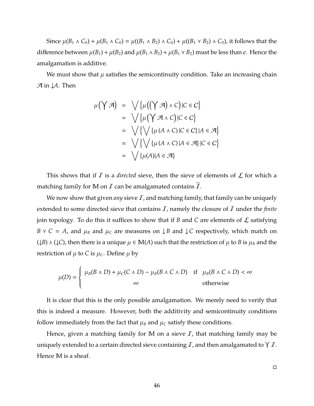Since  $\mu(B_1 \wedge C_0) + \mu(B_1 \wedge C_0) = \mu((B_1 \wedge B_2) \wedge C_0) + \mu((B_1 \vee B_2) \wedge C_0)$ , it follows that the difference between  $\mu(B_1) + \mu(B_2)$  and  $\mu(B_1 \wedge B_2) + \mu(B_1 \vee B_2)$  must be less than  $\epsilon$ . Hence the amalgamation is additive.

We must show that  $\mu$  satisfies the semicontinuity condition. Take an increasing chain A in ↓*A*. Then

$$
\mu(\bigvee \mathcal{A}) = \bigvee \{\mu((\bigvee \mathcal{A}) \wedge C) | C \in C\}
$$
  
= 
$$
\bigvee \{\mu(\bigvee \mathcal{A} \wedge C) | C \in C\}
$$
  
= 
$$
\bigvee \{\bigvee \{\mu(A \wedge C) | C \in C\} | A \in \mathcal{A}\}
$$
  
= 
$$
\bigvee \{\bigvee \{\mu(A \wedge C) | A \in \mathcal{A}\} | C \in C\}
$$
  
= 
$$
\bigvee \{\mu(A) | A \in \mathcal{A}\}
$$

This shows that if  $I$  is a *directed* sieve, then the sieve of elements of  $L$  for which a matching family for M on  $I$  can be amalgamated contains  $I$ .

We now show that given *any* sieve  $I$ , and matching family, that family can be uniquely extended to some directed sieve that contains I, namely the closure of I under the *finite* join topology. To do this it suffices to show that if *B* and *C* are elements of  $\mathcal{L}$  satisfying *B*  $\vee$  *C* = *A*, and  $\mu$ <sub>*B*</sub> and  $\mu$ *c* are measures on  $\downarrow$ *B* and  $\downarrow$ *C* respectively, which match on  $(\downarrow B) \wedge (\downarrow C)$ , then there is a unique  $\mu \in M(A)$  such that the restriction of  $\mu$  to *B* is  $\mu_B$  and the restriction of  $\mu$  to *C* is  $\mu_C$ . Define  $\mu$  by

$$
\mu(D) = \begin{cases} \mu_B(B \wedge D) + \mu_C(C \wedge D) - \mu_B(B \wedge C \wedge D) & \text{if } \mu_B(B \wedge C \wedge D) < \infty \\ \infty & \text{otherwise} \end{cases}
$$

It is clear that this is the only possible amalgamation. We merely need to verify that this is indeed a measure. However, both the additivity and semicontinuity conditions follow immediately from the fact that  $\mu_B$  and  $\mu_C$  satisfy these conditions.

Hence, given a matching family for M on a sieve  $I$ , that matching family may be uniquely extended to a certain directed sieve containing  $I$  , and then amalgamated to  $\forall$   $I$ . Hence M is a sheaf.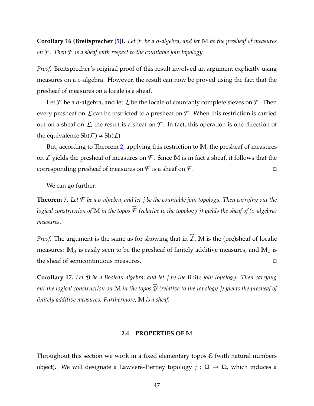**Corollary 16 (Breitsprecher [\[5\]](#page-123-0)).** *Let* F *be a* σ*-algebra, and let* M *be the presheaf of measures on*  $\mathcal F$ . Then  $\mathcal F$  *is a sheaf with respect to the countable join topology.* 

*Proof.* Breitsprecher's original proof of this result involved an argument explicitly using measures on a σ-algebra. However, the result can now be proved using the fact that the presheaf of measures on a locale is a sheaf.

Let  $\mathcal F$  be a  $\sigma$ -algebra, and let  $\mathcal L$  be the locale of countably complete sieves on  $\mathcal F$ . Then every presheaf on  $\mathcal L$  can be restricted to a presheaf on  $\mathcal F$ . When this restriction is carried out on a sheaf on  $\mathcal{L}$ , the result is a sheaf on  $\mathcal{F}$ . In fact, this operation is one direction of the equivalence  $\text{Sh}(\mathcal{F}) \simeq \text{Sh}(\mathcal{L})$ .

But, according to Theorem [2,](#page-31-0) applying this restriction to M, the presheaf of measures on  $\mathcal L$  yields the presheaf of measures on  $\mathcal F$ . Since M is in fact a sheaf, it follows that the corresponding presheaf of measures on  $\mathcal F$  is a sheaf on  $\mathcal F$ .

We can go further.

**Theorem 7.** *Let* F *be a* σ*-algebra, and let j be the countable join topology. Then carrying out the logical construction of* M *in the topos*  $\widehat{\mathcal{F}}$  *(relative to the topology j) yields the sheaf of (σ-algebra) measures.*

*Proof.* The argument is the same as for showing that in  $\widehat{\mathcal{L}}$ , M is the (pre)sheaf of localic measures:  $M_A$  is easily seen to be the presheaf of finitely additive measures, and  $M_C$  is the sheaf of semicontinuous measures.

**Corollary 17.** *Let* B *be a Boolean algebra, and let j be the* finite *join topology. Then carrying out the logical construction on*  $\mathbb M$  *in the topos*  $\widehat{\mathcal{B}}$  *(relative to the topology j) yields the presheaf of finitely additive measures. Furthermore,* M *is a sheaf.*

# **2.4 PROPERTIES OF** M

<span id="page-53-0"></span>Throughout this section we work in a fixed elementary topos  $\mathcal E$  (with natural numbers object). We will designate a Lawvere-Tierney topology *j* : Ω → Ω, which induces a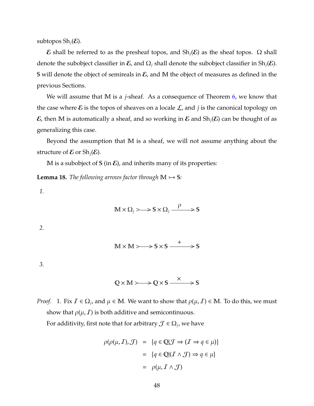subtopos  $\text{Sh}_i(\mathcal{E})$ .

**E** shall be referred to as the presheaf topos, and  $\text{Sh}_i(\mathcal{E})$  as the sheaf topos. Ω shall denote the subobject classifier in  $\mathcal E$ , and  $\Omega_j$  shall denote the subobject classifier in Sh<sub>j</sub>( $\mathcal E$ ). S will denote the object of semireals in  $\mathcal E$ , and M the object of measures as defined in the previous Sections.

We will assume that M is a *j*-sheaf. As a consequence of Theorem [6,](#page-50-0) we know that the case where  $\mathcal E$  is the topos of sheaves on a locale  $\mathcal L$ , and *j* is the canonical topology on  $\mathcal E$ , then M is automatically a sheaf, and so working in  $\mathcal E$  and  $\text{Sh}_i(\mathcal E)$  can be thought of as generalizing this case.

Beyond the assumption that M is a sheaf, we will not assume anything about the structure of  $\mathcal E$  or  $\text{Sh}_i(\mathcal E)$ .

M is a subobject of S (in  $\mathcal{E}$ ), and inherits many of its properties:

**Lemma 18.** *The following arrows factor through*  $M \rightarrow S$ *:* 

*1.*

$$
\mathbb{M} \times \Omega_j \rightarrow \mathbb{S} \times \Omega_j \xrightarrow{\rho} \mathbb{S}
$$

*2.*

$$
M \times M \rightarrow \text{S} \times S \xrightarrow{+} S
$$

*3.*

$$
Q \times M \rightarrow Q \times S \xrightarrow{\times} S
$$

*Proof.* 1. Fix  $\mathcal{I} \in \Omega_j$ , and  $\mu \in \mathbb{M}$ . We want to show that  $\rho(\mu, \mathcal{I}) \in \mathbb{M}$ . To do this, we must show that  $\rho(\mu, I)$  is both additive and semicontinuous.

For additivity, first note that for arbitrary  $\mathcal{J} \in \Omega_j$ , we have

$$
\rho(\rho(\mu, \mathcal{I}), \mathcal{J}) = \{ q \in \mathbb{Q} | \mathcal{J} \Rightarrow (\mathcal{I} \Rightarrow q \in \mu) \}
$$

$$
= \{ q \in \mathbb{Q} | (\mathcal{I} \wedge \mathcal{J}) \Rightarrow q \in \mu \}
$$

$$
= \rho(\mu, \mathcal{I} \wedge \mathcal{J})
$$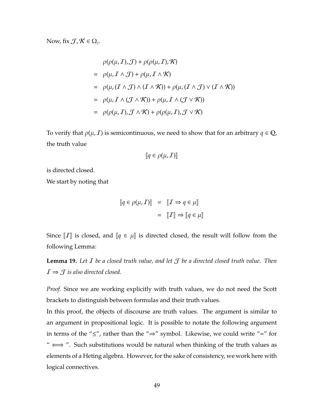Now, fix  $\mathcal{J}, \mathcal{K} \in \Omega_j$ .

$$
\rho(\rho(\mu, I), J) + \rho(\rho(\mu, I), K)
$$
  
=  $\rho(\mu, I \wedge J) + \rho(\mu, I \wedge K)$   
=  $\rho(\mu, (I \wedge J) \wedge (I \wedge K)) + \rho(\mu, (I \wedge J) \vee (I \wedge K))$   
=  $\rho(\mu, I \wedge (J \wedge K)) + \rho(\mu, I \wedge (J \vee K))$   
=  $\rho(\rho(\mu, I), J \wedge K) + \rho(\rho(\mu, I), J \vee K)$ 

To verify that  $\rho(\mu, I)$  is semicontinuous, we need to show that for an arbitrary  $q \in \mathbb{Q}$ , the truth value

$$
[\![q\in\rho(\mu,\boldsymbol{I})]\!]
$$

is directed closed.

We start by noting that

$$
\begin{array}{rcl} \llbracket q \in \rho(\mu, \mathcal{I}) \rrbracket & = & \llbracket \mathcal{I} \Rightarrow q \in \mu \rrbracket \\ & = & \llbracket \mathcal{I} \rrbracket \Rightarrow \llbracket q \in \mu \rrbracket \end{array}
$$

Since  $\llbracket I \rrbracket$  is closed, and  $\llbracket q \in \mu \rrbracket$  is directed closed, the result will follow from the following Lemma:

**Lemma 19.** *Let* I *be a closed truth value, and let* J *be a directed closed truth value. Then*  $I \Rightarrow J$  *is also directed closed.* 

*Proof.* Since we are working explicitly with truth values, we do not need the Scott brackets to distinguish between formulas and their truth values.

In this proof, the objects of discourse are truth values. The argument is similar to an argument in propositional logic. It is possible to notate the following argument in terms of the "≤", rather than the "⇒" symbol. Likewise, we could write "=" for "  $\iff$  ". Such substitutions would be natural when thinking of the truth values as elements of a Heting algebra. However, for the sake of consistency, we work here with logical connectives.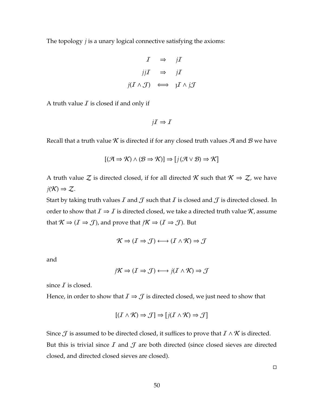The topology *j* is a unary logical connective satisfying the axioms:

$$
I \Rightarrow jI
$$
  

$$
jjI \Rightarrow jI
$$
  

$$
j(I \land J) \iff jI \land jJ
$$

A truth value  $I$  is closed if and only if

$$
j\mathcal{I}\Rightarrow\mathcal{I}
$$

Recall that a truth value K is directed if for any closed truth values A and B we have

$$
[(\mathcal{A} \Rightarrow \mathcal{K}) \land (\mathcal{B} \Rightarrow \mathcal{K})] \Rightarrow [j(\mathcal{A} \lor \mathcal{B}) \Rightarrow \mathcal{K}]
$$

A truth value Z is directed closed, if for all directed K such that  $K \Rightarrow Z$ , we have  $j(\mathcal{K}) \Rightarrow \mathcal{Z}.$ 

Start by taking truth values  $I$  and  $J$  such that  $I$  is closed and  $J$  is directed closed. In order to show that  $I \Rightarrow I$  is directed closed, we take a directed truth value  $K$ , assume that  $K \Rightarrow (I \Rightarrow J)$ , and prove that *j* $K \Rightarrow (I \Rightarrow J)$ . But

$$
\mathcal{K} \Rightarrow (I \Rightarrow \mathcal{J}) \longleftrightarrow (I \land \mathcal{K}) \Rightarrow \mathcal{J}
$$

and

$$
j\mathcal{K} \Rightarrow (I \Rightarrow \mathcal{J}) \longleftrightarrow j(I \land \mathcal{K}) \Rightarrow \mathcal{J}
$$

since  $I$  is closed.

Hence, in order to show that  $I \Rightarrow \mathcal{J}$  is directed closed, we just need to show that

$$
[(I \wedge \mathcal{K}) \Rightarrow \mathcal{J}] \Rightarrow [j(I \wedge \mathcal{K}) \Rightarrow \mathcal{J}]
$$

Since  $\mathcal J$  is assumed to be directed closed, it suffices to prove that  $\mathcal I \wedge \mathcal K$  is directed. But this is trivial since  $I$  and  $J$  are both directed (since closed sieves are directed closed, and directed closed sieves are closed).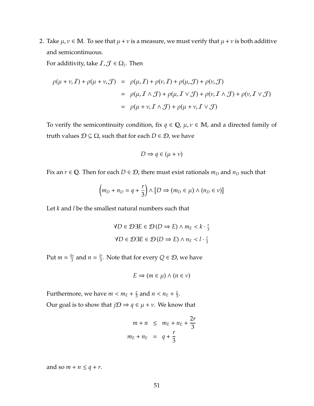2. Take  $\mu, \nu \in \mathbb{M}$ . To see that  $\mu + \nu$  is a measure, we must verify that  $\mu + \nu$  is both additive and semicontinuous.

For additivity, take  $\mathcal{I}, \mathcal{J} \in \Omega_j$ . Then

$$
\rho(\mu + \nu, \mathcal{I}) + \rho(\mu + \nu, \mathcal{J}) = \rho(\mu, \mathcal{I}) + \rho(\nu, \mathcal{I}) + \rho(\mu, \mathcal{J}) + \rho(\nu, \mathcal{J})
$$
  
= 
$$
\rho(\mu, \mathcal{I} \wedge \mathcal{J}) + \rho(\mu, \mathcal{I} \vee \mathcal{J}) + \rho(\nu, \mathcal{I} \wedge \mathcal{J}) + \rho(\nu, \mathcal{I} \vee \mathcal{J})
$$
  
= 
$$
\rho(\mu + \nu, \mathcal{I} \wedge \mathcal{J}) + \rho(\mu + \nu, \mathcal{I} \vee \mathcal{J})
$$

To verify the semicontinuity condition, fix  $q \in \mathbb{Q}$ ,  $\mu, \nu \in \mathbb{M}$ , and a directed family of truth values  $D \subseteq \Omega$ , such that for each  $D \in \mathcal{D}$ , we have

$$
D \Rightarrow q \in (\mu + \nu)
$$

Fix an  $r \in \mathbb{Q}$ . Then for each  $D \in \mathcal{D}$ , there must exist rationals  $m_D$  and  $n_D$  such that

$$
(m_D + n_D = q + \frac{r}{3}) \wedge [D \Rightarrow (m_D \in \mu) \wedge (n_D \in \nu)]
$$

Let *k* and *l* be the smallest natural numbers such that

$$
\forall D \in \mathcal{D} \exists E \in \mathcal{D}(D \Rightarrow E) \land m_E < k \cdot \frac{r}{3}
$$
\n
$$
\forall D \in \mathcal{D} \exists E \in \mathcal{D}(D \Rightarrow E) \land n_E < l \cdot \frac{r}{3}
$$

Put  $m = \frac{kr}{3}$  $rac{kr}{3}$  and  $n = \frac{lr}{3}$  $\frac{dr}{3}$ . Note that for every  $Q \in \mathcal{D}$ , we have

$$
E \Rightarrow (m \in \mu) \land (n \in \nu)
$$

Furthermore, we have  $m < m_E + \frac{r}{3}$  $\frac{r}{3}$  and  $n < n_E + \frac{r}{3}$  $\frac{r}{3}$ . Our goal is to show that *j* $D \Rightarrow q \in \mu + \nu$ . We know that

$$
m + n \leq m_E + n_E + \frac{2r}{3}
$$
  

$$
m_E + n_E = q + \frac{r}{3}
$$

and so  $m + n \leq q + r$ .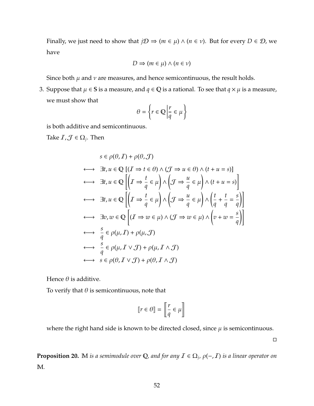Finally, we just need to show that  $j\mathcal{D} \Rightarrow (m \in \mu) \land (n \in \nu)$ . But for every  $D \in \mathcal{D}$ , we have

$$
D \Rightarrow (m \in \mu) \land (n \in \nu)
$$

Since both  $\mu$  and  $\nu$  are measures, and hence semicontinuous, the result holds.

3. Suppose that  $\mu$  ∈ \$ is a measure, and  $q \in \mathbb{Q}$  is a rational. To see that  $q \times \mu$  is a measure, we must show that

$$
\theta = \left\{ r \in \mathbb{Q} \middle| \frac{r}{q} \in \mu \right\}
$$

is both additive and semicontinuous.

Take  $\mathcal{I}, \mathcal{J} \in \Omega_j$ . Then

$$
s \in \rho(\theta, I) + \rho(\theta, J)
$$
  
\n
$$
\longleftrightarrow \exists t, u \in \mathbb{Q} \left[ (I \Rightarrow t \in \theta) \land (J \Rightarrow u \in \theta) \land (t + u = s) \right]
$$
  
\n
$$
\longleftrightarrow \exists t, u \in \mathbb{Q} \left[ \left( I \Rightarrow \frac{t}{q} \in \mu \right) \land \left( J \Rightarrow \frac{u}{q} \in \mu \right) \land (t + u = s) \right]
$$
  
\n
$$
\longleftrightarrow \exists t, u \in \mathbb{Q} \left[ \left( I \Rightarrow \frac{t}{q} \in \mu \right) \land \left( J \Rightarrow \frac{u}{q} \in \mu \right) \land \left( \frac{t}{q} + \frac{t}{q} = \frac{s}{q} \right) \right]
$$
  
\n
$$
\longleftrightarrow \exists v, w \in \mathbb{Q} \left[ (I \Rightarrow w \in \mu) \land (J \Rightarrow w \in \mu) \land \left( v + w = \frac{s}{q} \right) \right]
$$
  
\n
$$
\longleftrightarrow \frac{s}{q} \in \rho(\mu, I) + \rho(\mu, J)
$$
  
\n
$$
\longleftrightarrow \frac{s}{q} \in \rho(\mu, I \lor J) + \rho(\mu, I \land J)
$$
  
\n
$$
\longleftrightarrow s \in \rho(\theta, I \lor J) + \rho(\theta, I \land J)
$$

Hence  $\theta$  is additive.

To verify that  $\theta$  is semicontinuous, note that

$$
\llbracket r \in \theta \rrbracket = \left[ \frac{r}{q} \in \mu \right]
$$

where the right hand side is known to be directed closed, since  $\mu$  is semicontinuous.

 $\Box$ 

**Proposition 20.** M *is a semimodule over* Q, and for any  $I \in \Omega_j$ ,  $\rho(-,I)$  *is a linear operator on* M*.*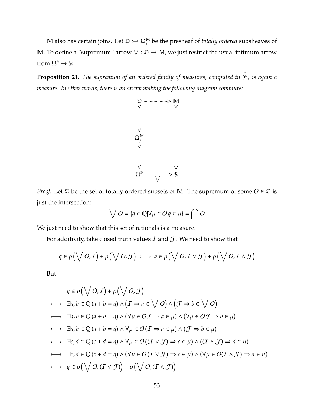M also has certain joins. Let  $\mathfrak{O}\rightarrow \Omega^{\mathbb{M}}_j$  be the presheaf of *totally ordered* subsheaves of M. To define a "supremum" arrow  $\forall : \mathfrak{O} \to M$ , we just restrict the usual infimum arrow from  $\Omega^{\mathbb{S}} \to \mathbb{S}$ :

<span id="page-59-0"></span>**Proposition 21.** *The supremum of an ordered family of measures, computed in*  $\widehat{\mathcal{F}}$ *, is again a measure. In other words, there is an arrow making the following diagram commute:*



*Proof.* Let  $\mathcal{D}$  be the set of totally ordered subsets of M. The supremum of some  $O \in \mathcal{D}$  is just the intersection:

$$
\bigvee O = \{q \in \mathbb{Q} | \forall \mu \in O \, q \in \mu \} = \bigcap O
$$

We just need to show that this set of rationals is a measure.

For additivity, take closed truth values  $I$  and  $J$ . We need to show that

$$
q \in \rho\big(\bigvee O, I\big) + \rho\big(\bigvee O, J\big) \iff q \in \rho\big(\bigvee O, I \vee J\big) + \rho\big(\bigvee O, I \wedge J\big)
$$

But

$$
q \in \rho \left( \bigvee O, I \right) + \rho \left( \bigvee O, J \right)
$$
  
\n
$$
\longleftrightarrow \exists a, b \in Q \left( a + b = q \right) \land \left( I \Rightarrow a \in \bigvee O \right) \land \left( J \Rightarrow b \in \bigvee O \right)
$$
  
\n
$$
\longleftrightarrow \exists a, b \in Q \left( a + b = q \right) \land \left( \forall \mu \in O \mid I \Rightarrow a \in \mu \right) \land \left( \forall \mu \in O \mid I \Rightarrow b \in \mu \right)
$$
  
\n
$$
\longleftrightarrow \exists a, b \in Q \left( a + b = q \right) \land \forall \mu \in O \mid I \Rightarrow a \in \mu \right) \land \left( J \Rightarrow b \in \mu \right)
$$
  
\n
$$
\longleftrightarrow \exists c, d \in Q \left( c + d = q \right) \land \forall \mu \in O \left( (I \lor J) \Rightarrow c \in \mu \right) \land \left( (I \land J) \Rightarrow d \in \mu \right)
$$
  
\n
$$
\longleftrightarrow \exists c, d \in Q \left( c + d = q \right) \land \left( \forall \mu \in O \mid (I \lor J) \Rightarrow c \in \mu \right) \land \left( \forall \mu \in O \mid (I \land J) \Rightarrow d \in \mu \right)
$$
  
\n
$$
\longleftrightarrow q \in \rho \left( \bigvee O, (I \lor J) \right) + \rho \left( \bigvee O, (I \land J) \right)
$$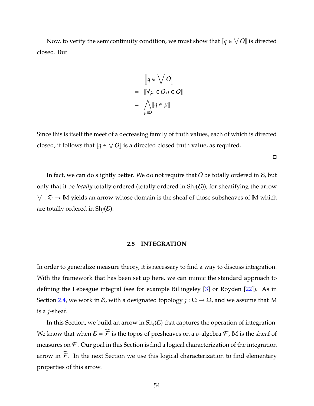Now, to verify the semicontinuity condition, we must show that  $\llbracket q \in \bigvee O \rrbracket$  is directed closed. But

$$
\begin{aligned}\n\left[\!\!\left[q \in \bigvee O\right]\!\!\right] \\
= \left[\!\!\left[\nabla \mu \in O q \in O\right]\!\!\right] \\
= \left[\!\!\left[\nabla \mu \in O q \in O\right]\!\!\right] \\
= \left[\!\!\left[\nabla \mu \in O q \in O\right]\!\!\right]\n\end{aligned}
$$

Since this is itself the meet of a decreasing family of truth values, each of which is directed closed, it follows that  $\llbracket q \in \bigvee O \rrbracket$  is a directed closed truth value, as required.

 $\Box$ 

In fact, we can do slightly better. We do not require that O be totally ordered in  $\mathcal{E}$ , but only that it be *locally* totally ordered (totally ordered in  $Sh_i(\mathcal{E})$ ), for sheafifying the arrow  $\forall : \mathfrak{D} \to \mathbb{M}$  yields an arrow whose domain is the sheaf of those subsheaves of  $\mathbb{M}$  which are totally ordered in  $\text{Sh}_i(\mathcal{E})$ .

### **2.5 INTEGRATION**

In order to generalize measure theory, it is necessary to find a way to discuss integration. With the framework that has been set up here, we can mimic the standard approach to defining the Lebesgue integral (see for example Billingeley [\[3\]](#page-123-1) or Royden [\[22\]](#page-124-3)). As in Section [2.4,](#page-53-0) we work in  $\mathcal E$ , with a designated topology  $j : \Omega \to \Omega$ , and we assume that M is a *j*-sheaf.

In this Section, we build an arrow in  $\text{Sh}_i(\mathcal{E})$  that captures the operation of integration. We know that when  $\mathcal{E} = \widehat{\mathcal{F}}$  is the topos of presheaves on a  $\sigma$ -algebra  $\mathcal{F}$ , M is the sheaf of measures on  $\mathcal F$ . Our goal in this Section is find a logical characterization of the integration arrow in  $\widehat{\mathcal{F}}$ . In the next Section we use this logical characterization to find elementary properties of this arrow.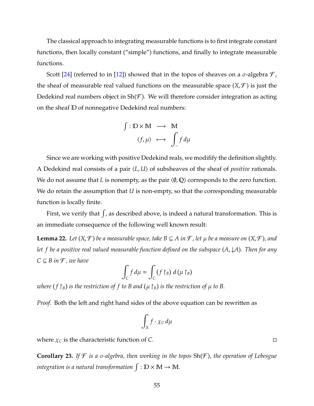The classical approach to integrating measurable functions is to first integrate constant functions, then locally constant ("simple") functions, and finally to integrate measurable functions.

Scott [\[24\]](#page-125-0) (referred to in [\[12\]](#page-124-4)) showed that in the topos of sheaves on a  $\sigma$ -algebra  $\mathcal{F}$ , the sheaf of measurable real valued functions on the measurable space  $(X,\mathcal{F})$  is just the Dedekind real numbers object in  $\text{Sh}(\mathcal{F})$ . We will therefore consider integration as acting on the sheaf D of nonnegative Dedekind real numbers:

$$
\begin{array}{ccc} \int : \mathbb{D} \times \mathbb{M} & \longrightarrow & \mathbb{M} \\ \langle f, \mu \rangle & \longmapsto & \int_{-}^{t} f d\mu \end{array}
$$

Since we are working with positive Dedekind reals, we modifify the definition slightly. A Dedekind real consists of a pair  $\langle L, U \rangle$  of subsheaves of the sheaf of *positive* rationals. We do not assume that *L* is nonempty, as the pair  $\langle \emptyset, \mathbb{Q} \rangle$  corresponds to the zero function. We do retain the assumption that *U* is non-empty, so that the corresponding measurable function is locally finite.

First, we verify that  $\int$ , as described above, is indeed a natural transformation. This is an immediate consequence of the following well known result:

**Lemma 22.** *Let*  $(X, \mathcal{F})$  *be a measurable space, take B* ⊆ *A in*  $\mathcal{F}$ *, let*  $\mu$  *be a measure on*  $(X, \mathcal{F})$ *, and let f be a positive real valued measurable function defined on the subspace* (*A*, ↓*A*)*. Then for any*  $C \subseteq B$  *in*  $\mathcal F$ *, we have* 

$$
\int_C f d\mu = \int_C (f \upharpoonright_B) d(\mu \upharpoonright_B)
$$

where  $(f \upharpoonright_B)$  is the restriction of  $f$  to B and  $(\mu \upharpoonright_B)$  is the restriction of  $\mu$  to B.

*Proof.* Both the left and right hand sides of the above equation can be rewritten as

$$
\int_X f \cdot \chi_C \, d\mu
$$

where  $\chi_C$  is the characteristic function of *C*.

**Corollary 23.** *If* F *is a* σ*-algebra, then working in the topos* Sh(F )*, the operation of Lebesgue* integration is a natural transformation  $\int : \mathbb{D} \times \mathbb{M} \to \mathbb{M}$ .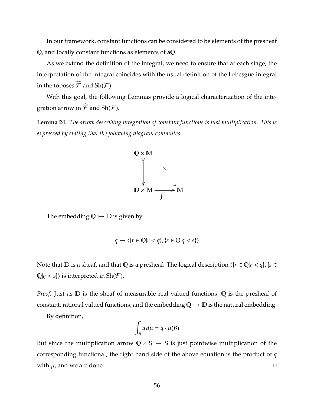In our framework, constant functions can be considered to be elements of the presheaf Q, and locally constant functions as elements of **a**Q.

As we extend the definition of the integral, we need to ensure that at each stage, the interpretation of the integral coincides with the usual definition of the Lebesgue integral in the toposes  $\widehat{\mathcal{F}}$  and Sh( $\mathcal{F}$ ).

With this goal, the following Lemmas provide a logical characterization of the integration arrow in  $\mathcal{F}$  and Sh( $\mathcal{F}$ ).

**Lemma 24.** *The arrow describing integration of constant functions is just multiplication. This is expressed by stating that the following diagram commutes:*



The embedding  $\mathbb{Q} \rightarrow \mathbb{D}$  is given by

$$
q \mapsto \langle \{ r \in \mathbb{Q} | r < q \}, \{ s \in \mathbb{Q} | q < s \} \rangle
$$

Note that  $\mathbb D$  is a sheaf, and that  $\mathbb Q$  is a presheaf. The logical description  $\langle \{r \in \mathbb Q | r < q\}, \{s \in \mathbb Q\} \rangle$  $\mathbb{Q}|q < s$ } is interpreted in Sh(*F*).

*Proof.* Just as D is the sheaf of measurable real valued functions, Q is the presheaf of constant, rational valued functions, and the embedding  $\mathbb{Q} \rightarrow \mathbb{D}$  is the natural embedding.

By definition,

$$
\int_B q \, d\mu = q \cdot \mu(B)
$$

<span id="page-62-0"></span>But since the multiplication arrow  $Q \times S \rightarrow S$  is just pointwise multiplication of the corresponding functional, the right hand side of the above equation is the product of *q* with  $\mu$ , and we are done.  $\Box$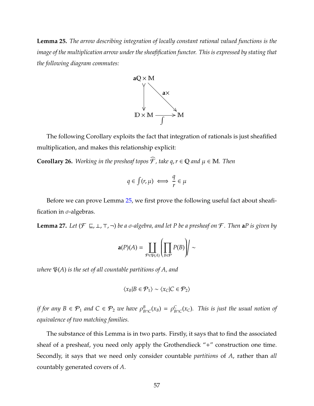**Lemma 25.** *The arrow describing integration of locally constant rational valued functions is the image of the multiplication arrow under the sheafification functor. This is expressed by stating that the following diagram commutes:*



The following Corollary exploits the fact that integration of rationals is just sheafified multiplication, and makes this relationship explicit:

**Corollary 26.** *Working in the presheaf topos*  $\widehat{\mathcal{F}}$ *, take q, r*  $\in \mathbb{Q}$  *and*  $\mu \in \mathbb{M}$ *. Then* 

$$
q\in \int (r,\mu)\iff \frac{q}{r}\in \mu
$$

Before we can prove Lemma [25,](#page-62-0) we first prove the following useful fact about sheafification in  $\sigma$ -algebras.

<span id="page-63-0"></span>**Lemma 27.** Let  $(F \subseteq, \bot, \top, \neg)$  be a  $\sigma$ -algebra, and let P be a presheaf on F. Then aP is given by

$$
\mathbf{a}(P)(A) = \prod_{\mathcal{P}\in\mathfrak{P}(A)} \left(\prod_{B\in\mathcal{P}} P(B)\right) \sim
$$

*where*  $\mathfrak{P}(A)$  *is the set of all countable partitions of A, and* 

$$
\langle x_B | B \in \mathcal{P}_1 \rangle \sim \langle x_C | C \in \mathcal{P}_2 \rangle
$$

*if for any B*  $\in$   $\mathcal{P}_1$  *and*  $C \in \mathcal{P}_2$  *we have*  $\rho_{B\sqcap C}^B(x_B) = \rho_{B\sqcap C}^C(x_C)$ *. This is just the usual notion of equivalence of two matching families.*

The substance of this Lemma is in two parts. Firstly, it says that to find the associated sheaf of a presheaf, you need only apply the Grothendieck "+" construction one time. Secondly, it says that we need only consider countable *partitions* of *A*, rather than *all* countably generated covers of *A*.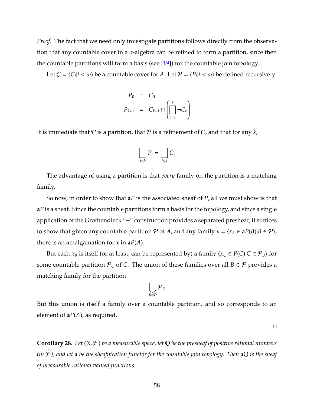*Proof.* The fact that we need only investigate partitions follows directly from the observation that any countable cover in a  $\sigma$ -algebra can be refined to form a partition, since then the countable partitions will form a basis (see [\[19\]](#page-124-2)) for the countable join topology.

Let  $C = \langle C_i | i \rangle \langle \omega \rangle$  be a countable cover for *A*. Let  $\mathcal{P} = \langle P_i | i \rangle \langle \omega \rangle$  be defined recursively:

$$
P_0 = C_0
$$
  

$$
P_{k+1} = C_{k+1} \sqcap \left( \bigcap_{i=0}^k \neg C_k \right)
$$

It is immediate that  $P$  is a partition, that  $P$  is a refinement of  $C$ , and that for any  $k$ ,

$$
\bigsqcup_{i\leq k} P_i = \bigsqcup_{i\leq k} C_i
$$

The advantage of using a partition is that *every* family on the partition is a matching family,

So now, in order to show that **a***P* is the associated sheaf of *P*, all we must show is that **a***P* is a sheaf. Since the countable partitions form a basis for the topology, and since a single application of the Grothendieck "+" construction provides a separated presheaf, it suffices to show that given any countable partition  $P$  of  $A$ , and any family  $\mathbf{x} = \langle x_B \in \mathbf{a}P(B)|B \in \mathcal{P} \rangle$ , there is an amalgamation for **x** in  $aP(A)$ .

But each  $x_B$  is itself (or at least, can be represented by) a family  $\langle x_C \in P(C) | C \in \mathcal{P}_B \rangle$  for some countable partition  $\mathcal{P}_C$  of *C*. The union of these families over all  $B \in \mathcal{P}$  provides a matching family for the partition

$$
\bigcup_{B\in\mathcal{P}}\mathcal{P}_B
$$

But this union is itself a family over a countable partition, and so corresponds to an element of  $aP(A)$ , as required.

 $\Box$ 

**Corollary 28.** Let  $(X, \mathcal{F})$  be a measurable space, let  $\mathbb Q$  be the presheaf of positive rational numbers  $(in \mathcal{F})$ , and let **a** be the sheafification functor for the countable join topology. Then **a**Q is the sheaf *of measurable rational valued functions.*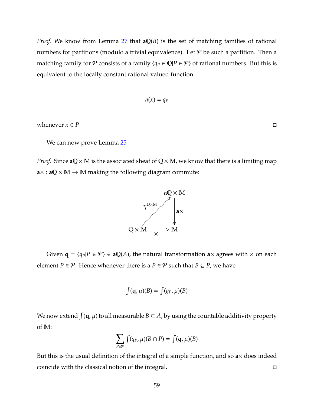*Proof.* We know from Lemma [27](#page-63-0) that **a**Q(*B*) is the set of matching families of rational numbers for partitions (modulo a trivial equivalence). Let  $P$  be such a partition. Then a matching family for P consists of a family  $\langle q_P \in \mathbb{Q} | P \in \mathcal{P} \rangle$  of rational numbers. But this is equivalent to the locally constant rational valued function

$$
q(x)=q_P
$$

whenever  $x \in P$ 

We can now prove Lemma [25](#page-62-0)

*Proof.* Since  $aQ \times M$  is the associated sheaf of  $Q \times M$ , we know that there is a limiting map  $a \times : a \mathbb{Q} \times \mathbb{M} \rightarrow \mathbb{M}$  making the following diagram commute:



Given  $\mathbf{q} = \langle q_p|P \in \mathcal{P} \rangle \in \mathbf{a}\mathbb{Q}(A)$ , the natural transformation  $\mathbf{a} \times \mathbf{a}$  agrees with  $\times$  on each element *P*  $\in \mathcal{P}$ . Hence whenever there is a *P*  $\in \mathcal{P}$  such that *B*  $\subseteq$  *P*, we have

$$
\int (\mathbf{q}, \mu)(B) = \int (q_P, \mu)(B)
$$

We now extend  $\int (\mathbf{q}, \mu)$  to all measurable  $B \subseteq A$ , by using the countable additivity property of M:

$$
\sum_{P \in \mathcal{P}} \int (q_P, \mu)(B \cap P) = \int (\mathbf{q}, \mu)(B)
$$

But this is the usual definition of the integral of a simple function, and so **a**× does indeed coincide with the classical notion of the integral.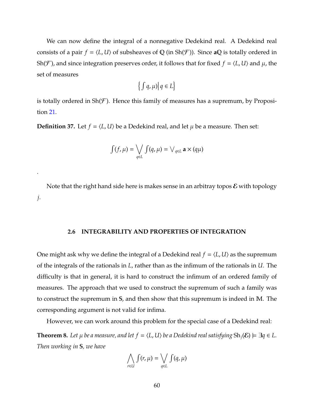We can now define the integral of a nonnegative Dedekind real. A Dedekind real consists of a pair  $f = \langle L, U \rangle$  of subsheaves of Q (in Sh(F)). Since **a**Q is totally ordered in Sh(*F*), and since integration preserves order, it follows that for fixed  $f = \langle L, U \rangle$  and  $\mu$ , the set of measures

$$
\left\{ \int q, \mu \right) \middle| q \in L \right\}
$$

is totally ordered in  $\text{Sh}(\mathcal{F})$ . Hence this family of measures has a supremum, by Proposition [21.](#page-59-0)

**Definition 37.** Let  $f = \langle L, U \rangle$  be a Dedekind real, and let  $\mu$  be a measure. Then set:

.

$$
\int(f,\mu)=\bigvee_{q\in L}\int(q,\mu)=\bigvee_{q\in L}\mathbf{a}\times(q\mu)
$$

Note that the right hand side here is makes sense in an arbitray topos  $\mathcal E$  with topology *j*.

### **2.6 INTEGRABILITY AND PROPERTIES OF INTEGRATION**

One might ask why we define the integral of a Dedekind real  $f = \langle L, U \rangle$  as the supremum of the integrals of the rationals in *L*, rather than as the infimum of the rationals in *U*. The difficulty is that in general, it is hard to construct the infimum of an ordered family of measures. The approach that we used to construct the supremum of such a family was to construct the supremum in S, and then show that this supremum is indeed in M. The corresponding argument is not valid for infima.

However, we can work around this problem for the special case of a Dedekind real:

<span id="page-66-0"></span>**Theorem 8.** Let  $\mu$  be a measure, and let  $f = \langle L, U \rangle$  be a Dedekind real satisfying  $\text{Sh}_i(\mathcal{E}) \models \exists q \in L$ . *Then working in* S*, we have*

$$
\bigwedge_{r\in U}\int(r,\mu)=\bigvee_{q\in L}\int(q,\mu)
$$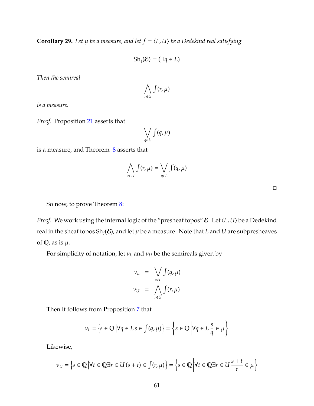**Corollary 29.** Let  $\mu$  be a measure, and let  $f = \langle L, U \rangle$  be a Dedekind real satisfying

$$
Sh_j(\mathcal{E}) \models (\exists q \in L)
$$

*Then the semireal*

$$
\bigwedge_{r\in U}\int(r,\mu)
$$

*is a measure.*

*Proof.* Proposition [21](#page-59-0) asserts that

$$
\bigvee_{q\in L}\int(q,\mu)
$$

is a measure, and Theorem [8](#page-66-0) asserts that

$$
\bigwedge_{r\in U}\int(r,\mu)=\bigvee_{q\in L}\int(q,\mu)
$$

So now, to prove Theorem [8:](#page-66-0)

*Proof.* We work using the internal logic of the "presheaf topos"  $\mathcal{E}$ . Let  $\langle L, U \rangle$  be a Dedekind real in the sheaf topos  $\text{Sh}_i(\mathcal{E})$ , and let  $\mu$  be a measure. Note that *L* and *U* are subpresheaves of  $\mathbb Q$ , as is  $\mu$ .

For simplicity of notation, let  $v_L$  and  $v_U$  be the semireals given by

$$
\nu_L = \bigvee_{q \in L} \int (q, \mu)
$$
  

$$
\nu_U = \bigwedge_{r \in U} \int (r, \mu)
$$

Then it follows from Proposition [7](#page-42-1) that

$$
\nu_L = \left\{ s \in \mathbb{Q} \middle| \forall q \in L \, s \in \int (q, \mu) \right\} = \left\{ s \in \mathbb{Q} \middle| \forall q \in L \, \frac{s}{q} \in \mu \right\}
$$

Likewise,

$$
\nu_U = \left\{ s \in \mathbb{Q} \middle| \forall t \in \mathbb{Q} \exists r \in U \left( s + t \right) \in \int (r, \mu) \right\} = \left\{ s \in \mathbb{Q} \middle| \forall t \in \mathbb{Q} \exists r \in U \frac{s + t}{r} \in \mu \right\}
$$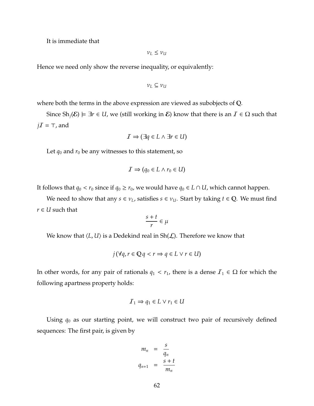It is immediate that

$$
\nu_L \leq \nu_U
$$

Hence we need only show the reverse inequality, or equivalently:

$$
\nu_L \subseteq \nu_U
$$

where both the terms in the above expression are viewed as subobjects of Q.

Since  $\text{Sh}_i(\mathcal{E}) \models \exists r \in U$ , we (still working in  $\mathcal{E}$ ) know that there is an  $\mathcal{I} \in \Omega$  such that  $jI = \top$ , and

$$
\mathcal{I} \Rightarrow (\exists q \in L \land \exists r \in U)
$$

Let  $q_0$  and  $r_0$  be any witnesses to this statement, so

$$
\mathcal{I} \Rightarrow (q_0 \in L \land r_0 \in U)
$$

It follows that  $q_0 < r_0$  since if  $q_0 \ge r_0$ , we would have  $q_0 \in L \cap U$ , which cannot happen.

We need to show that any  $s \in v_L$ , satisfies  $s \in v_U$ . Start by taking  $t \in \mathbb{Q}$ . We must find  $r \in U$  such that

$$
\frac{s+t}{r}\in\mu
$$

We know that  $\langle L, U \rangle$  is a Dedekind real in  $\text{Sh}(\mathcal{L})$ . Therefore we know that

$$
j(\forall q, r \in \mathbb{Q} q < r \Rightarrow q \in L \lor r \in U)
$$

In other words, for any pair of rationals  $q_1 < r_1$ , there is a dense  $\mathcal{I}_1 \in \Omega$  for which the following apartness property holds:

$$
\mathcal{I}_1 \Rightarrow q_1 \in L \vee r_1 \in U
$$

Using  $q_0$  as our starting point, we will construct two pair of recursively defined sequences: The first pair, is given by

$$
m_n = \frac{s}{q_n}
$$
  

$$
q_{n+1} = \frac{s+t}{m_n}
$$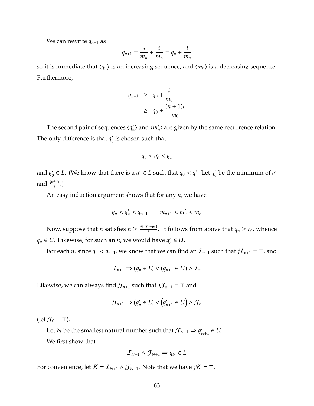We can rewrite  $q_{n+1}$  as

$$
q_{n+1} = \frac{s}{m_n} + \frac{t}{m_n} = q_n + \frac{t}{m_n}
$$

so it is immediate that  $\langle q_n \rangle$  is an increasing sequence, and  $\langle m_n \rangle$  is a decreasing sequence. Furthermore,

$$
q_{n+1} \geq q_n + \frac{t}{m_0}
$$
  
 
$$
\geq q_0 + \frac{(n+1)t}{m_0}
$$

The second pair of sequences  $\langle q'_i \rangle$  $n'_n$ ) and  $\langle m'_n \rangle$  are given by the same recurrence relation. The only difference is that  $q_0$ <sup>*l*</sup>  $\frac{1}{0}$  is chosen such that

$$
q_0 < q'_0 < q_1
$$

and *q* 0  $Q'_0 \in L$ . (We know that there is a  $q' \in L$  such that  $q_0 < q'$ . Let  $q'_0$  $q'$  be the minimum of  $q'$ and  $\frac{q_0+q_1}{2}$ .)

An easy induction argument shows that for any *n*, we have

$$
q_n < q'_n < q_{n+1} \qquad m_{n+1} < m'_n < m_n
$$

Now, suppose that *n* satisfies  $n \geq \frac{m_0(r_0 - q_0)}{r}$  $\frac{p_0 - q_0}{t}$ . It follows from above that  $q_n \ge r_0$ , whence *q*<sup>*n*</sup> ∈ *U*. Likewise, for such an *n*, we would have  $q'_n$  ∈ *U*.

For each *n*, since  $q_n < q_{n+1}$ , we know that we can find an  $\mathcal{I}_{n+1}$  such that  $j\mathcal{I}_{n+1} = \top$ , and

$$
\mathcal{I}_{n+1} \Rightarrow (q_n \in L) \vee (q_{n+1} \in U) \wedge \mathcal{I}_n
$$

Likewise, we can always find  $\mathcal{J}_{n+1}$  such that  $j\mathcal{J}_{n+1} = \top$  and

$$
\mathcal{J}_{n+1} \Rightarrow (q'_n \in L) \vee (q'_{n+1} \in U) \wedge \mathcal{J}_n
$$

 $(\text{let } \mathcal{J}_0 = \top).$ 

Let *N* be the smallest natural number such that  $\mathcal{J}_{N+1} \Rightarrow q'_{N}$  $'_{N+1}$  ∈ *U*.

We first show that

$$
\mathcal{I}_{N+1}\wedge\mathcal{J}_{N+1}\Rightarrow q_N\in L
$$

For convenience, let  $K = I_{N+1} \wedge \mathcal{J}_{N+1}$ . Note that we have  $jK = T$ .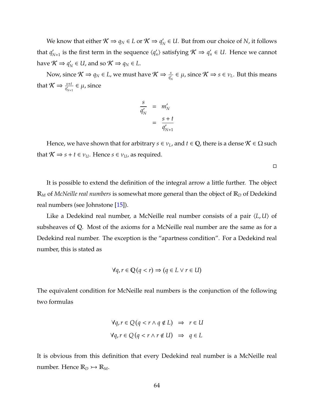We know that either  $\mathcal{K} \Rightarrow q_N \in L$  or  $\mathcal{K} \Rightarrow q'_N$  $N_N \in U$ . But from our choice of *N*, it follows that  $q'_{\ell}$  $\zeta_{N+1}$  is the first term in the sequence  $\langle q'_n \rangle$  $g'_n$  satisfying  $K \Rightarrow q'_n \in U$ . Hence we cannot have  $\mathcal{K} \Rightarrow q'_{N}$  $\gamma_N \in U$ , and so  $\mathcal{K} \Rightarrow q_N \in L$ .

Now, since  $\mathcal{K} \Rightarrow q_N \in L$ , we must have  $\mathcal{K} \Rightarrow \frac{s}{q'_N} \in \mu$ , since  $\mathcal{K} \Rightarrow s \in \nu_L$ . But this means that  $\mathcal{K} \Rightarrow \frac{s+t}{q_{N+1}'} \in \mu$ , since

$$
\frac{s}{q'_N} = m'_N
$$

$$
= \frac{s+t}{q'_{N+1}}
$$

Hence, we have shown that for arbitrary  $s \in v_L$ , and  $t \in \mathbb{Q}$ , there is a dense  $\mathcal{K} \in \Omega$  such that  $K \Rightarrow s + t \in v_U$ . Hence  $s \in v_U$ , as required.

 $\Box$ 

It is possible to extend the definition of the integral arrow a little further. The object R<sub>M</sub> of *McNeille real numbers* is somewhat more general than the object of R<sub>D</sub> of Dedekind real numbers (see Johnstone [\[15\]](#page-124-0)).

Like a Dedekind real number, a McNeille real number consists of a pair  $\langle L, U \rangle$  of subsheaves of Q. Most of the axioms for a McNeille real number are the same as for a Dedekind real number. The exception is the "apartness condition". For a Dedekind real number, this is stated as

$$
\forall q, r \in \mathbb{Q} \left( q < r \right) \Rightarrow \left( q \in L \lor r \in U \right)
$$

The equivalent condition for McNeille real numbers is the conjunction of the following two formulas

$$
\forall q, r \in Q (q < r \land q \notin L) \Rightarrow r \in U
$$
  

$$
\forall q, r \in Q (q < r \land r \notin U) \Rightarrow q \in L
$$

It is obvious from this definition that every Dedekind real number is a McNeille real number. Hence  $\mathbb{R}_D \rightarrow \mathbb{R}_M$ .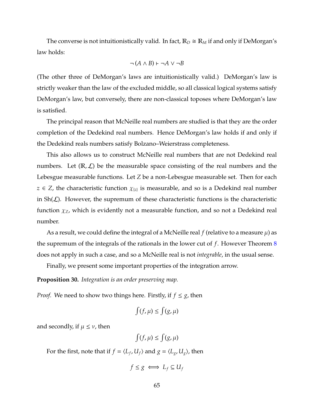The converse is not intuitionistically valid. In fact,  $\mathbb{R}_D \cong \mathbb{R}_M$  if and only if DeMorgan's law holds:

$$
\neg (A \land B) \vdash \neg A \lor \neg B
$$

(The other three of DeMorgan's laws are intuitionistically valid.) DeMorgan's law is strictly weaker than the law of the excluded middle, so all classical logical systems satisfy DeMorgan's law, but conversely, there are non-classical toposes where DeMorgan's law is satisfied.

The principal reason that McNeille real numbers are studied is that they are the order completion of the Dedekind real numbers. Hence DeMorgan's law holds if and only if the Dedekind reals numbers satisfy Bolzano–Weierstrass completeness.

This also allows us to construct McNeille real numbers that are not Dedekind real numbers. Let  $(\mathbb{R}, \mathcal{L})$  be the measurable space consisting of the real numbers and the Lebesgue measurable functions. Let *Z* be a non-Lebesgue measurable set. Then for each  $z \in Z$ , the characteristic function  $\chi_{\{z\}}$  is measurable, and so is a Dedekind real number in  $\text{Sh}(\mathcal{L})$ . However, the supremum of these characteristic functions is the characteristic function  $\chi_Z$ , which is evidently not a measurable function, and so not a Dedekind real number.

As a result, we could define the integral of a McNeille real  $f$  (relative to a measure  $\mu$ ) as the supremum of the integrals of the rationals in the lower cut of *f*. However Theorem [8](#page-66-0) does not apply in such a case, and so a McNeille real is not *integrable*, in the usual sense.

Finally, we present some important properties of the integration arrow.

**Proposition 30.** *Integration is an order preserving map.*

*Proof.* We need to show two things here. Firstly, if  $f \leq g$ , then

$$
\int (f, \mu) \le \int (g, \mu)
$$

and secondly, if  $\mu \leq \nu$ , then

$$
\int(f,\mu)\leq\int(g,\mu)
$$

For the first, note that if  $f = \langle L_f, U_f \rangle$  and  $g = \langle L_g, U_g \rangle$ , then

$$
f \le g \iff L_f \subseteq U_f
$$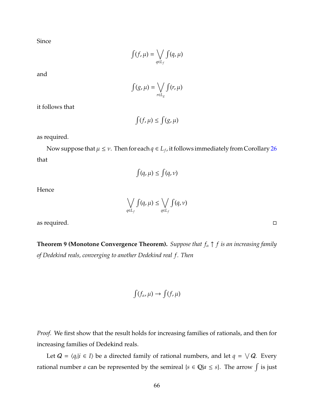Since

$$
\int(f,\mu)=\bigvee_{q\in L_f}\int(q,\mu)
$$

and

$$
\int (g,\mu) = \bigvee_{r \in L_g} \int (r,\mu)
$$

it follows that

$$
\int(f,\mu)\leq \int(g,\mu)
$$

as required.

Now suppose that  $\mu \leq \nu$ . Then for each  $q \in L_f$ , it follows immediately from Corollary [26](#page-63-0) that

$$
\int (q,\mu) \le \int (q,\nu)
$$

Hence

$$
\bigvee_{q\in L_f}\int(q,\mu)\leq \bigvee_{q\in L_f}\int(q,\nu)
$$

as required.

**Theorem 9 (Monotone Convergence Theorem).** *Suppose that f*<sup>α</sup> ↑ *f is an increasing family of Dedekind reals, converging to another Dedekind real f . Then*

$$
\int (f_\alpha,\mu) \to \int (f,\mu)
$$

*Proof.* We first show that the result holds for increasing families of rationals, and then for increasing families of Dedekind reals.

Let  $Q = \langle q_i | i \in I \rangle$  be a directed family of rational numbers, and let  $q = \sqrt{Q}$ . Every rational number *a* can be represented by the semireal { $s \in \mathbb{Q}$ |*a*  $\leq s$ }. The arrow  $\int$  is just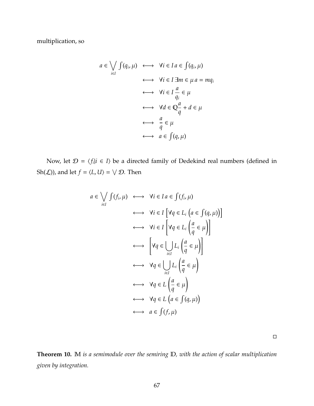multiplication, so

$$
a \in \bigvee_{i \in I} \int (q_i, \mu) \iff \forall i \in I \ a \in \int (q_i, \mu)
$$
  
\n
$$
\iff \forall i \in I \ \exists m \in \mu \ a = mq_i
$$
  
\n
$$
\iff \forall i \in I \ \frac{a}{q_i} \in \mu
$$
  
\n
$$
\iff \forall d \in \mathbb{Q} \frac{a}{q} + d \in \mu
$$
  
\n
$$
\iff \frac{a}{q} \in \mu
$$
  
\n
$$
\iff a \in \int (q, \mu)
$$

Now, let  $\mathcal{D} = \langle f_i | i \in I \rangle$  be a directed family of Dedekind real numbers (defined in Sh(*L*)), and let  $f = \langle L, U \rangle = \sqrt{\mathcal{D}}$ . Then

$$
a \in \bigvee_{i \in I} \int (f_i, \mu) \iff \forall i \in I \ a \in \int (f_i, \mu)
$$
  
\n
$$
\iff \forall i \in I \ \big[\forall q \in L_i \ (a \in \int (q, \mu))\big]
$$
  
\n
$$
\iff \forall i \in I \ \big[\forall q \in L_i \left(\frac{a}{q} \in \mu\right)\big]
$$
  
\n
$$
\iff \big[\forall q \in \bigcup_{i \in I} L_i \left(\frac{a}{q} \in \mu\right)\big]
$$
  
\n
$$
\iff \forall q \in \bigcup_{i \in I} L_i \left(\frac{a}{q} \in \mu\right)
$$
  
\n
$$
\iff \forall q \in L \left(\frac{a}{q} \in \mu\right)
$$
  
\n
$$
\iff \forall q \in L \ (a \in \int (q, \mu))
$$
  
\n
$$
\iff a \in \int (f, \mu)
$$

 $\Box$ 

**Theorem 10.** M *is a semimodule over the semiring* D*, with the action of scalar multiplication given by integration.*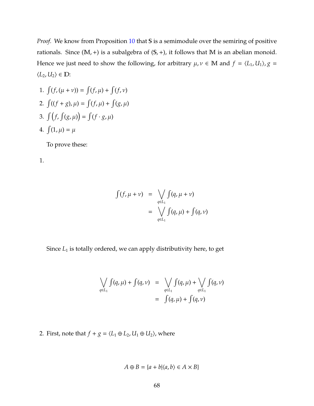*Proof.* We know from Proposition [10](#page-44-0) that S is a semimodule over the semiring of positive rationals. Since  $(M,+)$  is a subalgebra of  $(S,+)$ , it follows that M is an abelian monoid. Hence we just need to show the following, for arbitrary  $\mu$ ,  $\nu \in M$  and  $f = \langle L_1, U_1 \rangle$ ,  $g =$  $\langle L_2, U_2 \rangle \in \mathbb{D}$ :

- 1.  $\int (f, (\mu + \nu)) = \int (f, \mu) + \int (f, \nu)$ 2.  $\int ((f + g), \mu) = \int (f, \mu) + \int (g, \mu)$ 3.  $\int (f, \int (g, \mu)) = \int (f \cdot g, \mu)$
- 4.  $\int (1, \mu) = \mu$

To prove these:

1.

$$
\int (f, \mu + \nu) = \bigvee_{q \in L_1} \int (q, \mu + \nu)
$$

$$
= \bigvee_{q \in L_1} \int (q, \mu) + \int (q, \nu)
$$

Since *L*<sub>1</sub> is totally ordered, we can apply distributivity here, to get

$$
\bigvee_{q\in L_1} \int (q, \mu) + \int (q, \nu) = \bigvee_{q\in L_1} \int (q, \mu) + \bigvee_{q\in L_1} \int (q, \nu)
$$
  
= 
$$
\int (q, \mu) + \int (q, \nu)
$$

2. First, note that  $f + g = \langle L_1 \oplus L_2, U_1 \oplus U_2 \rangle$ , where

$$
A \oplus B = \{a + b | \langle a, b \rangle \in A \times B\}
$$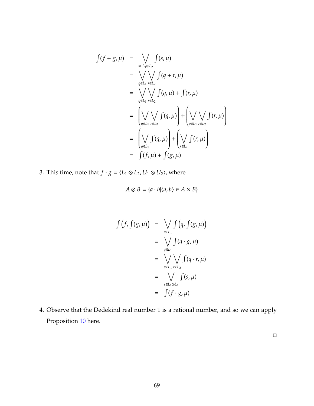$$
\int (f + g, \mu) = \bigvee_{s \in L_1 \oplus L_2} \int (s, \mu)
$$
\n
$$
= \bigvee_{q \in L_1} \bigvee_{r \in L_2} \int (q + r, \mu)
$$
\n
$$
= \bigvee_{q \in L_1} \bigvee_{r \in L_2} \int (q, \mu) + \int (r, \mu)
$$
\n
$$
= \left( \bigvee_{q \in L_1} \bigvee_{r \in L_2} \int (q, \mu) \right) + \left( \bigvee_{q \in L_1} \bigvee_{r \in L_2} \int (r, \mu) \right)
$$
\n
$$
= \left( \bigvee_{q \in L_1} \int (q, \mu) \right) + \left( \bigvee_{r \in L_2} \int (r, \mu) \right)
$$
\n
$$
= \int (f, \mu) + \int (g, \mu)
$$

3. This time, note that  $f \cdot g = \langle L_1 \otimes L_2, U_1 \otimes U_2 \rangle$ , where

$$
A \otimes B = \{a \cdot b | \langle a, b \rangle \in A \times B\}
$$

$$
\int (f, \int (g, \mu)) = \bigvee_{q \in L_1} \int (q, \int (g, \mu))
$$
  
= 
$$
\bigvee_{q \in L_1} \int (q \cdot g, \mu)
$$
  
= 
$$
\bigvee_{q \in L_1} \bigvee_{r \in L_2} \int (q \cdot r, \mu)
$$
  
= 
$$
\bigvee_{s \in L_1 \otimes L_2} \int (s, \mu)
$$
  
= 
$$
\int (f \cdot g, \mu)
$$

4. Observe that the Dedekind real number 1 is a rational number, and so we can apply Proposition [10](#page-44-0) here.

 $\Box$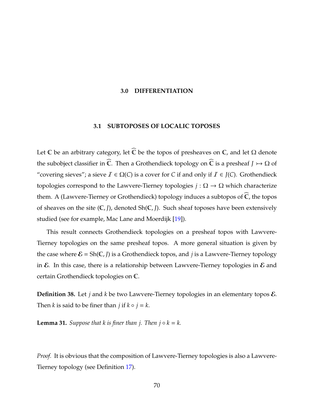### **3.0 DIFFERENTIATION**

#### **3.1 SUBTOPOSES OF LOCALIC TOPOSES**

Let C be an arbitrary category, let  $\widehat{\mathbb{C}}$  be the topos of presheaves on  $\mathbb{C}$ , and let  $\Omega$  denote the subobject classifier in  $\mathbb C$ . Then a Grothendieck topology on  $\widehat{\mathbb C}$  is a presheaf  $J \rightarrow \Omega$  of "covering sieves"; a sieve  $\mathcal{I} \in \Omega(C)$  is a cover for *C* if and only if  $\mathcal{I} \in J(C)$ . Grothendieck topologies correspond to the Lawvere-Tierney topologies  $j : \Omega \to \Omega$  which characterize them. A (Lawvere-Tierney or Grothendieck) topology induces a subtopos of  $\mathbb C$ , the topos of sheaves on the site (C, *J*), denoted Sh(C, *J*). Such sheaf toposes have been extensively studied (see for example, Mac Lane and Moerdijk [\[19\]](#page-124-0)).

This result connects Grothendieck topologies on a presheaf topos with Lawvere-Tierney topologies on the same presheaf topos. A more general situation is given by the case where  $\mathcal{E} = \text{Sh}(\mathbb{C}, J)$  is a Grothendieck topos, and *j* is a Lawvere-Tierney topology in  $\mathcal E$ . In this case, there is a relationship between Lawvere-Tierney topologies in  $\mathcal E$  and certain Grothendieck topologies on C.

**Definition 38.** Let *j* and *k* be two Lawvere-Tierney topologies in an elementary topos E. Then *k* is said to be finer than *j* if  $k \circ j = k$ .

**Lemma 31.** *Suppose that k is finer than j. Then j*  $\circ$   $k = k$ .

*Proof.* It is obvious that the composition of Lawvere-Tierney topologies is also a Lawvere-Tierney topology (see Definition [17\)](#page-21-0).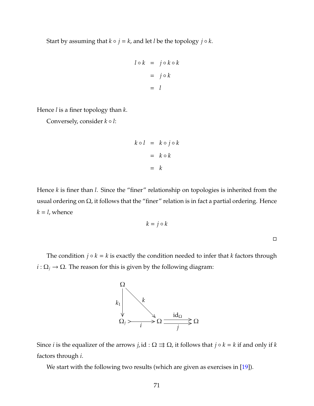Start by assuming that  $k \circ j = k$ , and let *l* be the topology  $j \circ k$ .

$$
l \circ k = j \circ k \circ k
$$

$$
= j \circ k
$$

$$
= l
$$

Hence *l* is a finer topology than *k*.

Conversely, consider *k* ◦ *l*:

$$
k \circ l = k \circ j \circ k
$$

$$
= k \circ k
$$

$$
= k
$$

Hence *k* is finer than *l*. Since the "finer" relationship on topologies is inherited from the usual ordering on  $\Omega$ , it follows that the "finer" relation is in fact a partial ordering. Hence  $k = l$ , whence

$$
k = j \circ k
$$

 $\Box$ 

The condition  $j \circ k = k$  is exactly the condition needed to infer that  $k$  factors through  $i : \Omega_j \to \Omega$ . The reason for this is given by the following diagram:



<span id="page-77-0"></span>We start with the following two results (which are given as exercises in [\[19\]](#page-124-0)).

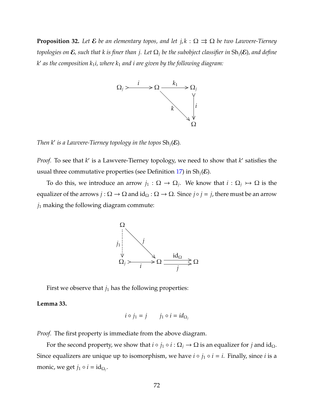**Proposition 32.** Let  $\mathcal{E}$  be an elementary topos, and let  $j, k : \Omega \implies \Omega$  be two Lawvere-Tierney *topologies on*  $\mathcal{E}$ *, such that k is finer than j. Let*  $\Omega_j$  *be the subobject classifier in*  $\text{Sh}_j(\mathcal{E})$ *, and define k* 0 *as the composition k*1*i, where k*<sup>1</sup> *and i are given by the following diagram:*



*Then k' is a Lawvere-Tierney topology in the topos*  $\text{Sh}_j(\mathcal{E})$ *.* 

Proof. To see that *k*' is a Lawvere-Tierney topology, we need to show that *k*' satisfies the usual three commutative properties (see Definition [17\)](#page-21-0) in  $\text{Sh}_i(\mathcal{E})$ .

To do this, we introduce an arrow  $j_1: \Omega \to \Omega_j$ . We know that  $i: \Omega_j \to \Omega$  is the equalizer of the arrows  $j : \Omega \to \Omega$  and  $\mathrm{id}_{\Omega} : \Omega \to \Omega$ . Since  $j \circ j = j$ , there must be an arrow  $j_1$  making the following diagram commute:



First we observe that  $j_1$  has the following properties:

**Lemma 33.**

$$
i \circ j_1 = j \qquad j_1 \circ i = id_{\Omega_j}
$$

*Proof.* The first property is immediate from the above diagram.

For the second property, we show that  $i \circ j_1 \circ i : \Omega_j \to \Omega$  is an equalizer for  $j$  and  $id_{\Omega}$ . Since equalizers are unique up to isomorphism, we have  $i \circ j_1 \circ i = i$ . Finally, since  $i$  is a monic, we get  $j_1 \circ i = \mathrm{id}_{\Omega_j}$ .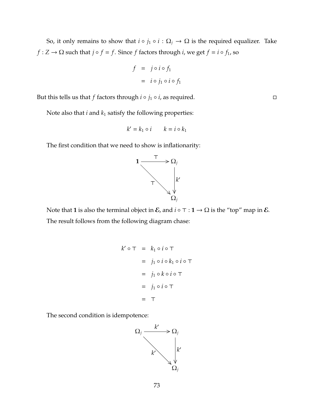So, it only remains to show that  $i \circ j_1 \circ i : \Omega_j \to \Omega$  is the required equalizer. Take *f* : *Z* →  $\Omega$  such that *j* ◦ *f* = *f*. Since *f* factors through *i*, we get *f* = *i* ◦ *f*<sub>1</sub>, so

$$
f = j \circ i \circ f_1
$$
  
=  $i \circ j_1 \circ i \circ f_1$ 

But this tells us that *f* factors through  $i \circ j_1 \circ i$ , as required.

Note also that  $i$  and  $k_1$  satisfy the following properties:

$$
k' = k_1 \circ i \qquad k = i \circ k_1
$$

 $\top$ 

The first condition that we need to show is inflationarity:



Note that **1** is also the terminal object in  $\mathcal{E}$ , and  $i \circ \top : \mathbf{1} \to \Omega$  is the "top" map in  $\mathcal{E}$ . The result follows from the following diagram chase:

$$
k' \circ \top = k_1 \circ i \circ \top
$$
  
=  $j_1 \circ i \circ k_1 \circ i \circ \top$   
=  $j_1 \circ k \circ i \circ \top$   
=  $j_1 \circ i \circ \top$   
=  $\top$ 

The second condition is idempotence:

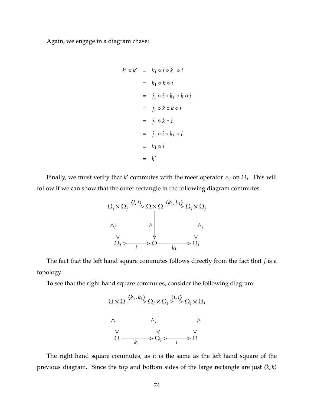Again, we engage in a diagram chase:

$$
k' \circ k' = k_1 \circ i \circ k_1 \circ i
$$
  
=  $k_1 \circ k \circ i$   
=  $j_1 \circ i \circ k_1 \circ k \circ i$   
=  $j_1 \circ k \circ k \circ i$   
=  $j_1 \circ k \circ i$   
=  $k_1 \circ i$   
=  $k'$ 

Finally, we must verify that *k'* commutes with the meet operator  $\wedge_j$  on  $\Omega_j$ . This will follow if we can show that the outer rectangle in the following diagram commutes:



The fact that the left hand square commutes follows directly from the fact that *j* is a topology.

To see that the right hand square commutes, consider the following diagram:



The right hand square commutes, as it is the same as the left hand square of the previous diagram. Since the top and bottom sides of the large rectangle are just  $\langle k, k \rangle$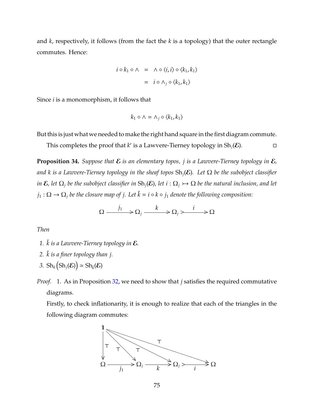and *k*, respectively, it follows (from the fact the *k* is a topology) that the outer rectangle commutes. Hence:

$$
i \circ k_1 \circ \wedge = \wedge \circ \langle i, i \rangle \circ \langle k_1, k_1 \rangle
$$
  
= 
$$
i \circ \wedge_j \circ \langle k_1, k_1 \rangle
$$

Since *i* is a monomorphism, it follows that

$$
k_1 \circ \wedge = \wedge_j \circ \langle k_1, k_1 \rangle
$$

But this is just what we needed to make the right hand square in the first diagram commute.

This completes the proof that *k'* is a Lawvere-Tierney topology in Sh<sub>j</sub>(E).

<span id="page-81-0"></span>**Proposition 34.** *Suppose that*  $\mathcal{E}$  *is an elementary topos, j is a Lawvere-Tierney topology in*  $\mathcal{E}$ *, and k is a Lawvere-Tierney topology in the sheaf topos* Sh*j*(E)*. Let* Ω *be the subobject classifier in*  $\mathcal{E}$ *, let*  $\Omega_j$  *be the subobject classifier in*  $\text{Sh}_j(\mathcal{E})$ *, let*  $i : \Omega_j \rightarrow \Omega$  *be the natural inclusion, and let*  $j_1 : \Omega \to \Omega_j$  *be the closure map of j. Let*  $\tilde{k} = i \circ k \circ j_1$  *denote the following composition:* 

$$
\Omega \xrightarrow{j_1} \Omega_j \xrightarrow{k} \Omega_j \rightarrow \frac{i}{\Omega}
$$

*Then*

- *1.* ˜*k is a Lawvere-Tierney topology in* E*.*
- *2.* ˜*k is a finer topology than j.*
- 3.  $\text{Sh}_k\left(\text{Sh}_j(\mathcal{E})\right) \simeq \text{Sh}_{\tilde{k}}(\mathcal{E})$
- *Proof.* 1. As in Proposition [32,](#page-77-0) we need to show that *j* satisfies the required commutative diagrams.

Firstly, to check inflationarity, it is enough to realize that each of the triangles in the following diagram commutes:

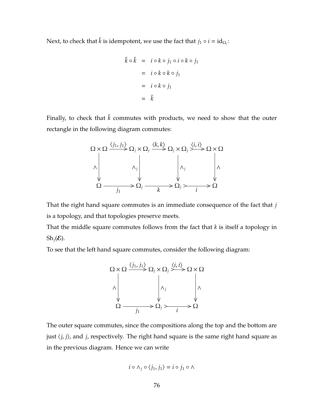Next, to check that  $\tilde{k}$  is idempotent, we use the fact that  $j_1 \circ i = \mathrm{id}_{\Omega_j}$ :

$$
\tilde{k} \circ \tilde{k} = i \circ k \circ j_1 \circ i \circ k \circ j_1
$$
  
=  $i \circ k \circ k \circ j_1$   
=  $i \circ k \circ j_1$   
=  $\tilde{k}$ 

Finally, to check that  $\tilde{k}$  commutes with products, we need to show that the outer rectangle in the following diagram commutes:



That the right hand square commutes is an immediate consequence of the fact that *j* is a topology, and that topologies preserve meets.

That the middle square commutes follows from the fact that *k* is itself a topology in  $\text{Sh}_i(\mathcal{E})$ .

To see that the left hand square commutes, consider the following diagram:



The outer square commutes, since the compositions along the top and the bottom are just  $\langle j, j \rangle$ , and *j*, respectively. The right hand square is the same right hand square as in the previous diagram. Hence we can write

$$
i \circ \wedge_j \circ \langle j_1, j_1 \rangle = i \circ j_1 \circ \wedge
$$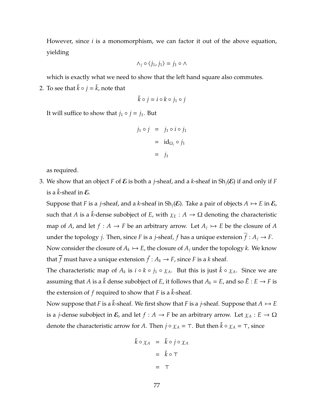However, since *i* is a monomorphism, we can factor it out of the above equation, yielding

$$
\wedge_j \circ \langle j_1, j_1 \rangle = j_1 \circ \wedge
$$

which is exactly what we need to show that the left hand square also commutes.

2. To see that  $\tilde{k} \circ j = \tilde{k}$ , note that

$$
\tilde{k} \circ j = i \circ k \circ j_1 \circ j
$$

It will suffice to show that  $j_1 \circ j = j_1$ . But

$$
j_1 \circ j = j_1 \circ i \circ j_1
$$
  
=  $\mathrm{id}_{\Omega_j} \circ j_1$   
=  $j_1$ 

as required.

3. We show that an object *F* of *E* is both a *j*-sheaf, and a *k*-sheaf in  $\text{Sh}_i(\mathcal{E})$  if and only if *F* is a  $\tilde{k}$ -sheaf in  $\mathcal{E}$ .

Suppose that *F* is a *j*-sheaf, and a *k*-sheaf in  $\text{Sh}_i(\mathcal{E})$ . Take a pair of objects  $A \rightarrow E$  in  $\mathcal{E}$ , such that *A* is a  $\tilde{k}$ -dense subobject of *E*, with  $\chi_E : A \to \Omega$  denoting the characteristic map of *A*, and let  $f : A \to F$  be an arbitrary arrow. Let  $A_j \rightarrow E$  be the closure of *A* under the topology *j*. Then, since *F* is a *j*-sheaf, *f* has a unique extension  $\overline{f}: A_j \to F$ . Now consider the closure of  $A_k \rightarrow E$ , the closure of  $A_j$  under the topology  $k$ . We know

that  $\overline{f}$  must have a unique extension  $\tilde{f}: A_k \to F$ , since  $F$  is a  $k$  sheaf.

The characteristic map of  $A_k$  is  $i \circ k \circ j_1 \circ \chi_A$ . But this is just  $\tilde{k} \circ \chi_A$ . Since we are assuming that *A* is a  $\tilde{k}$  dense subobject of *E*, it follows that  $A_k = E$ , and so  $\tilde{E}: E \to F$  is the extension of  $f$  required to show that  $F$  is a  $\tilde{k}$ -sheaf.

Now suppose that *F* is a  $\vec{k}$ -sheaf. We first show that *F* is a *j*-sheaf. Suppose that  $A \rightarrow B$ is a *j*-dense subobject in  $\mathcal{E}$ , and let  $f : A \to F$  be an arbitrary arrow. Let  $\chi_A : E \to \Omega$ denote the characteristic arrow for *A*. Then  $j \circ \chi_A = \tau$ . But then  $\tilde{k} \circ \chi_A = \tau$ , since

$$
\tilde{k} \circ \chi_A = \tilde{k} \circ j \circ \chi_A
$$

$$
= \tilde{k} \circ \top
$$

$$
= \top
$$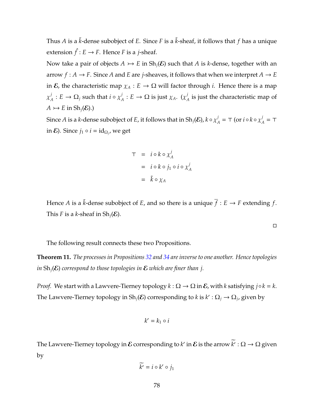Thus *A* is a  $\tilde{k}$ -dense subobject of *E*. Since *F* is a  $\tilde{k}$ -sheaf, it follows that *f* has a unique extension  $\hat{f} : E \to F$ . Hence *F* is a *j*-sheaf.

Now take a pair of objects  $A \rightarrow E$  in  $\text{Sh}_i(\mathcal{E})$  such that  $A$  is  $k$ -dense, together with an arrow  $f : A \to F$ . Since *A* and *E* are *j*-sheaves, it follows that when we interpret  $A \to E$ in  $\mathcal{E}$ , the characteristic map  $\chi_A : E \to \Omega$  will factor through *i*. Hence there is a map χ *j*  $\frac{j}{A}: E \to \Omega_j$  such that  $i \circ \chi^j_A$  $\chi^j_A : E \to \Omega$  is just  $\chi_A$ . ( $\chi^j_A$  $A'_A$  is just the characteristic map of  $A \rightarrow E$  in  $\text{Sh}_i(\mathcal{E})$ .)

Since  $A$  is a  $k$ -dense subobject of  $E$ , it follows that in Sh $_j(\mathcal{E}),$   $k \circ \chi^j_A$  $\chi^j_A = \top (\text{or } i \circ k \circ \chi^j_A)$  $\frac{j}{A}$  = T in  $\mathcal{E}$ ). Since  $j_1 \circ i = \mathrm{id}_{\Omega_j}$ , we get

$$
\begin{aligned}\n\mathsf{T} &= i \circ k \circ \chi_A^j \\
&= i \circ k \circ j_1 \circ i \circ \chi_A^j \\
&= \tilde{k} \circ \chi_A\n\end{aligned}
$$

Hence *A* is a  $\tilde{k}$ -dense subobject of *E*, and so there is a unique  $\overline{f}$  :  $E \rightarrow F$  extending  $f$ . This *F* is a *k*-sheaf in  $\text{Sh}_i(\mathcal{E})$ .

 $\Box$ 

The following result connects these two Propositions.

**Theorem 11.** *The processes in Propositions [32](#page-77-0) and [34](#page-81-0) are inverse to one another. Hence topologies in*  $\text{Sh}_i(\mathcal{E})$  *correspond to those topologies in*  $\mathcal E$  *which are finer than j.* 

*Proof.* We start with a Lawvere-Tierney topology  $k : \Omega \to \Omega$  in  $\mathcal{E}$ , with *k* satisfying  $j ∘ k = k$ . The Lawvere-Tierney topology in  $\text{Sh}_j(\mathcal{E})$  corresponding to *k* is  $k': \Omega_j \to \Omega_j$ , given by

$$
k'=k_1\circ i
$$

The Lawvere-Tierney topology in  $\mathcal E$  corresponding to  $k'$  in  $\mathcal E$  is the arrow  $\widetilde{k'}:\Omega\to\Omega$  given by

$$
\widetilde{k'}=i\circ k'\circ j_1
$$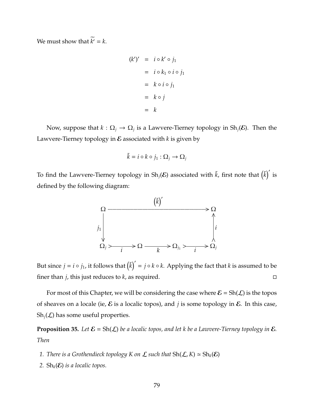We must show that  $\widetilde{k'} = k$ .

$$
(k')' = i \circ k' \circ j_1
$$
  
=  $i \circ k_1 \circ i \circ j_1$   
=  $k \circ i \circ j_1$   
=  $k \circ j$   
=  $k$ 

Now, suppose that  $k: \Omega_j \to \Omega_j$  is a Lawvere-Tierney topology in Sh<sub>j</sub>(E). Then the Lawvere-Tierney topology in  $\mathcal E$  associated with  $k$  is given by

$$
\tilde{k} = i \circ k \circ j_1 : \Omega_j \to \Omega_j
$$

To find the Lawvere-Tierney topology in Sh<sub>j</sub>(E) associated with  $\tilde{k}$ , first note that  $\left(\tilde{k}\right)'$  is defined by the following diagram:



But since  $j = i \circ j_1$ , it follows that  $\left(\tilde{k}\right)' = j \circ k \circ k$ . Applying the fact that  $k$  is assumed to be finer than *j*, this just reduces to *k*, as required.

For most of this Chapter, we will be considering the case where  $\mathcal{E} = \text{Sh}(\mathcal{L})$  is the topos of sheaves on a locale (ie,  $\mathcal E$  is a localic topos), and *j* is some topology in  $\mathcal E$ . In this case,  $\text{Sh}_i(\mathcal{L})$  has some useful properties.

**Proposition 35.** Let  $\mathcal{E} = \text{Sh}(\mathcal{L})$  be a localic topos, and let k be a Lawvere-Tierney topology in  $\mathcal{E}$ . *Then*

- *1. There is a Grothendieck topology K on*  $\mathcal L$  *such that*  $\text{Sh}(\mathcal L,K) \simeq \text{Sh}_k(\mathcal E)$
- 2.  $\text{Sh}_k(\mathcal{E})$  *is a localic topos.*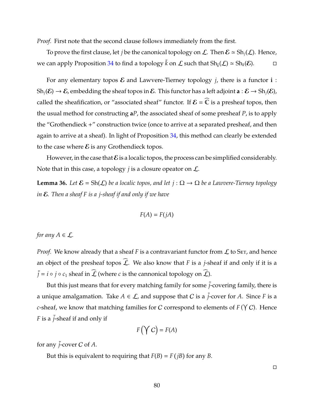*Proof.* First note that the second clause follows immediately from the first.

To prove the first clause, let *j* be the canonical topology on  $\mathcal{L}$ . Then  $\mathcal{E} \simeq Sh_j(\mathcal{L})$ . Hence, we can apply Proposition [34](#page-81-0) to find a topology  $\tilde{k}$  on  $\mathcal L$  such that  $\text{Sh}_{\tilde{k}}(\mathcal L)\simeq \text{Sh}_k(\mathcal E).$ 

For any elementary topos  $\mathcal E$  and Lawvere-Tierney topology *j*, there is a functor **i** :  $Sh_i(\mathcal{E}) \to \mathcal{E}$ , embedding the sheaf topos in  $\mathcal{E}$ . This functor has a left adjoint  $\mathbf{a}: \mathcal{E} \to Sh_i(\mathcal{E})$ , called the sheafification, or "associated sheaf" functor. If  $\mathcal{E} = \widehat{\mathbb{C}}$  is a presheaf topos, then the usual method for constructing **a***P*, the associated sheaf of some presheaf *P*, is to apply the "Grothendieck +" construction twice (once to arrive at a separated presheaf, and then again to arrive at a sheaf). In light of Proposition [34,](#page-81-0) this method can clearly be extended to the case where  $\mathcal E$  is any Grothendieck topos.

However, in the case that  $\mathcal E$  is a localic topos, the process can be simplified considerably. Note that in this case, a topology *j* is a closure opeator on L.

**Lemma 36.** *Let*  $\mathcal{E} = \text{Sh}(\mathcal{L})$  *be a localic topos, and let*  $j : \Omega \to \Omega$  *be a Lawvere-Tierney topology in* E*. Then a sheaf F is a j-sheaf if and only if we have*

$$
F(A) = F(jA)
$$

*for any A*  $\in \mathcal{L}$ *.* 

*Proof.* We know already that a sheaf *F* is a contravariant functor from  $\mathcal{L}$  to S<sub>ET</sub>, and hence an object of the presheaf topos  $\widehat{\mathcal{L}}$ . We also know that *F* is a *j*-sheaf if and only if it is a  $\tilde{j} = i \circ j \circ c_1$  sheaf in  $\hat{\mathcal{L}}$  (where *c* is the cannonical topology on  $\hat{\mathcal{L}}$ ).

But this just means that for every matching family for some  $\tilde{j}$ -covering family, there is a unique amalgamation. Take  $A \in \mathcal{L}$ , and suppose that C is a  $\tilde{j}$ -cover for A. Since F is a *c*-sheaf, we know that matching families for C correspond to elements of  $F(Y|C)$ . Hence *F* is a  $\tilde{j}$ -sheaf if and only if

$$
F(\mathbf{Y}C)=F(A)
$$

for any  $\tilde{j}$ -cover C of A.

But this is equivalent to requiring that  $F(B) = F(jB)$  for any *B*.

 $\Box$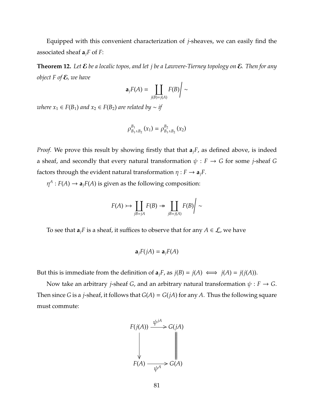Equipped with this convenient characterization of *j*-sheaves, we can easily find the associated sheaf  $\mathbf{a}_i F$  of *F*:

<span id="page-87-0"></span>**Theorem 12.** *Let* E *be a localic topos, and let j be a Lawvere-Tierney topology on* E*. Then for any object F of* E*, we have*

$$
\mathbf{a}_j F(A) = \prod_{j(B)=j(A)} F(B) / \sim
$$

*where*  $x_1$  ∈ *F*( $B_1$ ) *and*  $x_2$  ∈ *F*( $B_2$ ) *are related by* ∼ *if* 

$$
\rho_{B_1 \wedge B_2}^{B_1}(x_1) = \rho_{B_1 \wedge B_2}^{B_2}(x_2)
$$

*Proof.* We prove this result by showing firstly that that **a***jF*, as defined above, is indeed a sheaf, and secondly that every natural transformation  $\psi : F \to G$  for some *j*-sheaf *G* factors through the evident natural transformation  $\eta : F \to \mathbf{a}_jF$ .

 $\eta^A: F(A) \to \mathbf{a}_j F(A)$  is given as the following composition:

$$
F(A) \rightarrowtail \coprod_{jB=jA} F(B) \rightarrowtail \coprod_{jB=j(A)} F(B) / \sim
$$

To see that  $\mathbf{a}_i F$  is a sheaf, it suffices to observe that for any  $A \in \mathcal{L}$ , we have

$$
\mathbf{a}_j F(jA) = \mathbf{a}_j F(A)
$$

But this is immediate from the definition of  $\mathbf{a}_jF$ , as  $j(B) = j(A) \iff j(A) = j(j(A))$ .

Now take an arbitrary *j*-sheaf *G*, and an arbitrary natural transformation  $\psi : F \to G$ . Then since *G* is a *j*-sheaf, it follows that  $G(A) = G(jA)$  for any *A*. Thus the following square must commute:

$$
F(j(A)) \xrightarrow{\psi^{jA}} G(jA)
$$
  
\n
$$
\downarrow \qquad \qquad \downarrow
$$
  
\n
$$
F(A) \xrightarrow{\psi^{A}} G(A)
$$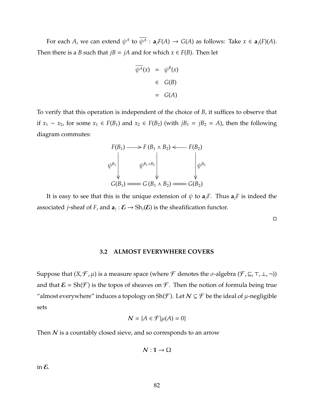For each *A*, we can extend  $\psi^A$  to  $\overline{\psi^A}$  :  $\mathbf{a}_jF(A) \to G(A)$  as follows: Take  $x \in \mathbf{a}_j(F)(A)$ . Then there is a *B* such that  $jB = jA$  and for which  $x \in F(B)$ . Then let

$$
\overline{\psi^A}(x) = \psi^B(x)
$$
  
\n
$$
\in G(B)
$$
  
\n
$$
= G(A)
$$

To verify that this operation is independent of the choice of *B*, it suffices to observe that if *x*<sub>1</sub> ∼ *x*<sub>2</sub>, for some *x*<sub>1</sub> ∈ *F*(*B*<sub>1</sub>) and *x*<sub>2</sub> ∈ *F*(*B*<sub>2</sub>) (with *jB*<sub>1</sub> = *jB*<sub>2</sub> = *A*), then the following diagram commutes:

$$
F(B_1) \longrightarrow F(B_1 \wedge B_2) \longleftarrow F(B_2)
$$
\n
$$
\psi^{B_1} \downarrow \qquad \psi^{B_1 \wedge B_2} \downarrow \qquad \qquad \downarrow \psi^{B_2}
$$
\n
$$
G(B_1) \longrightarrow G(B_1 \wedge B_2) \longrightarrow G(B_2)
$$

It is easy to see that this is the unique extension of  $\psi$  to  $a_jF$ . Thus  $a_jF$  is indeed the associated *j*-sheaf of *F*, and  $a_j : E \to Sh_j(E)$  is the sheafification functor.

 $\Box$ 

#### **3.2 ALMOST EVERYWHERE COVERS**

Suppose that  $(X, \mathcal{F}, \mu)$  is a measure space (where  $\mathcal F$  denotes the  $\sigma$ -algebra  $(\mathcal F, \sqsubseteq, \top, \bot, \neg)$ ) and that  $\mathcal{E} = \text{Sh}(\mathcal{F})$  is the topos of sheaves on  $\mathcal{F}$ . Then the notion of formula being true "almost everywhere" induces a topology on Sh(*F*). Let  $N \subseteq \mathcal{F}$  be the ideal of  $\mu$ -negligible sets

$$
\mathcal{N} = \{A \in \mathcal{F} | \mu(A) = 0\}
$$

Then  $N$  is a countably closed sieve, and so corresponds to an arrow

 $N:1\to\Omega$ 

in  $\mathcal{E}$ .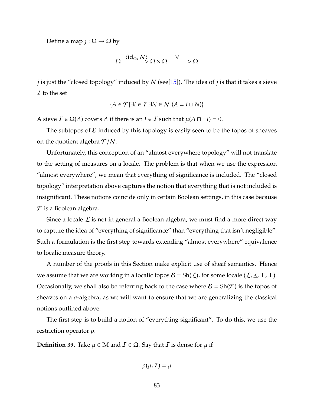Define a map  $j : \Omega \to \Omega$  by

$$
\Omega \xrightarrow{\langle id_{\Omega}, \mathcal{N} \rangle} \Omega \times \Omega \xrightarrow{\quad \vee \quad}
$$

*j* is just the "closed topology" induced by N (see[\[15\]](#page-124-1)). The idea of *j* is that it takes a sieve  $I$  to the set

$$
\{A\in\mathcal{F}|\exists I\in\mathcal{I}\ \exists N\in\mathcal{N}\ (A=I\sqcup N)\}
$$

A sieve  $\mathcal{I} \in \Omega(A)$  covers *A* if there is an  $I \in \mathcal{I}$  such that  $\mu(A \sqcap \neg I) = 0$ .

The subtopos of  $\mathcal E$  induced by this topology is easily seen to be the topos of sheaves on the quotient algebra  $\mathcal{F}/\mathcal{N}$ .

Unfortunately, this conception of an "almost everywhere topology" will not translate to the setting of measures on a locale. The problem is that when we use the expression "almost everywhere", we mean that everything of significance is included. The "closed topology" interpretation above captures the notion that everything that is not included is insignificant. These notions coincide only in certain Boolean settings, in this case because  $\mathcal F$  is a Boolean algebra.

Since a locale  $\mathcal L$  is not in general a Boolean algebra, we must find a more direct way to capture the idea of "everything of significance" than "everything that isn't negligible". Such a formulation is the first step towards extending "almost everywhere" equivalence to localic measure theory.

A number of the proofs in this Section make explicit use of sheaf semantics. Hence we assume that we are working in a localic topos  $\mathcal{E} = \text{Sh}(\mathcal{L})$ , for some locale  $(\mathcal{L}, \leq, \top, \bot)$ . Occasionally, we shall also be referring back to the case where  $\mathcal{E} = \text{Sh}(\mathcal{F})$  is the topos of sheaves on a  $\sigma$ -algebra, as we will want to ensure that we are generalizing the classical notions outlined above.

The first step is to build a notion of "everything significant". To do this, we use the restriction operator  $\rho$ .

<span id="page-89-0"></span>**Definition 39.** Take  $\mu \in \mathbb{M}$  and  $\mathcal{I} \in \Omega$ . Say that  $\mathcal{I}$  is dense for  $\mu$  if

$$
\rho(\mu, \mathcal{I}) = \mu
$$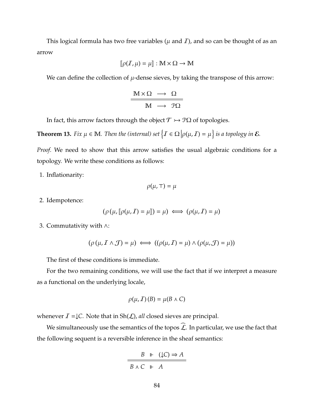This logical formula has two free variables ( $\mu$  and  $\bar{I}$ ), and so can be thought of as an arrow

$$
[\![\rho({\cal I},\mu)=\mu]\!]:\mathbb{M}\times\Omega\to\mathbb{M}
$$

We can define the collection of  $\mu$ -dense sieves, by taking the transpose of this arrow:

$$
\frac{\mathbb{M} \times \Omega \longrightarrow \Omega}{\mathbb{M} \longrightarrow \mathcal{P}\Omega}
$$

In fact, this arrow factors through the object  $\mathcal{T} \rightarrow \mathcal{P}\Omega$  of topologies.

**Theorem 13.** Fix  $\mu \in \mathbb{M}$ . Then the (internal) set  $\big\{ \mathcal{I} \in \Omega \big| \rho(\mu, \mathcal{I}) = \mu \big\}$  is a topology in  $\mathcal{E}$ .

*Proof.* We need to show that this arrow satisfies the usual algebraic conditions for a topology. We write these conditions as follows:

1. Inflationarity:

 $\rho(\mu, \tau) = \mu$ 

2. Idempotence:

$$
(\rho(\mu, [\![\rho(\mu, I)] = \mu]) = \mu) \iff (\rho(\mu, I) = \mu)
$$

3. Commutativity with ∧:

$$
(\rho(\mu, \mathcal{I} \wedge \mathcal{J}) = \mu) \iff ((\rho(\mu, \mathcal{I}) = \mu) \wedge (\rho(\mu, \mathcal{J}) = \mu))
$$

The first of these conditions is immediate.

For the two remaining conditions, we will use the fact that if we interpret a measure as a functional on the underlying locale,

$$
\rho(\mu, \mathcal{I})(B) = \mu(B \wedge C)
$$

whenever  $I = \downarrow C$ . Note that in Sh( $L$ ), *all* closed sieves are principal.

We simultaneously use the semantics of the topos  $\widehat{\mathcal{L}}$ . In particular, we use the fact that the following sequent is a reversible inference in the sheaf semantics:

$$
\frac{B + (\downarrow C) \Rightarrow A}{B \land C + A}
$$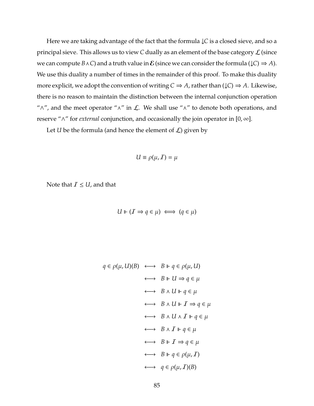Here we are taking advantage of the fact that the formula ↓*C* is a closed sieve, and so a principal sieve. This allows us to view  $C$  dually as an element of the base category  $\mathcal{L}$  (since we can compute  $B \wedge C$ ) and a truth value in  $\mathcal E$  (since we can consider the formula ( $\downarrow C$ )  $\Rightarrow$  *A*). We use this duality a number of times in the remainder of this proof. To make this duality more explicit, we adopt the convention of writing  $C \Rightarrow A$ , rather than ( $\downarrow C$ )  $\Rightarrow A$ . Likewise, there is no reason to maintain the distinction between the internal conjunction operation " $\wedge$ ", and the meet operator " $\wedge$ " in  $\mathcal{L}$ . We shall use " $\wedge$ " to denote both operations, and reserve "∧" for *external* conjunction, and occasionally the join operator in [0, ∞].

Let *U* be the formula (and hence the element of  $\mathcal{L}$ ) given by

$$
U\equiv \rho(\mu, {\cal I})=\mu
$$

Note that  $I \leq U$ , and that

$$
U \Vdash (I \Rightarrow q \in \mu) \iff (q \in \mu)
$$

$$
q \in \rho(\mu, U)(B) \longleftrightarrow B \Vdash q \in \rho(\mu, U)
$$
  
\n
$$
\longleftrightarrow B \Vdash U \Rightarrow q \in \mu
$$
  
\n
$$
\longleftrightarrow B \wedge U \Vdash q \in \mu
$$
  
\n
$$
\longleftrightarrow B \wedge U \Vdash T \Rightarrow q \in \mu
$$
  
\n
$$
\longleftrightarrow B \wedge U \wedge T \Vdash q \in \mu
$$
  
\n
$$
\longleftrightarrow B \wedge T \Vdash q \in \mu
$$
  
\n
$$
\longleftrightarrow B \Vdash T \Rightarrow q \in \mu
$$
  
\n
$$
\longleftrightarrow B \Vdash q \in \rho(\mu, T)
$$
  
\n
$$
\longleftrightarrow q \in \rho(\mu, T)(B)
$$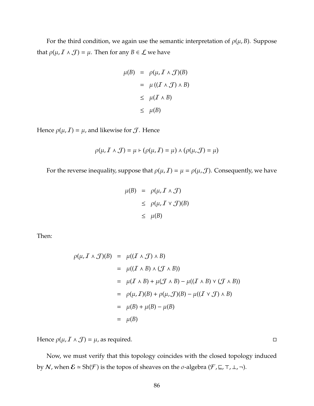For the third condition, we again use the semantic interpretation of  $\rho(\mu, B)$ . Suppose that  $\rho(\mu, I \wedge \mathcal{J}) = \mu$ . Then for any  $B \in \mathcal{L}$  we have

$$
\mu(B) = \rho(\mu, I \wedge \mathcal{J})(B)
$$
  
=  $\mu((I \wedge \mathcal{J}) \wedge B)$   
 $\leq \mu(I \wedge B)$   
 $\leq \mu(B)$ 

Hence  $\rho(\mu, I) = \mu$ , and likewise for  $J$ . Hence

$$
\rho(\mu, \mathcal{I} \wedge \mathcal{J}) = \mu + (\rho(\mu, \mathcal{I}) = \mu) \wedge (\rho(\mu, \mathcal{J}) = \mu)
$$

For the reverse inequality, suppose that  $\rho(\mu,I) = \mu = \rho(\mu,J)$ . Consequently, we have

$$
\mu(B) = \rho(\mu, I \wedge \mathcal{J})
$$
  
\n
$$
\leq \rho(\mu, I \vee \mathcal{J})(B)
$$
  
\n
$$
\leq \mu(B)
$$

Then:

$$
\rho(\mu, \mathcal{I} \wedge \mathcal{J})(B) = \mu((\mathcal{I} \wedge \mathcal{J}) \wedge B)
$$
  
\n
$$
= \mu((\mathcal{I} \wedge B) \wedge (\mathcal{J} \wedge B))
$$
  
\n
$$
= \mu(\mathcal{I} \wedge B) + \mu(\mathcal{J} \wedge B) - \mu((\mathcal{I} \wedge B) \vee (\mathcal{J} \wedge B))
$$
  
\n
$$
= \rho(\mu, \mathcal{I})(B) + \rho(\mu, \mathcal{J})(B) - \mu((\mathcal{I} \vee \mathcal{J}) \wedge B)
$$
  
\n
$$
= \mu(B) + \mu(B) - \mu(B)
$$
  
\n
$$
= \mu(B)
$$

Hence  $\rho(\mu, I \wedge \mathcal{J}) = \mu$ , as required.

Now, we must verify that this topology coincides with the closed topology induced by N, when  $\mathcal{E} \simeq \text{Sh}(\mathcal{F})$  is the topos of sheaves on the  $\sigma$ -algebra  $(\mathcal{F}, \sqsubseteq, \top, \bot, \neg)$ .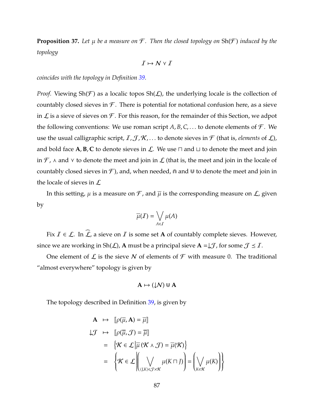**Proposition 37.** Let  $\mu$  be a measure on  $\mathcal{F}$ . Then the closed topology on Sh( $\mathcal{F}$ ) induced by the *topology*

$$
I \mapsto N \vee I
$$

*coincides with the topology in Definition [39.](#page-89-0)*

*Proof.* Viewing  $\text{Sh}(\mathcal{F})$  as a localic topos  $\text{Sh}(\mathcal{L})$ , the underlying locale is the collection of countably closed sieves in  $\mathcal F$ . There is potential for notational confusion here, as a sieve in  $\mathcal L$  is a sieve of sieves on  $\mathcal F$ . For this reason, for the remainder of this Section, we adpot the following conventions: We use roman script  $A, B, C, \ldots$  to denote elements of  $\mathcal{F}$ . We use the usual calligraphic script,  $I, J, K, \ldots$  to denote sieves in  $\mathcal F$  (that is, *elements* of  $\mathcal L$ ), and bold face  $\mathbf{A}$ ,  $\mathbf{B}$ ,  $\mathbf{C}$  to denote sieves in  $\mathcal{L}$ . We use  $\Box$  and  $\Box$  to denote the meet and join in  $\mathcal{F}$ ,  $\wedge$  and  $\vee$  to denote the meet and join in  $\mathcal{L}$  (that is, the meet and join in the locale of countably closed sieves in  $\mathcal F$ ), and, when needed,  $\cap$  and  $\mathbb U$  to denote the meet and join in the locale of sieves in  $\mathcal L$ 

In this setting,  $\mu$  is a measure on  $\mathcal F$ , and  $\overline{\mu}$  is the corresponding measure on  $\mathcal L$ , given by

$$
\overline{\mu}(\mathcal{I}) = \bigvee_{A \in \mathcal{I}} \mu(A)
$$

Fix  $\mathcal{I} \in \mathcal{L}$ . In  $\widehat{\mathcal{L}}$ , a sieve on  $\mathcal{I}$  is some set **A** of countably complete sieves. However, since we are working in Sh( $\mathcal{L}$ ), **A** must be a principal sieve  $\mathbf{A} = \downarrow \mathcal{J}$ , for some  $\mathcal{J} \leq \mathcal{I}$ .

One element of  $\mathcal L$  is the sieve N of elements of  $\mathcal F$  with measure 0. The traditional "almost everywhere" topology is given by

$$
A \mapsto (\downarrow \mathcal{N}) \cup A
$$

The topology described in Definition [39,](#page-89-0) is given by

$$
\mathbf{A} \mapsto [\![\rho(\overline{\mu}, \mathbf{A}) = \overline{\mu}]\!]
$$
  
\n
$$
\mathcal{J} \mapsto [\![\rho(\overline{\mu}, \mathcal{J}) = \overline{\mu}]\!]
$$
  
\n
$$
= \{ \mathcal{K} \in \mathcal{L} \left| \overline{\mu} (\mathcal{K} \wedge \mathcal{J}) = \overline{\mu} (\mathcal{K}) \right\}
$$
  
\n
$$
= \{ \mathcal{K} \in \mathcal{L} \left| \left( \bigvee_{(J,K) \in \mathcal{J} \times \mathcal{K}} \mu(K \sqcap J) \right) = \left( \bigvee_{K \in \mathcal{K}} \mu(K) \right) \} \right|
$$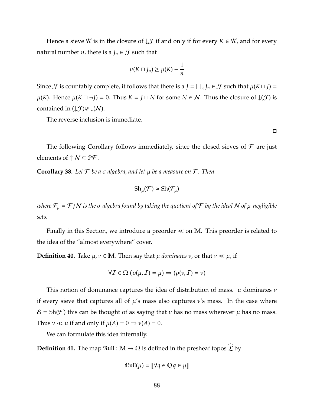Hence a sieve K is in the closure of  $\downarrow \mathcal{J}$  if and only if for every  $K \in \mathcal{K}$ , and for every natural number *n*, there is a  $J_n \in \mathcal{J}$  such that

$$
\mu(K \sqcap J_n) \ge \mu(K) - \frac{1}{n}
$$

Since  $\mathcal J$  is countably complete, it follows that there is a  $J = \bigsqcup_n J_n \in \mathcal J$  such that  $\mu(K \sqcup J) = \mu(K \sqcup J)$  $\mu(K)$ . Hence  $\mu(K \sqcap \neg J) = 0$ . Thus  $K = J \sqcup N$  for some  $N \in \mathcal{N}$ . Thus the closure of  $\downarrow(\mathcal{J})$  is contained in  $(\downarrow \mathcal{J})\cup \downarrow (N)$ .

The reverse inclusion is immediate.

 $\Box$ 

The following Corollary follows immediately, since the closed sieves of  $\mathcal F$  are just elements of  $\uparrow N \subseteq \mathcal{PF}$ .

**Corollary 38.** Let  $\mathcal F$  be a  $\sigma$  algebra, and let  $\mu$  be a measure on  $\mathcal F$ . Then

$$
\mathrm{Sh}_{\mu}(\mathcal{F}) \simeq \mathrm{Sh}(\mathcal{F}_{\mu})
$$

*where*  $\mathcal{F}_{\mu} = \mathcal{F}/N$  *is the*  $\sigma$ -algebra found by taking the quotient of  $\mathcal{F}$  by the ideal  $N$  of  $\mu$ -negligible *sets.*

Finally in this Section, we introduce a preorder  $\ll$  on M. This preorder is related to the idea of the "almost everywhere" cover.

<span id="page-94-0"></span>**Definition 40.** Take  $\mu, \nu \in M$ . Then say that  $\mu$  *dominates*  $\nu$ , or that  $\nu \ll \mu$ , if

$$
\forall \mathcal{I} \in \Omega \ (\rho(\mu, \mathcal{I}) = \mu) \Rightarrow (\rho(\nu, \mathcal{I}) = \nu)
$$

This notion of dominance captures the idea of distribution of mass.  $\mu$  dominates  $\nu$ if every sieve that captures all of  $\mu$ 's mass also captures  $\nu$ 's mass. In the case where  $\mathcal{E} = \text{Sh}(\mathcal{F})$  this can be thought of as saying that *v* has no mass wherever  $\mu$  has no mass. Thus  $v \ll \mu$  if and only if  $\mu(A) = 0 \Rightarrow v(A) = 0$ .

We can formulate this idea internally.

**Definition 41.** The map  $\mathfrak{R} \text{u} \text{u}$  :  $M \rightarrow \Omega$  is defined in the presheaf topos  $\mathcal{L}$  by

$$
\mathfrak{R}\mathfrak{u}\mathfrak{l}\mathfrak{l}(\mu) = [\![\forall q \in \mathbb{Q} \, q \in \mu]\!]
$$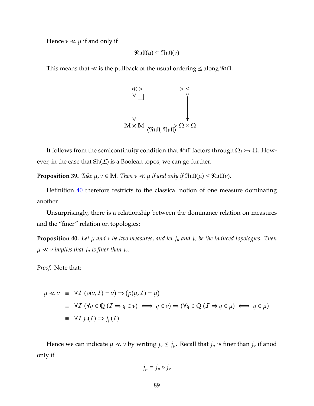Hence  $\nu \ll \mu$  if and only if

$$
\mathfrak{Rull}(\mu) \subseteq \mathfrak{Rull}(\nu)
$$

This means that  $\ll$  is the pullback of the usual ordering  $\leq$  along  $\mathfrak{R}$ ull:



It follows from the semicontinuity condition that  $\mathfrak{R}$ ull factors through  $\Omega_j \rightarrow \Omega$ . However, in the case that  $\text{Sh}(\mathcal{L})$  is a Boolean topos, we can go further.

**Proposition 39.** *Take*  $\mu, \nu \in \mathbb{M}$ *. Then*  $\nu \ll \mu$  *if and only if*  $\Re\mu\iint(\mu) \leq \Re\mu\iint(\nu)$ *.* 

Definition [40](#page-94-0) therefore restricts to the classical notion of one measure dominating another.

Unsurprisingly, there is a relationship between the dominance relation on measures and the "finer" relation on topologies:

**Proposition 40.** *Let* µ *and* ν *be two measures, and let j*<sup>µ</sup> *and j*<sup>ν</sup> *be the induced topologies. Then*  $\mu \ll \nu$  *implies that*  $j_{\mu}$  *is finer than*  $j_{\nu}$ *.* 

*Proof.* Note that:

$$
\mu \ll v \equiv \forall I (\rho(v, I) = v) \Rightarrow (\rho(\mu, I) = \mu)
$$
  
\n
$$
\equiv \forall I (\forall q \in \mathbb{Q} (I \Rightarrow q \in v) \iff q \in v) \Rightarrow (\forall q \in \mathbb{Q} (I \Rightarrow q \in \mu) \iff q \in \mu)
$$
  
\n
$$
\equiv \forall I j_v(I) \Rightarrow j_{\mu}(I)
$$

Hence we can indicate  $\mu \ll \nu$  by writing  $j_{\nu} \le j_{\mu}$ . Recall that  $j_{\mu}$  is finer than  $j_{\nu}$  if anod only if

$$
j_{\mu} = j_{\mu} \circ j_{\nu}
$$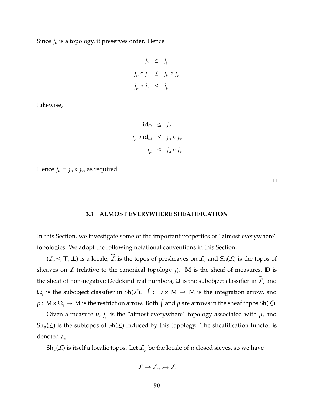Since  $j_{\mu}$  is a topology, it preserves order. Hence

$$
j_{\nu} \leq j_{\mu}
$$
  

$$
j_{\mu} \circ j_{\nu} \leq j_{\mu} \circ j_{\mu}
$$
  

$$
j_{\mu} \circ j_{\nu} \leq j_{\mu}
$$

Likewise,

$$
id_{\Omega} \leq j_{\nu}
$$
  

$$
j_{\mu} \circ id_{\Omega} \leq j_{\mu} \circ j_{\nu}
$$
  

$$
j_{\mu} \leq j_{\mu} \circ j_{\nu}
$$

Hence  $j_{\mu} = j_{\mu} \circ j_{\nu}$ , as required.

 $\Box$ 

# **3.3 ALMOST EVERYWHERE SHEAFIFICATION**

In this Section, we investigate some of the important properties of "almost everywhere" topologies. We adopt the following notational conventions in this Section.

( $\mathcal{L}$ ,  $\leq$ ,  $\top$ ,  $\bot$ ) is a locale,  $\widehat{\mathcal{L}}$  is the topos of presheaves on  $\mathcal{L}$ , and Sh( $\mathcal{L}$ ) is the topos of sheaves on  $\mathcal L$  (relative to the canonical topology *j*). M is the sheaf of measures,  $D$  is the sheaf of non-negative Dedekind real numbers,  $\Omega$  is the subobject classifier in  $\widehat{\mathcal{L}}$ , and  $\Omega_j$  is the subobject classifier in Sh( $\cal L$ ).  $\int : \mathbb{D} \times \mathbb{M} \to \mathbb{M}$  is the integration arrow, and  $\rho: M \times \Omega_j \to M$  is the restriction arrow. Both  $\int$  and  $\rho$  are arrows in the sheaf topos Sh(*L*).

Given a measure  $\mu$ ,  $j_{\mu}$  is the "almost everywhere" topology associated with  $\mu$ , and  $Sh_{\mu}(\mathcal{L})$  is the subtopos of  $Sh(\mathcal{L})$  induced by this topology. The sheafification functor is denoted  $\mathbf{a}_{\mu}$ .

 $Sh_{\mu}(\mathcal{L})$  is itself a localic topos. Let  $\mathcal{L}_{\mu}$  be the locale of  $\mu$  closed sieves, so we have

$$
\mathcal{L} \to \mathcal{L}_{\mu} \rightarrowtail \mathcal{L}
$$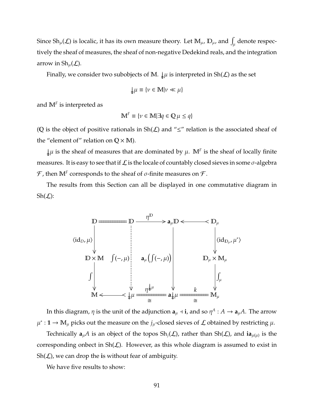Since  $\text{Sh}_{\mu}(\mathcal{L})$  is localic, it has its own measure theory. Let  $\mathbb{M}_{\mu}$ ,  $\mathbb{D}_{\mu}$ , and  $\int_{\mu}$  denote respectively the sheaf of measures, the sheaf of non-negative Dedekind reals, and the integration arrow in  $\text{Sh}_{\mu}(\mathcal{L})$ .

Finally, we consider two subobjects of M.  $\downarrow \mu$  is interpreted in Sh( $\mathcal{L}$ ) as the set

$$
\downarrow \mu \equiv \{ \nu \in \mathbb{M} | \nu \ll \mu \}
$$

and M*<sup>F</sup>* is interpreted as

$$
\mathbb{M}^F \equiv \{ \nu \in \mathbb{M} | \exists q \in \mathbb{Q} \mu \le q \}
$$

(Q is the object of positive rationals in Sh( $\mathcal{L}$ ) and " $\leq$ " relation is the associated sheaf of the "element of" relation on  $Q \times M$ ).

 $\downarrow \mu$  is the sheaf of measures that are dominated by  $\mu$ . M<sup>F</sup> is the sheaf of locally finite measures. It is easy to see that if  $\mathcal L$  is the locale of countably closed sieves in some  $\sigma$ -algebra  $\mathcal F$ , then  $\mathbb M^F$  corresponds to the sheaf of  $\sigma$ -finite measures on  $\mathcal F$ .

The results from this Section can all be displayed in one commutative diagram in  $\text{Sh}(\mathcal{L})$ :



In this diagram,  $\eta$  is the unit of the adjunction  $\mathbf{a}_{\mu}$  +  $\mathbf{i}$ , and so  $\eta^A: A \to \mathbf{a}_{\mu}A$ . The arrow  $\mu^*$  : 1 →  $\mathbb{M}_{\mu}$  picks out the measure on the  $j_{\mu}$ -closed sieves of  ${\mathcal{L}}$  obtained by restricting  $\mu$ .

Technically  $a_{\mu}A$  is an object of the topos  $\text{Sh}_{j}(\mathcal{L})$ , rather than  $\text{Sh}(\mathcal{L})$ , and  $ia_{\mu(\mu)}$  is the corresponding onbect in  $\text{Sh}(\mathcal{L})$ . However, as this whole diagram is assumed to exist in  $Sh(\mathcal{L})$ , we can drop the is without fear of ambiguity.

We have five results to show: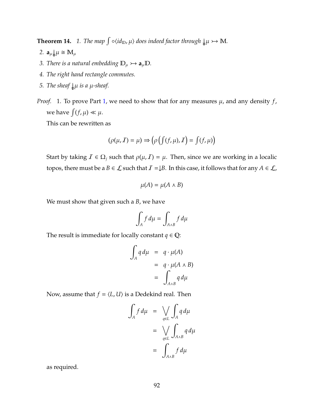<span id="page-98-0"></span>**Theorem 14.** 1. The map  $\int \circ \langle id_{\mathbb{D}}, \mu \rangle$  does indeed factor through  $\downarrow \mu \rightarrow M$ .

- 2.  $\mathbf{a}_{\mu} \downarrow \mu \cong \mathbb{M}_{\mu}$
- *3. There is a natural embedding*  $\mathbb{D}_{\mu} \rightarrow \mathbf{a}_{\mu} \mathbb{D}$ *.*
- *4. The right hand rectangle commutes.*
- *5. The sheaf* ↓↓µ *is a* µ*-sheaf.*
- *Proof.* 1. To prove Part [1,](#page-98-0) we need to show that for any measures  $\mu$ , and any density  $f$ , we have  $\int (f, \mu) \ll \mu$ .

This can be rewritten as

$$
(\rho(\mu, \mathcal{I}) = \mu) \Rightarrow (\rho(\int (f, \mu), \mathcal{I}) = \int (f, \mu))
$$

Start by taking  $\mathcal{I} \in \Omega_j$  such that  $\rho(\mu, \mathcal{I}) = \mu$ . Then, since we are working in a localic topos, there must be a *B*  $\in$  *L* such that *I* =  $\downarrow$ *B*. In this case, it follows that for any *A*  $\in$  *L*,

$$
\mu(A) = \mu(A \wedge B)
$$

We must show that given such a *B*, we have

$$
\int_A f \, d\mu = \int_{A \wedge B} f \, d\mu
$$

The result is immediate for locally constant *q*  $\in$  Q:

$$
\int_{A} q d\mu = q \cdot \mu(A)
$$
  
=  $q \cdot \mu(A \wedge B)$   
= 
$$
\int_{A \wedge B} q d\mu
$$

Now, assume that  $f = \langle L, U \rangle$  is a Dedekind real. Then

$$
\int_{A} f d\mu = \bigvee_{q \in L} \int_{A} q d\mu
$$

$$
= \bigvee_{q \in L} \int_{A \wedge B} q d\mu
$$

$$
= \int_{A \wedge B} f d\mu
$$

as required.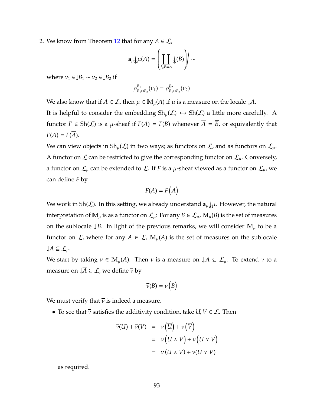2. We know from Theorem [12](#page-87-0) that for any  $A \in \mathcal{L}$ ,

$$
\mathbf{a}_{\mu}\downarrow\mu(A)=\left(\coprod_{j_{\mu}B=A}\downarrow(B)\right)\sim
$$

where  $v_1 \in \downarrow B_1 \sim v_2 \in \downarrow B_2$  if

$$
\rho_{B_1\sqcap B_2}^{B_1}(\nu_1)=\rho_{B_1\sqcap B_2}^{B_2}(\nu_2)
$$

We also know that if  $A \in \mathcal{L}$ , then  $\mu \in M_{\mu}(A)$  if  $\mu$  is a measure on the locale  $\downarrow A$ .

It is helpful to consider the embedding  $\text{Sh}_{\mu}(\mathcal{L}) \rightarrow \text{Sh}(\mathcal{L})$  a little more carefully. A functor  $F \in \text{Sh}(\mathcal{L})$  is a  $\mu$ -sheaf if  $F(A) = F(B)$  whenever  $\overline{A} = \overline{B}$ , or equivalently that  $F(A) = F(\overline{A}).$ 

We can view objects in  $\text{Sh}_{\mu}(\mathcal{L})$  in two ways; as functors on  $\mathcal{L}_{\mu}$ , and as functors on  $\mathcal{L}_{\mu}$ . A functor on  $\mathcal L$  can be restricted to give the corresponding functor on  $\mathcal L_\mu$ . Conversely, a functor on  $\mathcal{L}_{\mu}$  can be extended to  $\mathcal{L}$ . If *F* is a  $\mu$ -sheaf viewed as a functor on  $\mathcal{L}_{\mu}$ , we can define  $\overline{F}$  by

$$
\overline{F}(A) = F(\overline{A})
$$

We work in Sh( $\mathcal{L}$ ). In this setting, we already understand  $\mathbf{a}_{\mu}\downarrow\mu$ . However, the natural interpretation of  $\mathbb{M}_{\mu}$  is as a functor on  $\mathcal{L}_{\mu}$ : For any  $B \in \mathcal{L}_{\mu}$ ,  $\mathbb{M}_{\mu}(B)$  is the set of measures on the sublocale  $\downarrow$ *B*. In light of the previous remarks, we will consider  $\mathbb{M}_{\mu}$  to be a functor on  $\mathcal{L}$ , where for any  $A \in \mathcal{L}$ ,  $\mathbb{M}_{\mu}(A)$  is the set of measures on the sublocale  $\downarrow \overline{A} \subseteq \mathcal{L}_u$ .

We start by taking  $\nu \in M_\mu(A)$ . Then  $\nu$  is a measure on  $\sqrt{A} \subseteq \mathcal{L}_\mu$ . To extend  $\nu$  to a measure on  $\downarrow \overline{A} \subseteq \mathcal{L}$ , we define  $\overline{v}$  by

$$
\overline{\nu}(B) = \nu\left(\overline{B}\right)
$$

We must verify that  $\overline{v}$  is indeed a measure.

• To see that  $\overline{v}$  satisfies the additivity condition, take *U*,  $V \in \mathcal{L}$ . Then

$$
\overline{\nu}(U) + \overline{\nu}(V) = \nu(\overline{U}) + \nu(\overline{V})
$$
  
=  $\nu(\overline{U \wedge V}) + \nu(\overline{U \vee V})$   
=  $\overline{\nu}(U \wedge V) + \overline{\nu}(U \vee V)$ 

as required.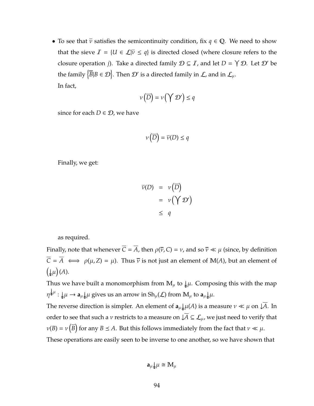• To see that  $\overline{v}$  satisfies the semicontinuity condition, fix  $q \in \mathbb{Q}$ . We need to show that the sieve  $I = {U \in \mathcal{L} | \overline{v} \le q}$  is directed closed (where closure refers to the closure operation *j*). Take a directed family  $\mathcal{D} \subseteq I$ , and let  $D = \gamma \mathcal{D}$ . Let  $\mathcal{D}'$  be the family  $\left\{\overline{B}|B \in \mathcal{D}\right\}$ . Then  $\mathcal{D}'$  is a directed family in  $\mathcal{L}$ , and in  $\mathcal{L}_{\mu}$ . In fact,

$$
\nu\left(\overline{D}\right) = \nu\left(\bigvee \mathcal{D}'\right) \leq q
$$

since for each  $D \in \mathcal{D}$ , we have

$$
\nu\left(\overline{D}\right) = \overline{\nu}(D) \leq q
$$

Finally, we get:

$$
\overline{\nu}(D) = \nu(\overline{D})
$$
  
=  $\nu(\Upsilon \mathcal{D}')$   
 $\leq q$ 

as required.

Finally, note that whenever  $\overline{C} = \overline{A}$ , then  $\rho(\overline{\nu}, C) = \nu$ , and so  $\overline{\nu} \ll \mu$  (since, by definition  $\overline{C} = \overline{A} \iff \rho(\mu, Z) = \mu$ ). Thus  $\overline{\nu}$  is not just an element of M(*A*), but an element of  $(\downarrow \mu)(A).$ 

Thus we have built a monomorphism from  $\mathbb{M}_{\mu}$  to  $\downarrow \mu$ . Composing this with the map  $\eta^{\bigdownarrow\mu}:\downarrow\!\mu\to \mathbf{a}_{\mu}\downarrow\!\mu$  gives us an arrow in  $\mathrm{Sh}_{\mu}(\mathcal{L})$  from  $\mathbb{M}_{\mu}$  to  $\mathbf{a}_{\mu}\downarrow\!\mu.$ 

The reverse direction is simpler. An element of  $\mathbf{a}_{\mu} \downarrow \mu(A)$  is a measure  $\nu \ll \mu$  on  $\downarrow \overline{A}$ . In order to see that such a *v* restricts to a measure on  $\downarrow \overline{A} \subseteq \mathcal{L}_{\mu}$ , we just need to verify that  $\nu(B) = \nu(\overline{B})$  for any  $B \leq A$ . But this follows immediately from the fact that  $\nu \ll \mu$ . These operations are easily seen to be inverse to one another, so we have shown that

$$
\mathbf{a}_{\mu}\downarrow\mu\cong\mathbb{M}_{\mu}
$$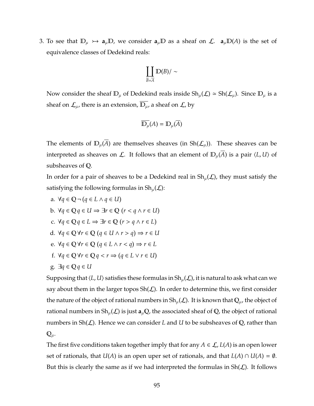3. To see that  $\mathbb{D}_{\mu} \rightarrow \mathbf{a}_{\mu} \mathbb{D}$ , we consider  $\mathbf{a}_{\mu} \mathbb{D}$  as a sheaf on  $\mathcal{L}$ .  $\mathbf{a}_{\mu} \mathbb{D}(A)$  is the set of equivalence classes of Dedekind reals:

$$
\coprod_{\overline{B}=\overline{A}}\mathbb{D}(B)/\sim
$$

Now consider the sheaf  $\mathbb{D}_{\mu}$  of Dedekind reals inside  $\text{Sh}_{\mu}(\mathcal{L}) \simeq \text{Sh}(\mathcal{L}_{\mu})$ . Since  $\mathbb{D}_{\mu}$  is a sheaf on  $\mathcal{L}_{\mu}$ , there is an extension,  $\overline{\mathbb{D}_{\mu}}$ , a sheaf on  $\mathcal{L}$ , by

$$
\overline{\mathbb{D}_{\mu}}(A) = \mathbb{D}_{\mu}(\overline{A})
$$

The elements of  $D_{\mu}(\overline{A})$  are themselves sheaves (in Sh( $\mathcal{L}_{\mu}$ )). These sheaves can be interpreted as sheaves on  $\mathcal{L}$ . It follows that an element of  $D_{\mu}(\overline{A})$  is a pair  $\langle L, U \rangle$  of subsheaves of Q.

In order for a pair of sheaves to be a Dedekind real in  $\text{Sh}_{\mu}(\mathcal{L})$ , they must satisfy the satisfying the following formulas in  $\text{Sh}_{\mu}(\mathcal{L})$ :

a.  $\forall q \in \mathbb{Q} \neg (q \in L \land q \in U)$ b.  $\forall q \in \mathbb{Q}$  $q \in U \Rightarrow \exists r \in \mathbb{Q}$   $(r < q \land r \in U)$ c.  $\forall q \in \mathbb{Q}$  $q \in L \Rightarrow \exists r \in \mathbb{Q}$  ( $r > q \land r \in L$ ) d.  $\forall q \in \mathbb{Q} \forall r \in \mathbb{Q} (q \in U \land r > q) \Rightarrow r \in U$  $e. \ \forall q \in \mathbb{Q} \ \forall r \in \mathbb{Q} \ (q \in L \land r < q) \Rightarrow r \in L$ f.  $\forall q \in \mathbb{Q} \forall r \in \mathbb{Q} q < r \Rightarrow (q \in L \lor r \in U)$ g. ∃*q* ∈ Q *q* ∈ *U*

Supposing that  $\langle L, U \rangle$  satisfies these formulas in Sh<sub> $\mu$ </sub> ( $\mathcal{L}$ ), it is natural to ask what can we say about them in the larger topos  $\text{Sh}(\mathcal{L})$ . In order to determine this, we first consider the nature of the object of rational numbers in  $Sh_{\mu}(\mathcal{L})$ . It is known that  $\mathbb{Q}_{\mu}$ , the object of rational numbers in  $\text{Sh}_{\mu}(\mathcal{L})$  is just  $\mathbf{a}_{\mu} \mathbb{Q}$ , the associated sheaf of  $\mathbb{Q}$ , the object of rational numbers in Sh(L). Hence we can consider *L* and *U* to be subsheaves of Q, rather than  $\mathbb{Q}_{\mu}$ .

The first five conditions taken together imply that for any  $A \in \mathcal{L}$ ,  $L(A)$  is an open lower set of rationals, that *U*(*A*) is an open uper set of rationals, and that *L*(*A*)  $\cap$  *U*(*A*) =  $\emptyset$ . But this is clearly the same as if we had interpreted the formulas in  $\text{Sh}(\mathcal{L})$ . It follows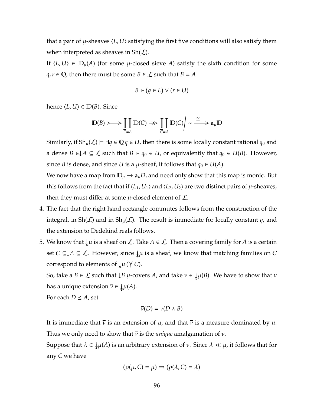that a pair of  $\mu$ -sheaves  $\langle L, U \rangle$  satisfying the first five conditions will also satisfy them when interpreted as sheaves in  $\text{Sh}(\mathcal{L})$ .

If  $\langle L, U \rangle \in D_{\mu}(A)$  (for some  $\mu$ -closed sieve *A*) satisfy the sixth condition for some *q*,*r*  $\in$  **Q**, then there must be some *B*  $\in$  *L* such that *B* = *A* 

$$
B \Vdash (q \in L) \vee (r \in U)
$$

hence  $\langle L, U \rangle \in D(B)$ . Since

$$
\mathbb{D}(B) \longrightarrow \coprod_{\overline{C}=A} \mathbb{D}(C) \longrightarrow \coprod_{\overline{C}=A} \mathbb{D}(C) \Bigg| \sim \frac{\cong}{\longrightarrow} a_{\mu} \mathbb{D}
$$

Similarly, if  $\text{Sh}_{\mu}(\mathcal{L}) \models \exists q \in \mathbb{Q} q \in U$ , then there is some locally constant rational  $q_0$  and a dense *B* ∈↓*A* ⊆  $\mathcal{L}$  such that *B*  $\Vdash q_0 \in U$ , or equivalently that  $q_0 \in U(B)$ . However, since *B* is dense, and since *U* is a  $\mu$ -sheaf, it follows that  $q_0 \in U(A)$ .

We now have a map from  $\mathbb{D}_{\mu} \to \mathbf{a}_{\mu}D$ , and need only show that this map is monic. But this follows from the fact that if  $\langle L_1, U_1 \rangle$  and  $\langle L_2, U_2 \rangle$  are two distinct pairs of  $\mu$ -sheaves, then they must differ at some  $\mu$ -closed element of  $\mathcal{L}$ .

- 4. The fact that the right hand rectangle commutes follows from the construction of the integral, in Sh( $\mathcal{L}$ ) and in Sh<sub>u</sub>( $\mathcal{L}$ ). The result is immediate for locally constant *q*, and the extension to Dedekind reals follows.
- 5. We know that  $\downarrow \mu$  is a sheaf on L. Take  $A \in \mathcal{L}$ . Then a covering family for A is a certain set *C* ⊆↓*A* ⊆ *L*. However, since  $\downarrow \mu$  is a sheaf, we know that matching families on *C* correspond to elements of  $\downarrow \mu$  ( $\gamma$ C).

So, take a *B*  $\in$  *L* such that  $\downarrow$ *B*  $\mu$ -covers *A*, and take  $\nu \in \downarrow \mu$ (*B*). We have to show that  $\nu$ has a unique extension  $\overline{v} \in \downarrow \mu(A)$ .

For each  $D \leq A$ , set

$$
\overline{\nu}(D)=\nu(D\wedge B)
$$

It is immediate that  $\bar{\nu}$  is an extension of  $\mu$ , and that  $\bar{\nu}$  is a measure dominated by  $\mu$ . Thus we only need to show that  $\overline{v}$  is the *unique* amalgamation of  $v$ .

Suppose that  $\lambda \in \downarrow \mu(A)$  is an arbitrary extension of  $\nu$ . Since  $\lambda \ll \mu$ , it follows that for any *C* we have

$$
(\rho(\mu, C) = \mu) \Rightarrow (\rho(\lambda, C) = \lambda)
$$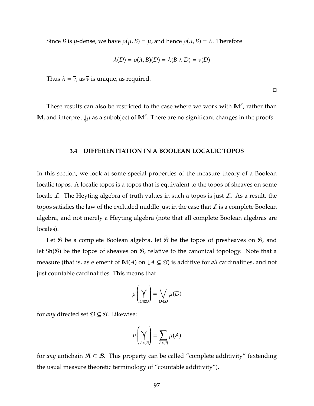Since *B* is  $\mu$ -dense, we have  $\rho(\mu, B) = \mu$ , and hence  $\rho(\lambda, B) = \lambda$ . Therefore

$$
\lambda(D) = \rho(\lambda, B)(D) = \lambda(B \wedge D) = \overline{\nu}(D)
$$

Thus  $\lambda = \overline{v}$ , as  $\overline{v}$  is unique, as required.

 $\Box$ 

These results can also be restricted to the case where we work with M*<sup>F</sup>* , rather than M, and interpret  $\downarrow \mu$  as a subobject of  $\mathbb{M}^F$ . There are no significant changes in the proofs.

## **3.4 DIFFERENTIATION IN A BOOLEAN LOCALIC TOPOS**

In this section, we look at some special properties of the measure theory of a Boolean localic topos. A localic topos is a topos that is equivalent to the topos of sheaves on some locale L. The Heyting algebra of truth values in such a topos is just L. As a result, the topos satisfies the law of the excluded middle just in the case that  $\mathcal L$  is a complete Boolean algebra, and not merely a Heyting algebra (note that all complete Boolean algebras are locales).

Let  $\mathcal B$  be a complete Boolean algebra, let  $\overline{\mathcal B}$  be the topos of presheaves on  $\mathcal B$ , and let  $\text{Sh}(\mathcal{B})$  be the topos of sheaves on  $\mathcal{B}$ , relative to the canonical topology. Note that a measure (that is, as element of  $M(A)$  on  $\downarrow A \subseteq B$ ) is additive for *all* cardinalities, and not just countable cardinalities. This means that

$$
\mu\left(\bigvee_{D\in\mathcal{D}}\right)=\bigvee_{D\in\mathcal{D}}\mu(D)
$$

for *any* directed set  $D \subseteq B$ . Likewise:

$$
\mu\left(\bigvee_{A\in\mathcal{A}}\right)=\sum_{A\in\mathcal{A}}\mu(A)
$$

<span id="page-103-0"></span>for *any* antichain  $\mathcal{A} \subseteq \mathcal{B}$ . This property can be called "complete additivity" (extending the usual measure theoretic terminology of "countable additivity").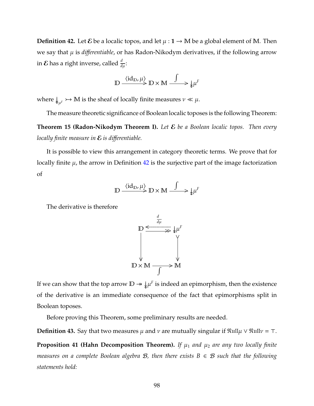**Definition 42.** Let  $\mathcal{E}$  be a localic topos, and let  $\mu : \mathbf{1} \to \mathbb{M}$  be a global element of M. Then we say that  $\mu$  is *differentiable*, or has Radon-Nikodym derivatives, if the following arrow in  ${\cal E}$  has a right inverse, called  $\frac{d}{d\mu}$ :

$$
\mathbb{D} \xrightarrow{\langle \mathrm{id}_{\mathbb{D}}, \mu \rangle} \mathbb{D} \times \mathbb{M} \xrightarrow{\int} \mathbb{L} \mu^F
$$

where  $\downarrow_{\mu^F} \rightarrow M$  is the sheaf of locally finite measures  $\nu \ll \mu$ .

The measure theoretic significance of Boolean localic toposes is the following Theorem:

**Theorem 15 (Radon-Nikodym Theorem I).** *Let* E *be a Boolean localic topos. Then every locally finite measure in* E *is di*ff*erentiable.*

It is possible to view this arrangement in category theoretic terms. We prove that for locally finite  $\mu$ , the arrow in Definition [42](#page-103-0) is the surjective part of the image factorization of

$$
\mathbb{D} \xrightarrow{\langle \mathrm{id}_{\mathbb{D}}, \mu \rangle} \mathbb{D} \times \mathbb{M} \xrightarrow{\int} \mathcal{L} \mu^F
$$

The derivative is therefore



If we can show that the top arrow  $\mathbb{D} \twoheadrightarrow \downarrow \mu^F$  is indeed an epimorphism, then the existence of the derivative is an immediate consequence of the fact that epimorphisms split in Boolean toposes.

Before proving this Theorem, some preliminary results are needed.

**Definition 43.** Say that two measures  $\mu$  and  $\nu$  are mutually singular if  $\Re$ ull $\mu \lor \Re$ ull $\nu = \top$ .

**Proposition 41 (Hahn Decomposition Theorem).** If  $\mu_1$  and  $\mu_2$  are any two locally finite *measures on a complete Boolean algebra*  $B$ *, then there exists*  $B \in B$  *such that the following statements hold:*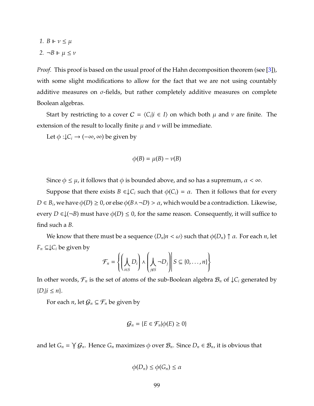1.  $B \Vdash \nu \leq \mu$ 2.  $\neg B \Vdash \mu \leq \nu$ 

*Proof.* This proof is based on the usual proof of the Hahn decomposition theorem (see [\[3\]](#page-123-0)), with some slight modifications to allow for the fact that we are not using countably additive measures on  $\sigma$ -fields, but rather completely additive measures on complete Boolean algebras.

Start by restricting to a cover  $C = \langle C_i | i \in I \rangle$  on which both  $\mu$  and  $\nu$  are finite. The extension of the result to locally finite  $\mu$  and  $\nu$  will be immediate.

Let  $\phi$  : $\downarrow$ *C*<sub>*i*</sub> → ( $-\infty$ ,  $\infty$ ) be given by

$$
\phi(B) = \mu(B) - \nu(B)
$$

Since  $\phi \leq \mu$ , it follows that  $\phi$  is bounded above, and so has a supremum,  $\alpha < \infty$ .

Suppose that there exists  $B \in \mathcal{L}$ *C*<sup>*i*</sup> such that  $\phi(C_i) = \alpha$ . Then it follows that for every  $D \in B_i$ , we have  $\phi(D) \geq 0$ , or else  $\phi(B \land \neg D) > \alpha$ , which would be a contradiction. Likewise, every  $D \in L(\neg B)$  must have  $\phi(D) \leq 0$ , for the same reason. Consequently, it will suffice to find such a *B*.

We know that there must be a sequence  $\langle D_n|n < \omega \rangle$  such that  $\phi(D_n) \uparrow \alpha$ . For each *n*, let *F*<sup>*n*</sup> ⊆↓*C*<sup>*i*</sup> be given by  $\overline{a}$ 

$$
\mathcal{F}_n = \left\{ \left( \bigwedge_{i \in S} D_i \right) \wedge \left( \bigwedge_{j \notin S} \neg D_j \right) \middle| S \subseteq \{0, \dots, n\} \right\}
$$

In other words,  $\mathcal{F}_n$  is the set of atoms of the sub-Boolean algebra  $\mathcal{B}_n$  of  $\downarrow C_i$  generated by  $\{D_i | i \leq n\}.$ 

For each *n*, let  $G_n \subseteq \mathcal{F}_n$  be given by

$$
\mathcal{G}_n = \{ E \in \mathcal{F}_n | \phi(E) \geq 0 \}
$$

and let  $G_n = \gamma \mathcal{G}_n$ . Hence  $G_n$  maximizes  $\phi$  over  $\mathcal{B}_n$ . Since  $D_n \in \mathcal{B}_n$ , it is obvious that

$$
\phi(D_n) \leq \phi(G_n) \leq \alpha
$$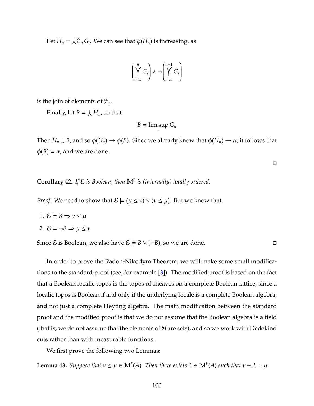Let  $H_n = \bigcup_{i=n}^{\infty} G_i$ . We can see that  $\phi(H_n)$  is increasing, as

$$
\left(\bigvee_{i=m}^{n} G_i\right) \wedge \neg \left(\bigvee_{i=m}^{n-1} G_i\right)
$$

is the join of elements of  $\mathcal{F}_n$ .

Finally, let  $B = \int H_n$ , so that

$$
B=\limsup_n G_n
$$

Then  $H_n \downarrow B$ , and so  $\phi(H_n) \to \phi(B)$ . Since we already know that  $\phi(H_n) \to \alpha$ , it follows that  $\phi(B) = \alpha$ , and we are done.

 $\Box$ 

**Corollary 42.** If  $\mathcal{E}$  is Boolean, then  $\mathbb{M}^F$  is (internally) totally ordered.

*Proof.* We need to show that  $\mathcal{E} \models (\mu \le \nu) \lor (\nu \le \mu)$ . But we know that

1.  $\mathcal{E} \models B \Rightarrow v \leq \mu$ 

2. 
$$
\mathcal{E} \models \neg B \Rightarrow \mu \leq \nu
$$

Since  $\mathcal{E}$  is Boolean, we also have  $\mathcal{E} \models B \lor (\neg B)$ , so we are done.  $\Box$ 

In order to prove the Radon-Nikodym Theorem, we will make some small modifications to the standard proof (see, for example [\[3\]](#page-123-0)). The modified proof is based on the fact that a Boolean localic topos is the topos of sheaves on a complete Boolean lattice, since a localic topos is Boolean if and only if the underlying locale is a complete Boolean algebra, and not just a complete Heyting algebra. The main modification between the standard proof and the modified proof is that we do not assume that the Boolean algebra is a field (that is, we do not assume that the elements of  $B$  are sets), and so we work with Dedekind cuts rather than with measurable functions.

We first prove the following two Lemmas:

**Lemma 43.** *Suppose that*  $v \leq \mu \in \mathbb{M}^F(A)$ *. Then there exists*  $\lambda \in \mathbb{M}^F(A)$  *such that*  $v + \lambda = \mu$ *.*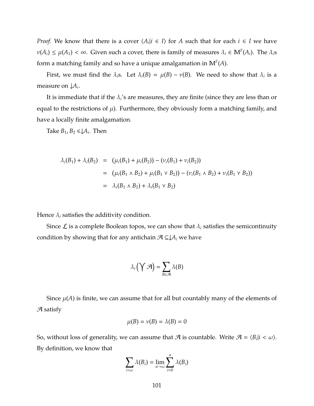*Proof.* We know that there is a cover  $\langle A_i | i \in I \rangle$  for *A* such that for each  $i \in I$  we have  $\nu(A_i) \leq \mu(A_1) < \infty$ . Given such a cover, there is family of measures  $\lambda_i \in \mathbb{M}^F(A_i)$ . The  $\lambda_i$ s form a matching family and so have a unique amalgamation in M*<sup>F</sup>* (*A*).

First, we must find the  $\lambda_i$ s. Let  $\lambda_i(B) = \mu(B) - \nu(B)$ . We need to show that  $\lambda_i$  is a measure on  $\downarrow A_i$ .

It is immediate that if the  $\lambda_i$ 's are measures*,* they are finite (since they are less than or equal to the restrictions of  $\mu$ ). Furthermore, they obviously form a matching family, and have a locally finite amalgamation.

Take  $B_1, B_2 \in \downarrow \mathcal{A}_i$ . Then

$$
\lambda_i(B_1) + \lambda_i(B_2) = (\mu_i(B_1) + \mu_i(B_2)) - (\nu_i(B_1) + \nu_i(B_2))
$$
  
= 
$$
(\mu_i(B_1 \wedge B_2) + \mu_i(B_1 \vee B_2)) - (\nu_i(B_1 \wedge B_2) + \nu_i(B_1 \vee B_2))
$$
  
= 
$$
\lambda_i(B_1 \wedge B_2) + \lambda_i(B_1 \vee B_2)
$$

Hence  $\lambda_i$  satisfies the additivity condition.

Since  $\mathcal L$  is a complete Boolean topos, we can show that  $\lambda_i$  satisfies the semicontinuity condition by showing that for any antichain  $\mathcal{A} \subseteq \mathcal{A}_i$  we have

$$
\lambda_i\big(\bigvee\mathcal{A}\big)=\sum_{B\in\mathcal{A}}\lambda(B)
$$

Since  $\mu(A)$  is finite, we can assume that for all but countably many of the elements of  $\mathcal A$  satisfy

$$
\mu(B) = \nu(B) = \lambda(B) = 0
$$

So, without loss of generality, we can assume that  $\mathcal A$  is countable. Write  $\mathcal A = \langle B_i | i < \omega \rangle$ . By definition, we know that

$$
\sum_{i<\omega}\lambda(B_i)=\lim_{n\to\omega}\sum_{i=0}^n\lambda(B_i)
$$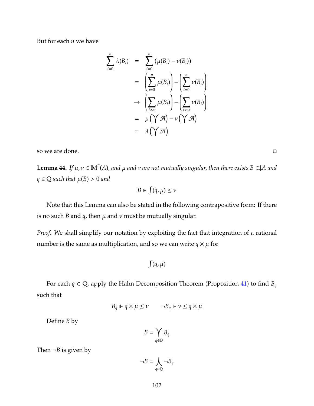But for each *n* we have

$$
\sum_{i=0}^{n} \lambda(B_i) = \sum_{i=0}^{n} (\mu(B_i) - \nu(B_i))
$$
  
= 
$$
\left(\sum_{i=0}^{n} \mu(B_i)\right) - \left(\sum_{i=0}^{n} \nu(B_i)\right)
$$
  

$$
\rightarrow \left(\sum_{i<\omega} \mu(B_i)\right) - \left(\sum_{i<\omega} \nu(B_i)\right)
$$
  
= 
$$
\mu(\bigvee \mathcal{A}) - \nu(\bigvee \mathcal{A})
$$
  
= 
$$
\lambda(\bigvee \mathcal{A})
$$

so we are done.

<span id="page-108-0"></span>**Lemma 44.** If  $\mu, \nu \in \mathbb{M}^F(A)$ , and  $\mu$  and  $\nu$  are not mutually singular, then there exists B  $\in \downarrow A$  and  $q \in \mathbb{Q}$  *such that*  $\mu(B) > 0$  *and* 

$$
B \Vdash \int (q, \mu) \le \nu
$$

Note that this Lemma can also be stated in the following contrapositive form: If there is no such *B* and *q*, then  $\mu$  and  $\nu$  must be mutually singular.

*Proof.* We shall simplify our notation by exploiting the fact that integration of a rational number is the same as multiplication, and so we can write  $q \times \mu$  for

$$
\int (q, \mu)
$$

For each  $q \in \mathbb{Q}$ , apply the Hahn Decomposition Theorem (Proposition [41\)](#page-104-0) to find  $B_q$ such that

$$
B_q \Vdash q \times \mu \le \nu \qquad \neg B_q \Vdash \nu \le q \times \mu
$$

Define *B* by

$$
B=\bigvee_{q\in\mathbb{Q}}B_q
$$

Then  $\neg B$  is given by

$$
\neg B = \bigwedge_{q \in \mathbb{Q}} \neg B_q
$$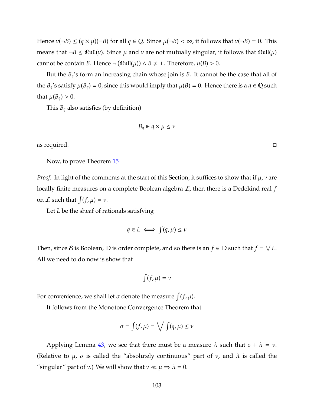Hence  $v(\neg B) \le (q \times \mu)(\neg B)$  for all  $q \in Q$ . Since  $\mu(\neg B) < \infty$ , it follows that  $v(\neg B) = 0$ . This means that  $\neg B \le \mathcal{R} \text{uII}(\nu)$ . Since  $\mu$  and  $\nu$  are not mutually singular, it follows that  $\mathcal{R} \text{uII}(\mu)$ cannot be contain *B*. Hence  $\neg$  ( $\mathfrak{R} \text{uIII}(\mu)$ )  $\land$  *B*  $\neq \bot$ . Therefore,  $\mu$ (*B*) > 0.

But the *Bq*'s form an increasing chain whose join is *B*. It cannot be the case that all of the *B*<sub>*q*</sub>'s satisfy  $\mu$ (*B*<sub>*q*</sub>) = 0, since this would imply that  $\mu$ (*B*) = 0. Hence there is a *q*  $\in$  **Q** such that  $\mu(B_q) > 0$ .

This *B<sup>q</sup>* also satisfies (by definition)

$$
B_q \Vdash q \times \mu \le \nu
$$

as required.

Now, to prove Theorem [15](#page-104-1)

*Proof.* In light of the comments at the start of this Section, it suffices to show that if  $\mu$ ,  $\nu$  are locally finite measures on a complete Boolean algebra L, then there is a Dedekind real *f* on  $\mathcal L$  such that  $\int (f, \mu) = \nu$ .

Let *L* be the sheaf of rationals satisfying

$$
q \in L \iff \int (q, \mu) \le \nu
$$

Then, since  $\mathcal E$  is Boolean,  $\mathbb D$  is order complete, and so there is an  $f \in \mathbb D$  such that  $f = \bigvee L$ . All we need to do now is show that

$$
\int (f, \mu) = \nu
$$

For convenience, we shall let  $\sigma$  denote the measure  $\int (f, \mu)$ .

It follows from the Monotone Convergence Theorem that

$$
\sigma = \int(f, \mu) = \bigvee \int(q, \mu) \le \nu
$$

Applying Lemma [43,](#page-106-0) we see that there must be a measure  $\lambda$  such that  $\sigma + \lambda = \nu$ . (Relative to  $\mu$ ,  $\sigma$  is called the "absolutely continuous" part of  $\nu$ , and  $\lambda$  is called the "singular" part of *v*.) We will show that  $v \ll \mu \Rightarrow \lambda = 0$ .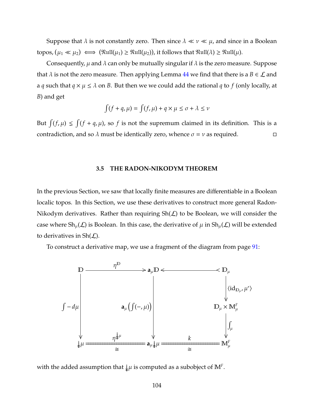Suppose that  $\lambda$  is not constantly zero. Then since  $\lambda \ll \nu \ll \mu$ , and since in a Boolean topos,  $(\mu_1 \ll \mu_2) \iff (\mathfrak{Rull}(\mu_1) \geq \mathfrak{Rull}(\mu_2))$ , it follows that  $\mathfrak{Rull}(\lambda) \geq \mathfrak{Rull}(\mu)$ .

Consequently,  $\mu$  and  $\lambda$  can only be mutually singular if  $\lambda$  is the zero measure. Suppose that  $\lambda$  is not the zero measure. Then applying Lemma [44](#page-108-0) we find that there is a  $B \in \mathcal{L}$  and a *q* such that  $q \times \mu \leq \lambda$  on *B*. But then we we could add the rational *q* to *f* (only locally, at *B*) and get

$$
\int (f + q, \mu) = \int (f, \mu) + q \times \mu \le \sigma + \lambda \le \nu
$$

But  $\int (f, \mu) \le \int (f + q, \mu)$ , so *f* is not the supremum claimed in its definition. This is a contradiction, and so  $\lambda$  must be identically zero, whence  $\sigma = \nu$  as required.

#### **3.5 THE RADON-NIKODYM THEOREM**

In the previous Section, we saw that locally finite measures are differentiable in a Boolean localic topos. In this Section, we use these derivatives to construct more general Radon-Nikodym derivatives. Rather than requiring  $\text{Sh}(\mathcal{L})$  to be Boolean, we will consider the case where  $\text{Sh}_{\mu}(\mathcal{L})$  is Boolean. In this case, the derivative of  $\mu$  in  $\text{Sh}_{\mu}(\mathcal{L})$  will be extended to derivatives in  $\text{Sh}(\mathcal{L})$ .

To construct a derivative map, we use a fragment of the diagram from page [91:](#page-96-0)



with the added assumption that  $\downarrow\!\mu$  is computed as a subobject of  $\mathbb{M}^F$ .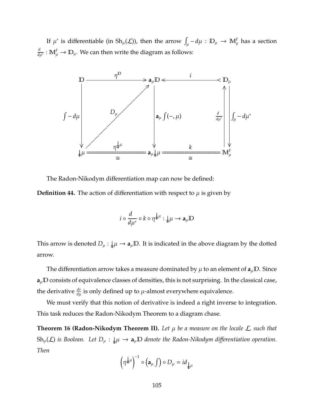If  $\mu^*$  is differentiable (in Sh<sub> $\mu$ </sub>(*L*)), then the arrow  $\int_{\mu}-d\mu$  :  $\mathbb{D}_{\mu}\to \mathbb{M}^F_{\mu}$  has a section *d*  $\frac{d}{d\mu^*}: \mathbb{M}^F_{\mu} \to \mathbb{D}_{\mu}.$  We can then write the diagram as follows:



The Radon-Nikodym differentiation map can now be defined: **Definition 44.** The action of differentiation with respect to  $\mu$  is given by

$$
i\circ\frac{d}{d\mu^*}\circ k\circ\eta^{\bigdownarrow\mu}:\mathcal{y}\mu\to\mathbf{a}_\mu\mathbb{D}
$$

This arrow is denoted  $D_\mu : \psi \to \mathbf{a}_\mu \mathbb{D}$ . It is indicated in the above diagram by the dotted arrow.

The differentiation arrow takes a measure dominated by  $\mu$  to an element of  $a_{\mu}$ D. Since  $\mathbf{a}_{\mu}$ D consists of equivalence classes of densities, this is not surprising. In the classical case, the derivative  $\frac{dv}{d\mu}$  is only defined up to  $\mu$ -almost everywhere equivalence.

We must verify that this notion of derivative is indeed a right inverse to integration. This task reduces the Radon-Nikodym Theorem to a diagram chase.

**Theorem 16 (Radon-Nikodym Theorem II).** *Let* µ *be a measure on the locale* L*, such that*  $Sh_\mu(\mathcal{L})$  *is Boolean. Let*  $D_\mu : \psi \to \mathbf{a}_\mu \mathbb{D}$  *denote the Radon-Nikodym differentiation operation. Then*

$$
\left(\eta^{\bigstar\mu}\right)^{-1}\circ\left(\mathbf{a}_{\mu}\int\right)\circ D_{\mu}=id_{\bigstar\mu}
$$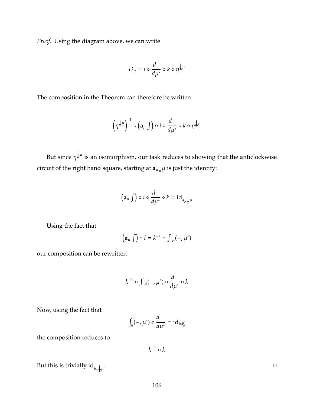*Proof.* Using the diagram above, we can write

$$
D_{\mu} = i \circ \frac{d}{d\mu^*} \circ k \circ \eta^{\frac{1}{2}\mu}
$$

The composition in the Theorem can therefore be written:

$$
\left(\eta^{\bigstar\mu}\right)^{-1}\circ\left(\mathbf{a}_{\mu}\int\right)\circ i\circ\frac{d}{d\mu^{*}}\circ k\circ\eta^{\bigstar\mu}
$$

But since  $\eta^{\not\downarrow\mu}$  is an isomorphism, our task reduces to showing that the anticlockwise circuit of the right hand square, starting at  $\mathbf{a}_{\mu}\downarrow\mu$  is just the identity:

$$
\left(\mathbf{a}_{\mu} \int\right) \circ i \circ \frac{d}{d\mu^{*}} \circ k = \mathrm{id}_{\mathbf{a}_{\mu}\downarrow\mu}
$$

Using the fact that

$$
\left(\mathbf{a}_{\mu}\int\right)\circ i=k^{-1}\circ\int\mu(-,\mu^{*})
$$

our composition can be rewritten

$$
k^{-1} \circ \int \mu(-, \mu^*) \circ \frac{d}{d\mu^*} \circ k
$$

Now, using the fact that

$$
\int_{\mu}(-,\mu^*)\circ\frac{d}{d\mu^*}=\mathrm{id}_{\mathbb{M}^F_\mu}
$$

the composition reduces to

 $k^{-1} \circ k$ 

But this is trivially  $\mathrm{id}_{a_\mu \downarrow \mu}$ .

. The contract of the contract of the contract of the contract of the contract of the contract of the contract<br>The contract of the contract of the contract of the contract of the contract of the contract of the contract o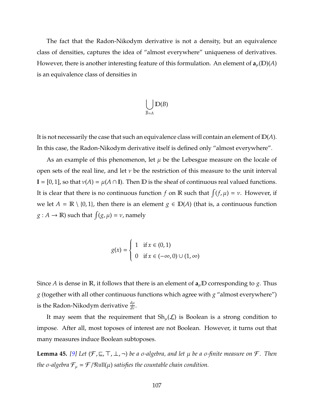The fact that the Radon-Nikodym derivative is not a density, but an equivalence class of densities, captures the idea of "almost everywhere" uniqueness of derivatives. However, there is another interesting feature of this formulation. An element of  $\mathbf{a}_{\mu}(\mathbf{D})(A)$ is an equivalence class of densities in

$$
\bigcup_{\overline{B}=A} \mathbb{D}(B)
$$

It is not necessarily the case that such an equivalence class will contain an element of D(*A*). In this case, the Radon-Nikodym derivative itself is defined only "almost everywhere".

As an example of this phenomenon, let  $\mu$  be the Lebesgue measure on the locale of open sets of the real line, and let  $\nu$  be the restriction of this measure to the unit interval  $I = [0, 1]$ , so that  $v(A) = \mu(A \cap I)$ . Then  $D$  is the sheaf of continuous real valued functions. It is clear that there is no continuous function *f* on **R** such that  $\int (f, \mu) = \nu$ . However, if we let *A* =  $\mathbb{R} \setminus \{0, 1\}$ , then there is an element *g*  $\in$   $D(A)$  (that is, a continuous function  $g : A \to \mathbb{R}$ ) such that  $\int (g, \mu) = \nu$ , namely

$$
g(x) = \begin{cases} 1 & \text{if } x \in (0,1) \\ 0 & \text{if } x \in (-\infty,0) \cup (1,\infty) \end{cases}
$$

Since *A* is dense in  $\mathbb{R}$ , it follows that there is an element of  $\mathbf{a}_{\mu}$ D corresponding to *g*. Thus *g* (together with all other continuous functions which agree with *g* "almost everywhere") is the Radon-Nikodym derivative  $\frac{d\mu}{dv}$ .

It may seem that the requirement that  $Sh_{\mu}(\mathcal{L})$  is Boolean is a strong condition to impose. After all, most toposes of interest are not Boolean. However, it turns out that many measures induce Boolean subtoposes.

<span id="page-113-0"></span>**Lemma 45.** [\[9\]](#page-123-0) Let  $(\mathcal{F}, \sqsubseteq, \top, \bot, \neg)$  be a  $\sigma$ -algebra, and let  $\mu$  be a  $\sigma$ -finite measure on  $\mathcal{F}$ . Then *the*  $\sigma$ -algebra  $\mathcal{F}_{\mu} = \mathcal{F}/\Re$ uII( $\mu$ ) *satisfies the countable chain condition.*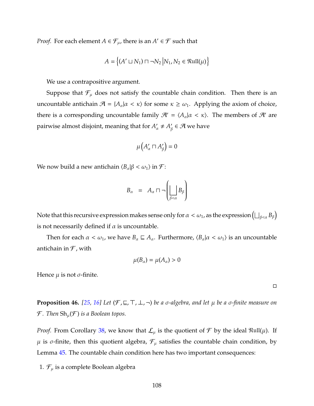*Proof.* For each element  $A \in \mathcal{F}_{\mu}$ , there is an  $A' \in \mathcal{F}$  such that

$$
A = \left\{ (A' \sqcup N_1) \sqcap \neg N_2 \middle| N_1, N_2 \in \mathfrak{R} \mathfrak{u} \mathfrak{U}(\mu) \right\}
$$

We use a contrapositive argument.

Suppose that  $\mathcal{F}_{\mu}$  does not satisfy the countable chain condition. Then there is an uncountable antichain  $\mathcal{A} = \{A_{\alpha} | \alpha < \kappa \}$  for some  $\kappa \geq \omega_1$ . Applying the axiom of choice, there is a corresponding uncountable family  $\mathcal{H} = \langle A_\alpha | \alpha \langle \kappa \rangle$ . The members of  $\mathcal{H}$  are pairwise almost disjoint, meaning that for  $A'_\alpha \neq A'_\beta$  $\mathcal{G}_\beta \in \mathcal{A}$  we have

$$
\mu\left(A'_\alpha\sqcap A'_\beta\right)=0
$$

We now build a new antichain  $\langle B_{\alpha} | \beta < \omega_1 \rangle$  in  $\mathcal{F}$ :

$$
B_{\alpha} = A_{\alpha} \sqcap \neg \left( \bigsqcup_{\beta < \alpha} B_{\beta} \right)
$$

Note that this recursive expression makes sense only for  $\alpha<\omega_1$ , as the expression  $\left(\bigsqcup_{\beta<\alpha}B_\beta\right)$ is not necessarily defined if  $\alpha$  is uncountable.

Then for each  $\alpha < \omega_1$ , we have  $B_\alpha \sqsubseteq A_\alpha$ . Furthermore,  $\langle B_\alpha | \alpha < \omega_1 \rangle$  is an uncountable antichain in  $\mathcal F$ , with

$$
\mu(B_\alpha)=\mu(A_\alpha)>0
$$

Hence  $\mu$  is not  $\sigma$ -finite.

**Proposition 46.** [\[25,](#page-125-0) [16\]](#page-124-0) Let  $(\mathcal{F}, \sqsubseteq, \top, \bot, \neg)$  be a  $\sigma$ -algebra, and let  $\mu$  be a  $\sigma$ -finite measure on  $\mathcal F$ *. Then*  $\text{Sh}_{\mu}(\mathcal F)$  *is a Boolean topos.* 

*Proof.* From Corollary [38,](#page-94-0) we know that  $\mathcal{L}_{\mu}$  is the quotient of  $\mathcal F$  by the ideal  $\Re$ ull( $\mu$ ). If  $\mu$  is σ-finite, then this quotient algebra,  $\mathcal{F}_{\mu}$  satisfies the countable chain condition, by Lemma [45.](#page-113-0) The countable chain condition here has two important consequences:

1.  $\mathcal{F}_{\mu}$  is a complete Boolean algebra

 $\Box$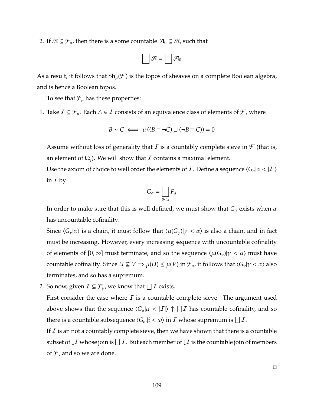2. If  $\mathcal{A} \subseteq \mathcal{F}_{\mu}$ , then there is a some countable  $\mathcal{A}_{0} \subseteq \mathcal{A}$ , such that

$$
\bigsqcup \mathcal{A} = \bigsqcup \mathcal{A}_0
$$

As a result, it follows that  $\text{Sh}_{\mu}(\mathcal{F})$  is the topos of sheaves on a complete Boolean algebra, and is hence a Boolean topos.

To see that  $\mathcal{F}_{\mu}$  has these properties:

1. Take  $\mathcal{I} \subseteq \mathcal{F}_{\mu}$ . Each  $A \in \mathcal{I}$  consists of an equivalence class of elements of  $\mathcal{F}$ , where

$$
B \sim C \iff \mu ((B \sqcap \neg C) \sqcup (\neg B \sqcap C)) = 0
$$

Assume without loss of generality that  $I$  is a countably complete sieve in  $\mathcal F$  (that is, an element of  $\Omega_i$ ). We will show that *I* contains a maximal element.

Use the axiom of choice to well order the elements of *I*. Define a sequence  $\langle G_\alpha | \alpha \langle I| \rangle$ in  $I$  by

$$
G_{\alpha} = \bigsqcup_{\beta < \alpha} F_{\alpha}
$$

In order to make sure that this is well defined, we must show that  $G_\alpha$  exists when  $\alpha$ has uncountable cofinality.

Since  $\langle G_{\gamma}|\alpha\rangle$  is a chain, it must follow that  $\langle \mu(G_{\gamma})|\gamma \langle \alpha \rangle$  is also a chain, and in fact must be increasing. However, every increasing sequence with uncountable cofinality of elements of  $[0, \infty]$  must terminate, and so the sequence  $\langle \mu(G_{\gamma}) | \gamma < \alpha \rangle$  must have countable cofinality. Since  $U \not\subseteq V \Rightarrow \mu(U) \leq \mu(V)$  in  $\mathcal{F}_{\mu}$ , it follows that  $\langle G_{\gamma} | \gamma < \alpha \rangle$  also terminates, and so has a supremum.

2. So now, given  $\mathcal{I} \subseteq \mathcal{F}_{\mu}$ , we know that  $\bigsqcup \mathcal{I}$  exists.

First consider the case where  $I$  is a countable complete sieve. The argument used above shows that the sequence  $\langle G_{\alpha} | \alpha \langle |I| \rangle \uparrow \prod I$  has countable cofinality, and so there is a countable subsequence  $\langle G_{\alpha_i} | i \langle \omega \rangle$  in  $I$  whose supremum is  $\bigsqcup I$ .

If  $I$  is an not a countably complete sieve, then we have shown that there is a countable subset of  $\overline{\downarrow I}$  whose join is  $\bigsqcup I.$  But each member of  $\overline{\downarrow I}$  is the countable join of members of  $\mathcal F$ , and so we are done.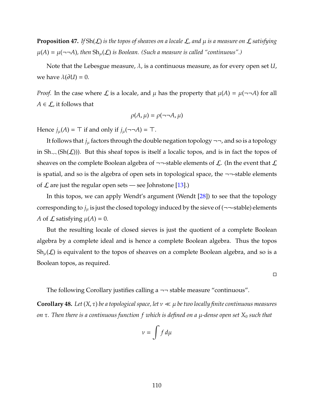**Proposition 47.** *If* Sh(L) *is the topos of sheaves on a locale* L*, and* µ *is a measure on* L *satisfying*  $\mu(A) = \mu(\neg \neg A)$ , then  $\text{Sh}_{\mu}(\mathcal{L})$  *is Boolean. (Such a measure is called "continuous".)* 

Note that the Lebesgue measure, λ, is a continuous measure, as for every open set *U*, we have  $\lambda(\partial U) = 0$ .

*Proof.* In the case where L is a locale, and  $\mu$  has the property that  $\mu(A) = \mu(\neg \neg A)$  for all  $A \in \mathcal{L}$ , it follows that

$$
\rho(A,\mu) = \rho(\neg\neg A,\mu)
$$

Hence  $j_{\mu}(A) = \top$  if and only if  $j_{\mu}(\neg \neg A) = \top$ .

It follows that  $j_{\mu}$  factors through the double negation topology  $\neg$ , and so is a topology in  $Sh_{\neg \neg}(\text{Sh}(\mathcal{L}))$ . But this sheaf topos is itself a localic topos, and is in fact the topos of sheaves on the complete Boolean algebra of  $\neg\neg$ -stable elements of  $\mathcal{L}$ . (In the event that  $\mathcal{L}$ is spatial, and so is the algebra of open sets in topological space, the  $\neg\neg\neg\neg\n stable elements$ of  $\mathcal L$  are just the regular open sets — see Johnstone [\[13\]](#page-124-1).)

In this topos, we can apply Wendt's argument (Wendt [\[28\]](#page-125-1)) to see that the topology corresponding to  $j_{\mu}$  is just the closed topology induced by the sieve of ( $\neg$ -stable) elements *A* of  $\mathcal L$  satisfying  $\mu(A) = 0$ .

But the resulting locale of closed sieves is just the quotient of a complete Boolean algebra by a complete ideal and is hence a complete Boolean algebra. Thus the topos  $Sh_u(\mathcal{L})$  is equivalent to the topos of sheaves on a complete Boolean algebra, and so is a Boolean topos, as required.

 $\Box$ 

The following Corollary justifies calling  $a \rightarrow \neg$  stable measure "continuous".

**Corollary 48.** Let  $(X, \tau)$  be a topological space, let  $v \ll \mu$  be two locally finite continuous measures *on* τ*. Then there is a continuous function f which is defined on a* µ*-dense open set X*<sup>0</sup> *such that*

$$
v=\int f\,d\mu
$$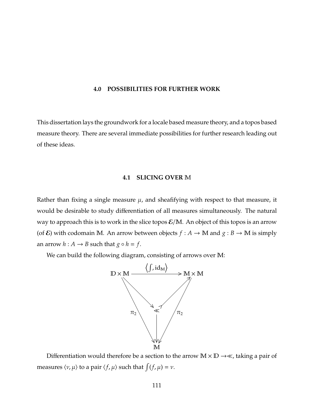## **4.0 POSSIBILITIES FOR FURTHER WORK**

This dissertation lays the groundwork for a locale based measure theory, and a topos based measure theory. There are several immediate possibilities for further research leading out of these ideas.

# **4.1 SLICING OVER** M

Rather than fixing a single measure  $\mu$ , and sheafifying with respect to that measure, it would be desirable to study differentiation of all measures simultaneously. The natural way to approach this is to work in the slice topos  $\mathcal{E}/M$ . An object of this topos is an arrow (of  $\mathcal{E}$ ) with codomain M. An arrow between objects  $f : A \to M$  and  $g : B \to M$  is simply an arrow  $h : A \rightarrow B$  such that  $g \circ h = f$ .

We can build the following diagram, consisting of arrows over M:



Differentiation would therefore be a section to the arrow  $M \times D \rightarrow \ll$ , taking a pair of measures  $\langle v, \mu \rangle$  to a pair  $\langle f, \mu \rangle$  such that  $\int f(r, \mu) = v$ .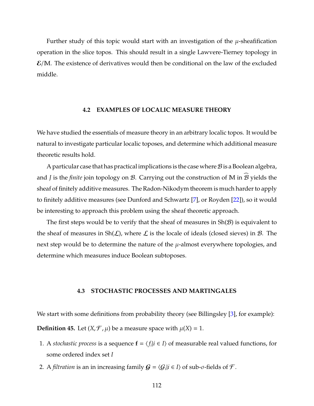Further study of this topic would start with an investigation of the  $\mu$ -sheafification operation in the slice topos. This should result in a single Lawvere-Tierney topology in  $\mathcal{E}/M$ . The existence of derivatives would then be conditional on the law of the excluded middle.

## **4.2 EXAMPLES OF LOCALIC MEASURE THEORY**

We have studied the essentials of measure theory in an arbitrary localic topos. It would be natural to investigate particular localic toposes, and determine which additional measure theoretic results hold.

A particular case that has practical implications is the case where  $\mathcal{B}$  is a Boolean algebra, and *J* is the *finite* join topology on  $B$ . Carrying out the construction of M in  $B$  yields the sheaf of finitely additive measures. The Radon-Nikodym theorem is much harder to apply to finitely additive measures (see Dunford and Schwartz [\[7\]](#page-123-1), or Royden [\[22\]](#page-124-2)), so it would be interesting to approach this problem using the sheaf theoretic approach.

The first steps would be to verify that the sheaf of measures in  $\text{Sh}(\mathcal{B})$  is equivalent to the sheaf of measures in  $\text{Sh}(\mathcal{L})$ , where  $\mathcal L$  is the locale of ideals (closed sieves) in  $\mathcal B$ . The next step would be to determine the nature of the  $\mu$ -almost everywhere topologies, and determine which measures induce Boolean subtoposes.

#### **4.3 STOCHASTIC PROCESSES AND MARTINGALES**

We start with some definitions from probability theory (see Billingsley [\[3\]](#page-123-2), for example):

**Definition 45.** Let  $(X, \mathcal{F}, \mu)$  be a measure space with  $\mu(X) = 1$ .

- 1. A *stochastic process* is a sequence  $f = \langle f_i | i \in I \rangle$  of measurable real valued functions, for some ordered index set *I*
- 2. A *filtration* is an in increasing family  $G = \langle G_i | i \in I \rangle$  of sub- $\sigma$ -fields of  $\mathcal{F}$ .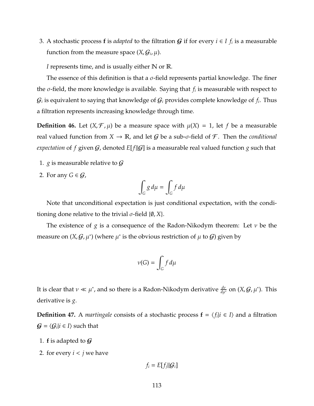3. A stochastic process **f** is *adapted* to the filtration  $G$  if for every  $i \in I$   $f_i$  is a measurable function from the measure space  $(X, \mathcal{G}_i, \mu)$ .

*I* represents time, and is usually either N or R.

The essence of this definition is that a  $\sigma$ -field represents partial knowledge. The finer the σ-field, the more knowledge is available. Saying that *f<sup>i</sup>* is measurable with respect to  $\mathcal{G}_i$  is equivalent to saying that knowledge of  $\mathcal{G}_i$  provides complete knowledge of  $f_i$ . Thus a filtration represents increasing knowledge through time.

**Definition 46.** Let  $(X, \mathcal{F}, \mu)$  be a measure space with  $\mu(X) = 1$ , let f be a measurable real valued function from  $X \to \mathbb{R}$ , and let G be a sub-σ-field of F. Then the *conditional expectation* of *f* given  $G$ , denoted  $E[f||G]$  is a measurable real valued function *g* such that

- 1. *g* is measurable relative to  $\mathcal G$
- 2. For any  $G \in \mathcal{G}$ ,

$$
\int_G g \, d\mu = \int_G f \, d\mu
$$

Note that unconditional expectation is just conditional expectation, with the conditioning done relative to the trivial  $\sigma$ -field { $\emptyset$ , *X*}.

The existence of *g* is a consequence of the Radon-Nikodym theorem: Let ν be the measure on  $(X, \mathcal{G}, \mu^*)$  (where  $\mu^*$  is the obvious restriction of  $\mu$  to  $\mathcal{G}$ ) given by

$$
\nu(G) = \int_G f \, d\mu
$$

It is clear that  $\nu \ll \mu^*$ , and so there is a Radon-Nikodym derivative  $\frac{d\nu}{d\mu^*}$  on  $(X, \mathcal{G}, \mu^*)$ . This derivative is *g*.

**Definition 47.** A *martingale* consists of a stochastic process  $f = \langle f_i | i \in I \rangle$  and a filtration  $\mathbf{G} = \langle \mathbf{G}_i | i \in I \rangle$  such that

- 1. **f** is adapted to  $\mathcal{G}$
- 2. for every  $i < j$  we have

$$
f_i = E[f_j || \mathcal{G}_i]
$$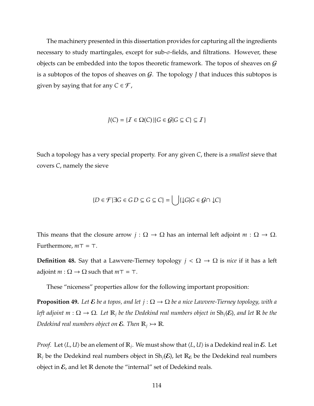The machinery presented in this dissertation provides for capturing all the ingredients necessary to study martingales, except for sub- $\sigma$ -fields, and filtrations. However, these objects can be embedded into the topos theoretic framework. The topos of sheaves on  $\mathcal G$ is a subtopos of the topos of sheaves on  $G$ . The topology *J* that induces this subtopos is given by saying that for any  $C \in \mathcal{F}$ ,

$$
J(C) = \{ \mathcal{I} \in \Omega(C) \, | \{ G \in \mathcal{G} | G \subseteq C \} \subseteq \mathcal{I} \}
$$

Such a topology has a very special property. For any given *C*, there is a *smallest* sieve that covers *C*, namely the sieve

$$
\{D \in \mathcal{F} | \exists G \in GD \subseteq G \subseteq C\} = \left[ \begin{array}{c} | \downarrow \downarrow \downarrow \downarrow \downarrow \downarrow \in \mathcal{G} \cap \downarrow C \end{array} \right]
$$

This means that the closure arrow  $j : \Omega \to \Omega$  has an internal left adjoint  $m : \Omega \to \Omega$ . Furthermore,  $mT = T$ .

**Definition 48.** Say that a Lawvere-Tierney topology  $j < \Omega \rightarrow \Omega$  is *nice* if it has a left adjoint  $m : \Omega \to \Omega$  such that  $m = \top$ .

These "niceness" properties allow for the following important proposition:

**Proposition 49.** Let  $\mathcal{E}$  be a topos, and let  $j : \Omega \to \Omega$  be a nice Lawvere-Tierney topology, with a *left adjoint m* : Ω → Ω*. Let* R*<sup>j</sup> be the Dedekind real numbers object in* Sh*j*(E)*, and let* R *be the Dedekind real numbers object on*  $\mathcal{E}$ *. Then*  $\mathbb{R}_i \rightarrow \mathbb{R}$ *.* 

*Proof.* Let  $\langle L, U \rangle$  be an element of  $\mathbb{R}_j$ . We must show that  $\langle L, U \rangle$  is a Dedekind real in  $\mathcal{E}$ . Let  $\mathbb{R}_i$  be the Dedekind real numbers object in Sh<sub>j</sub>(E), let  $\mathbb{R}_\varepsilon$  be the Dedekind real numbers object in  $\mathcal E$ , and let  $\mathbb R$  denote the "internal" set of Dedekind reals.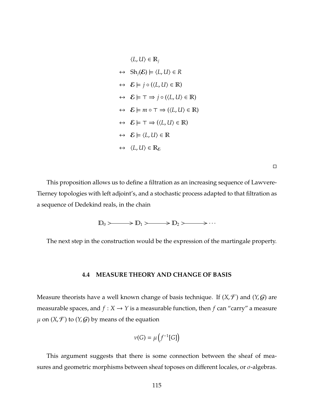$$
\langle L, U \rangle \in \mathbb{R}_j
$$
  
\n
$$
\Leftrightarrow \text{Sh}_j(\mathcal{E}) \models \langle L, U \rangle \in R
$$
  
\n
$$
\Leftrightarrow \mathcal{E} \models j \circ (\langle L, U \rangle \in \mathbb{R})
$$
  
\n
$$
\Leftrightarrow \mathcal{E} \models \top \Rightarrow j \circ (\langle L, U \rangle \in \mathbb{R})
$$
  
\n
$$
\Leftrightarrow \mathcal{E} \models m \circ \top \Rightarrow (\langle L, U \rangle \in \mathbb{R})
$$
  
\n
$$
\Leftrightarrow \mathcal{E} \models \top \Rightarrow (\langle L, U \rangle \in \mathbb{R})
$$
  
\n
$$
\Leftrightarrow \mathcal{E} \models \langle L, U \rangle \in \mathbb{R}
$$
  
\n
$$
\Leftrightarrow \langle L, U \rangle \in \mathbb{R}_{\mathcal{E}}
$$

 $\Box$ 

This proposition allows us to define a filtration as an increasing sequence of Lawvere-Tierney topologies with left adjoint's, and a stochastic process adapted to that filtration as a sequence of Dedekind reals, in the chain

 $D_0 \rightarrow D_1 \rightarrow D_2 \rightarrow D_3 \rightarrow \cdots$ 

The next step in the construction would be the expression of the martingale property.

# **4.4 MEASURE THEORY AND CHANGE OF BASIS**

Measure theorists have a well known change of basis technique. If  $(X, \mathcal{F})$  and  $(Y, \mathcal{G})$  are measurable spaces, and  $f : X \to Y$  is a measurable function, then  $f$  can "carry" a measure  $\mu$  on  $(X, \mathcal{F})$  to  $(Y, \mathcal{G})$  by means of the equation

$$
\nu(G) = \mu\left(f^{-1}[G]\right)
$$

This argument suggests that there is some connection between the sheaf of measures and geometric morphisms between sheaf toposes on different locales, or σ-algebras.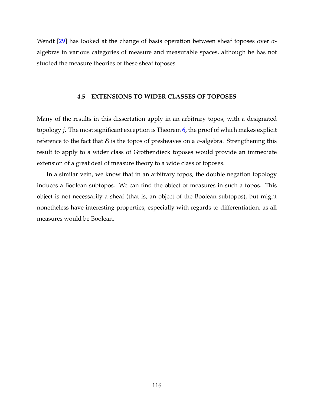Wendt  $[29]$  has looked at the change of basis operation between sheaf toposes over  $\sigma$ algebras in various categories of measure and measurable spaces, although he has not studied the measure theories of these sheaf toposes.

## **4.5 EXTENSIONS TO WIDER CLASSES OF TOPOSES**

Many of the results in this dissertation apply in an arbitrary topos, with a designated topology *j*. The most significant exception is Theorem [6,](#page-50-0) the proof of which makes explicit reference to the fact that  $\mathcal E$  is the topos of presheaves on a  $\sigma$ -algebra. Strengthening this result to apply to a wider class of Grothendieck toposes would provide an immediate extension of a great deal of measure theory to a wide class of toposes.

In a similar vein, we know that in an arbitrary topos, the double negation topology induces a Boolean subtopos. We can find the object of measures in such a topos. This object is not necessarily a sheaf (that is, an object of the Boolean subtopos), but might nonetheless have interesting properties, especially with regards to differentiation, as all measures would be Boolean.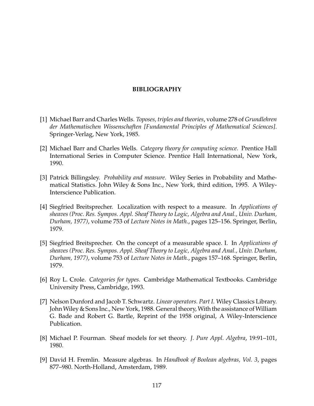# **BIBLIOGRAPHY**

- [1] Michael Barr and Charles Wells. *Toposes, triples and theories*, volume 278 of *Grundlehren der Mathematischen Wissenschaften [Fundamental Principles of Mathematical Sciences]*. Springer-Verlag, New York, 1985.
- [2] Michael Barr and Charles Wells. *Category theory for computing science*. Prentice Hall International Series in Computer Science. Prentice Hall International, New York, 1990.
- <span id="page-123-2"></span>[3] Patrick Billingsley. *Probability and measure*. Wiley Series in Probability and Mathematical Statistics. John Wiley & Sons Inc., New York, third edition, 1995. A Wiley-Interscience Publication.
- [4] Siegfried Breitsprecher. Localization with respect to a measure. In *Applications of sheaves (Proc. Res. Sympos. Appl. Sheaf Theory to Logic, Algebra and Anal., Univ. Durham, Durham, 1977)*, volume 753 of *Lecture Notes in Math.*, pages 125–156. Springer, Berlin, 1979.
- [5] Siegfried Breitsprecher. On the concept of a measurable space. I. In *Applications of sheaves (Proc. Res. Sympos. Appl. Sheaf Theory to Logic, Algebra and Anal., Univ. Durham, Durham, 1977)*, volume 753 of *Lecture Notes in Math.*, pages 157–168. Springer, Berlin, 1979.
- [6] Roy L. Crole. *Categories for types*. Cambridge Mathematical Textbooks. Cambridge University Press, Cambridge, 1993.
- <span id="page-123-1"></span>[7] Nelson Dunford and Jacob T. Schwartz. *Linear operators. Part I*. Wiley Classics Library. JohnWiley & Sons Inc., New York, 1988. General theory, With the assistance ofWilliam G. Bade and Robert G. Bartle, Reprint of the 1958 original, A Wiley-Interscience Publication.
- [8] Michael P. Fourman. Sheaf models for set theory. *J. Pure Appl. Algebra*, 19:91–101, 1980.
- <span id="page-123-0"></span>[9] David H. Fremlin. Measure algebras. In *Handbook of Boolean algebras, Vol. 3*, pages 877–980. North-Holland, Amsterdam, 1989.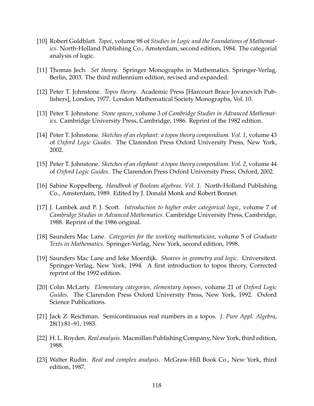- [10] Robert Goldblatt. *Topoi*, volume 98 of *Studies in Logic and the Foundations of Mathematics*. North-Holland Publishing Co., Amsterdam, second edition, 1984. The categorial analysis of logic.
- [11] Thomas Jech. *Set theory*. Springer Monographs in Mathematics. Springer-Verlag, Berlin, 2003. The third millennium edition, revised and expanded.
- [12] Peter T. Johnstone. *Topos theory*. Academic Press [Harcourt Brace Jovanovich Publishers], London, 1977. London Mathematical Society Monographs, Vol. 10.
- <span id="page-124-1"></span>[13] Peter T. Johnstone. *Stone spaces*, volume 3 of *Cambridge Studies in Advanced Mathematics*. Cambridge University Press, Cambridge, 1986. Reprint of the 1982 edition.
- [14] Peter T. Johnstone. *Sketches of an elephant: a topos theory compendium. Vol. 1*, volume 43 of *Oxford Logic Guides*. The Clarendon Press Oxford University Press, New York, 2002.
- [15] Peter T. Johnstone. *Sketches of an elephant: a topos theory compendium. Vol. 2*, volume 44 of *Oxford Logic Guides*. The Clarendon Press Oxford University Press, Oxford, 2002.
- <span id="page-124-0"></span>[16] Sabine Koppelberg. *Handbook of Boolean algebras. Vol. 1*. North-Holland Publishing Co., Amsterdam, 1989. Edited by J. Donald Monk and Robert Bonnet.
- [17] J. Lambek and P. J. Scott. *Introduction to higher order categorical logic*, volume 7 of *Cambridge Studies in Advanced Mathematics*. Cambridge University Press, Cambridge, 1988. Reprint of the 1986 original.
- [18] Saunders Mac Lane. *Categories for the working mathematician*, volume 5 of *Graduate Texts in Mathematics*. Springer-Verlag, New York, second edition, 1998.
- [19] Saunders Mac Lane and Ieke Moerdijk. *Sheaves in geometry and logic*. Universitext. Springer-Verlag, New York, 1994. A first introduction to topos theory, Corrected reprint of the 1992 edition.
- [20] Colin McLarty. *Elementary categories, elementary toposes*, volume 21 of *Oxford Logic Guides*. The Clarendon Press Oxford University Press, New York, 1992. Oxford Science Publications.
- [21] Jack Z. Reichman. Semicontinuous real numbers in a topos. *J. Pure Appl. Algebra*, 28(1):81–91, 1983.
- <span id="page-124-2"></span>[22] H. L. Royden. *Real analysis*. Macmillan Publishing Company, New York, third edition, 1988.
- [23] Walter Rudin. *Real and complex analysis*. McGraw-Hill Book Co., New York, third edition, 1987.